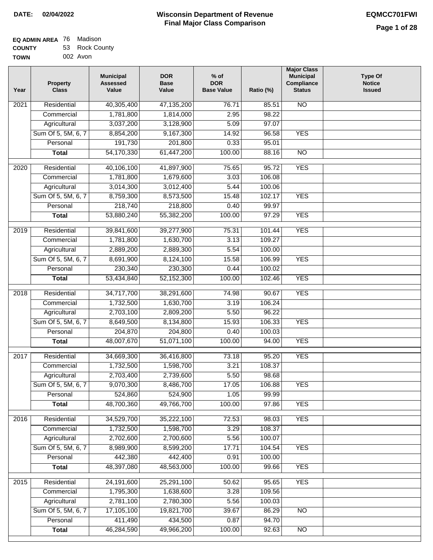| EQ ADMIN AREA 76 | Madison        |
|------------------|----------------|
| <b>COUNTY</b>    | 53 Rock County |
| <b>TOWN</b>      | 002 Avon       |

| Year | <b>Property</b><br><b>Class</b> | <b>Municipal</b><br><b>Assessed</b><br>Value | <b>DOR</b><br><b>Base</b><br>Value | $%$ of<br><b>DOR</b><br><b>Base Value</b> | Ratio (%)       | <b>Major Class</b><br><b>Municipal</b><br>Compliance<br><b>Status</b> | <b>Type Of</b><br><b>Notice</b><br><b>Issued</b> |
|------|---------------------------------|----------------------------------------------|------------------------------------|-------------------------------------------|-----------------|-----------------------------------------------------------------------|--------------------------------------------------|
| 2021 | Residential                     | 40,305,400                                   | 47,135,200                         | 76.71                                     | 85.51           | <b>NO</b>                                                             |                                                  |
|      | Commercial                      | 1,781,800                                    | 1,814,000                          | 2.95                                      | 98.22           |                                                                       |                                                  |
|      | Agricultural                    | 3,037,200                                    | 3,128,900                          | 5.09                                      | 97.07           |                                                                       |                                                  |
|      | Sum Of 5, 5M, 6, 7              | 8,854,200                                    | 9,167,300                          | 14.92                                     | 96.58           | <b>YES</b>                                                            |                                                  |
|      | Personal                        | 191,730                                      | 201,800                            | 0.33                                      | 95.01           |                                                                       |                                                  |
|      | <b>Total</b>                    | 54,170,330                                   | 61,447,200                         | 100.00                                    | 88.16           | $\overline{NO}$                                                       |                                                  |
|      |                                 |                                              |                                    |                                           |                 |                                                                       |                                                  |
| 2020 | Residential                     | 40,106,100                                   | 41,897,900                         | 75.65                                     | 95.72           | <b>YES</b>                                                            |                                                  |
|      | Commercial                      | 1,781,800                                    | 1,679,600                          | 3.03                                      | 106.08          |                                                                       |                                                  |
|      | Agricultural                    | 3,014,300                                    | 3,012,400                          | 5.44                                      | 100.06          |                                                                       |                                                  |
|      | Sum Of 5, 5M, 6, 7              | 8,759,300                                    | 8,573,500                          | 15.48                                     | 102.17          | <b>YES</b>                                                            |                                                  |
|      | Personal                        | 218,740                                      | 218,800                            | 0.40                                      | 99.97           |                                                                       |                                                  |
|      | <b>Total</b>                    | 53,880,240                                   | 55,382,200                         | 100.00                                    | 97.29           | <b>YES</b>                                                            |                                                  |
| 2019 | Residential                     | 39,841,600                                   | 39,277,900                         | 75.31                                     | 101.44          | <b>YES</b>                                                            |                                                  |
|      | Commercial                      | 1,781,800                                    | 1,630,700                          | 3.13                                      | 109.27          |                                                                       |                                                  |
|      | Agricultural                    | 2,889,200                                    | 2,889,300                          | 5.54                                      | 100.00          |                                                                       |                                                  |
|      | Sum Of 5, 5M, 6, 7              | 8,691,900                                    | 8,124,100                          | 15.58                                     | 106.99          | <b>YES</b>                                                            |                                                  |
|      | Personal                        | 230,340                                      | 230,300                            | 0.44                                      | 100.02          |                                                                       |                                                  |
|      | <b>Total</b>                    | 53,434,840                                   | 52,152,300                         | 100.00                                    | 102.46          | <b>YES</b>                                                            |                                                  |
| 2018 | Residential                     | 34,717,700                                   | 38,291,600                         | 74.98                                     | 90.67           | <b>YES</b>                                                            |                                                  |
|      | Commercial                      | 1,732,500                                    | 1,630,700                          | 3.19                                      | 106.24          |                                                                       |                                                  |
|      | Agricultural                    | 2,703,100                                    | 2,809,200                          | 5.50                                      | 96.22           |                                                                       |                                                  |
|      | Sum Of 5, 5M, 6, 7              | 8,649,500                                    | 8,134,800                          | 15.93                                     | 106.33          | <b>YES</b>                                                            |                                                  |
|      | Personal                        | 204,870                                      | 204,800                            | 0.40                                      | 100.03          |                                                                       |                                                  |
|      | <b>Total</b>                    | 48,007,670                                   | 51,071,100                         | 100.00                                    | 94.00           | <b>YES</b>                                                            |                                                  |
|      |                                 |                                              |                                    |                                           |                 |                                                                       |                                                  |
| 2017 | Residential                     | 34,669,300                                   | 36,416,800                         | 73.18                                     | 95.20           | <b>YES</b>                                                            |                                                  |
|      | Commercial                      | 1,732,500                                    | 1,598,700                          | 3.21                                      | 108.37          |                                                                       |                                                  |
|      | Agricultural                    | 2,703,400                                    | 2,739,600                          | 5.50                                      | 98.68<br>106.88 |                                                                       |                                                  |
|      | Sum Of 5, 5M, 6, 7              | 9,070,300                                    | 8,486,700                          | 17.05                                     |                 | <b>YES</b>                                                            |                                                  |
|      | Personal                        | 524,860<br>48,700,360                        | 524,900                            | 1.05                                      | 99.99           |                                                                       |                                                  |
|      | <b>Total</b>                    |                                              | 49,766,700                         | 100.00                                    | 97.86           | <b>YES</b>                                                            |                                                  |
| 2016 | Residential                     | 34,529,700                                   | 35,222,100                         | 72.53                                     | 98.03           | <b>YES</b>                                                            |                                                  |
|      | Commercial                      | 1,732,500                                    | 1,598,700                          | 3.29                                      | 108.37          |                                                                       |                                                  |
|      | Agricultural                    | 2,702,600                                    | 2,700,600                          | 5.56                                      | 100.07          |                                                                       |                                                  |
|      | Sum Of 5, 5M, 6, 7              | 8,989,900                                    | 8,599,200                          | 17.71                                     | 104.54          | <b>YES</b>                                                            |                                                  |
|      | Personal                        | 442,380                                      | 442,400                            | 0.91                                      | 100.00          |                                                                       |                                                  |
|      | <b>Total</b>                    | 48,397,080                                   | 48,563,000                         | 100.00                                    | 99.66           | <b>YES</b>                                                            |                                                  |
| 2015 | Residential                     | 24,191,600                                   | 25,291,100                         | 50.62                                     | 95.65           | <b>YES</b>                                                            |                                                  |
|      | Commercial                      | 1,795,300                                    | 1,638,600                          | 3.28                                      | 109.56          |                                                                       |                                                  |
|      | Agricultural                    | 2,781,100                                    | 2,780,300                          | 5.56                                      | 100.03          |                                                                       |                                                  |
|      | Sum Of 5, 5M, 6, 7              | 17,105,100                                   | 19,821,700                         | 39.67                                     | 86.29           | <b>NO</b>                                                             |                                                  |
|      | Personal                        | 411,490                                      | 434,500                            | 0.87                                      | 94.70           |                                                                       |                                                  |
|      | <b>Total</b>                    | 46,284,590                                   | 49,966,200                         | 100.00                                    | 92.63           | NO                                                                    |                                                  |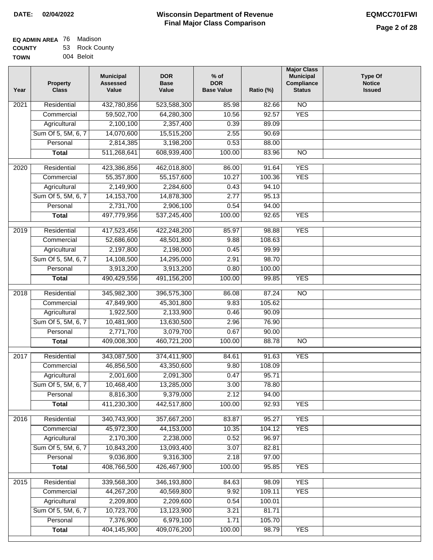| EQ ADMIN AREA 76 Madison |                |
|--------------------------|----------------|
| <b>COUNTY</b>            | 53 Rock County |
| <b>TOWN</b>              | 004 Beloit     |

| Year              | <b>Property</b><br><b>Class</b> | <b>Municipal</b><br><b>Assessed</b><br>Value | <b>DOR</b><br><b>Base</b><br>Value | % of<br><b>DOR</b><br><b>Base Value</b> | Ratio (%) | <b>Major Class</b><br><b>Municipal</b><br>Compliance<br><b>Status</b> | <b>Type Of</b><br><b>Notice</b><br><b>Issued</b> |
|-------------------|---------------------------------|----------------------------------------------|------------------------------------|-----------------------------------------|-----------|-----------------------------------------------------------------------|--------------------------------------------------|
| $\overline{202}1$ | Residential                     | 432,780,856                                  | 523,588,300                        | 85.98                                   | 82.66     | N <sub>O</sub>                                                        |                                                  |
|                   | Commercial                      | 59,502,700                                   | 64,280,300                         | 10.56                                   | 92.57     | <b>YES</b>                                                            |                                                  |
|                   | Agricultural                    | 2,100,100                                    | 2,357,400                          | 0.39                                    | 89.09     |                                                                       |                                                  |
|                   | Sum Of 5, 5M, 6, 7              | 14,070,600                                   | 15,515,200                         | 2.55                                    | 90.69     |                                                                       |                                                  |
|                   | Personal                        | 2,814,385                                    | 3,198,200                          | 0.53                                    | 88.00     |                                                                       |                                                  |
|                   | <b>Total</b>                    | 511,268,641                                  | 608,939,400                        | 100.00                                  | 83.96     | $\overline{NO}$                                                       |                                                  |
| $\overline{2020}$ | Residential                     | 423,386,856                                  | 462,018,800                        | 86.00                                   | 91.64     | <b>YES</b>                                                            |                                                  |
|                   | Commercial                      | 55,357,800                                   | 55,157,600                         | 10.27                                   | 100.36    | <b>YES</b>                                                            |                                                  |
|                   | Agricultural                    | 2,149,900                                    | 2,284,600                          | 0.43                                    | 94.10     |                                                                       |                                                  |
|                   | Sum Of 5, 5M, 6, 7              | 14, 153, 700                                 | 14,878,300                         | 2.77                                    | 95.13     |                                                                       |                                                  |
|                   | Personal                        | 2,731,700                                    | 2,906,100                          | 0.54                                    | 94.00     |                                                                       |                                                  |
|                   | <b>Total</b>                    | 497,779,956                                  | 537,245,400                        | 100.00                                  | 92.65     | <b>YES</b>                                                            |                                                  |
| $\frac{1}{2019}$  | Residential                     | 417,523,456                                  | 422,248,200                        | 85.97                                   | 98.88     | <b>YES</b>                                                            |                                                  |
|                   | Commercial                      | 52,686,600                                   | 48,501,800                         | 9.88                                    | 108.63    |                                                                       |                                                  |
|                   | Agricultural                    | 2,197,800                                    | 2,198,000                          | 0.45                                    | 99.99     |                                                                       |                                                  |
|                   | Sum Of 5, 5M, 6, 7              | 14,108,500                                   | 14,295,000                         | 2.91                                    | 98.70     |                                                                       |                                                  |
|                   | Personal                        | 3,913,200                                    | 3,913,200                          | 0.80                                    | 100.00    |                                                                       |                                                  |
|                   | <b>Total</b>                    | 490,429,556                                  | 491,156,200                        | 100.00                                  | 99.85     | <b>YES</b>                                                            |                                                  |
| 2018              | Residential                     | 345,982,300                                  | 396,575,300                        | 86.08                                   | 87.24     | $\overline{10}$                                                       |                                                  |
|                   | Commercial                      | 47,849,900                                   | 45,301,800                         | 9.83                                    | 105.62    |                                                                       |                                                  |
|                   | Agricultural                    | 1,922,500                                    | 2,133,900                          | 0.46                                    | 90.09     |                                                                       |                                                  |
|                   | Sum Of 5, 5M, 6, 7              | 10,481,900                                   | 13,630,500                         | 2.96                                    | 76.90     |                                                                       |                                                  |
|                   | Personal                        | 2,771,700                                    | 3,079,700                          | 0.67                                    | 90.00     |                                                                       |                                                  |
|                   | <b>Total</b>                    | 409,008,300                                  | 460,721,200                        | 100.00                                  | 88.78     | <b>NO</b>                                                             |                                                  |
| $\overline{2017}$ | Residential                     | 343,087,500                                  | 374,411,900                        | 84.61                                   | 91.63     | <b>YES</b>                                                            |                                                  |
|                   | Commercial                      | 46,856,500                                   | 43,350,600                         | 9.80                                    | 108.09    |                                                                       |                                                  |
|                   | Agricultural                    | 2,001,600                                    | 2,091,300                          | 0.47                                    | 95.71     |                                                                       |                                                  |
|                   | Sum Of 5, 5M, 6, 7              | 10,468,400                                   | 13,285,000                         | 3.00                                    | 78.80     |                                                                       |                                                  |
|                   | Personal                        | 8,816,300                                    | 9,379,000                          | 2.12                                    | 94.00     |                                                                       |                                                  |
|                   | <b>Total</b>                    | 411,230,300                                  | 442,517,800                        | 100.00                                  | 92.93     | <b>YES</b>                                                            |                                                  |
| 2016              | Residential                     | 340,743,900                                  | 357,667,200                        | 83.87                                   | 95.27     | <b>YES</b>                                                            |                                                  |
|                   | Commercial                      | 45,972,300                                   | 44,153,000                         | 10.35                                   | 104.12    | <b>YES</b>                                                            |                                                  |
|                   | Agricultural                    | 2,170,300                                    | 2,238,000                          | 0.52                                    | 96.97     |                                                                       |                                                  |
|                   | Sum Of 5, 5M, 6, 7              | 10,843,200                                   | 13,093,400                         | 3.07                                    | 82.81     |                                                                       |                                                  |
|                   | Personal                        | 9,036,800                                    | 9,316,300                          | 2.18                                    | 97.00     |                                                                       |                                                  |
|                   | <b>Total</b>                    | 408,766,500                                  | 426,467,900                        | 100.00                                  | 95.85     | <b>YES</b>                                                            |                                                  |
| 2015              | Residential                     | 339,568,300                                  | 346,193,800                        | 84.63                                   | 98.09     | <b>YES</b>                                                            |                                                  |
|                   | Commercial                      | 44,267,200                                   | 40,569,800                         | 9.92                                    | 109.11    | <b>YES</b>                                                            |                                                  |
|                   | Agricultural                    | 2,209,800                                    | 2,209,600                          | 0.54                                    | 100.01    |                                                                       |                                                  |
|                   | Sum Of 5, 5M, 6, 7              | 10,723,700                                   | 13,123,900                         | 3.21                                    | 81.71     |                                                                       |                                                  |
|                   | Personal                        | 7,376,900                                    | 6,979,100                          | 1.71                                    | 105.70    |                                                                       |                                                  |
|                   | <b>Total</b>                    | 404,145,900                                  | 409,076,200                        | 100.00                                  | 98.79     | <b>YES</b>                                                            |                                                  |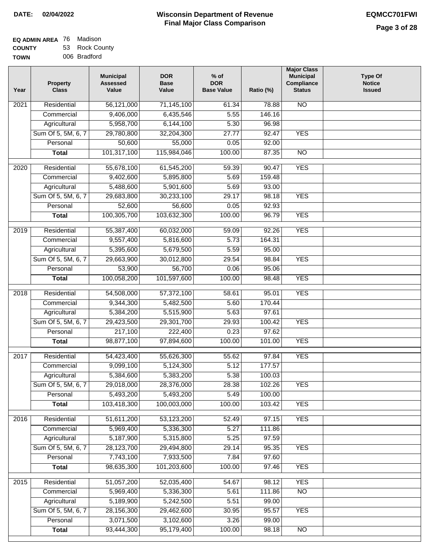| EQ ADMIN AREA 76 | Madison        |
|------------------|----------------|
| <b>COUNTY</b>    | 53 Rock County |
| <b>TOWN</b>      | 006 Bradford   |

| Year              | <b>Property</b><br><b>Class</b> | <b>Municipal</b><br><b>Assessed</b><br>Value | <b>DOR</b><br><b>Base</b><br>Value | $%$ of<br><b>DOR</b><br><b>Base Value</b> | Ratio (%) | <b>Major Class</b><br><b>Municipal</b><br>Compliance<br><b>Status</b> | <b>Type Of</b><br><b>Notice</b><br><b>Issued</b> |
|-------------------|---------------------------------|----------------------------------------------|------------------------------------|-------------------------------------------|-----------|-----------------------------------------------------------------------|--------------------------------------------------|
| $\overline{202}1$ | Residential                     | 56,121,000                                   | 71,145,100                         | 61.34                                     | 78.88     | <b>NO</b>                                                             |                                                  |
|                   | Commercial                      | 9,406,000                                    | 6,435,546                          | 5.55                                      | 146.16    |                                                                       |                                                  |
|                   | Agricultural                    | 5,958,700                                    | 6,144,100                          | 5.30                                      | 96.98     |                                                                       |                                                  |
|                   | Sum Of 5, 5M, 6, 7              | 29,780,800                                   | 32,204,300                         | 27.77                                     | 92.47     | <b>YES</b>                                                            |                                                  |
|                   | Personal                        | 50,600                                       | 55,000                             | 0.05                                      | 92.00     |                                                                       |                                                  |
|                   | <b>Total</b>                    | 101,317,100                                  | 115,984,046                        | 100.00                                    | 87.35     | $\overline{NO}$                                                       |                                                  |
| 2020              | Residential                     | 55,678,100                                   | 61,545,200                         | 59.39                                     | 90.47     | <b>YES</b>                                                            |                                                  |
|                   | Commercial                      | 9,402,600                                    | 5,895,800                          | 5.69                                      | 159.48    |                                                                       |                                                  |
|                   | Agricultural                    | 5,488,600                                    | 5,901,600                          | 5.69                                      | 93.00     |                                                                       |                                                  |
|                   | Sum Of 5, 5M, 6, 7              | 29,683,800                                   | 30,233,100                         | 29.17                                     | 98.18     | <b>YES</b>                                                            |                                                  |
|                   | Personal                        | 52,600                                       | 56,600                             | 0.05                                      | 92.93     |                                                                       |                                                  |
|                   | <b>Total</b>                    | 100,305,700                                  | 103,632,300                        | 100.00                                    | 96.79     | <b>YES</b>                                                            |                                                  |
| 2019              | Residential                     | 55,387,400                                   | 60,032,000                         | 59.09                                     | 92.26     | <b>YES</b>                                                            |                                                  |
|                   | Commercial                      | 9,557,400                                    | 5,816,600                          | 5.73                                      | 164.31    |                                                                       |                                                  |
|                   | Agricultural                    | 5,395,600                                    | 5,679,500                          | 5.59                                      | 95.00     |                                                                       |                                                  |
|                   | Sum Of 5, 5M, 6, 7              | 29,663,900                                   | 30,012,800                         | 29.54                                     | 98.84     | <b>YES</b>                                                            |                                                  |
|                   | Personal                        | 53,900                                       | 56,700                             | 0.06                                      | 95.06     |                                                                       |                                                  |
|                   | <b>Total</b>                    | 100,058,200                                  | 101,597,600                        | 100.00                                    | 98.48     | <b>YES</b>                                                            |                                                  |
| 2018              | Residential                     | 54,508,000                                   | 57,372,100                         | 58.61                                     | 95.01     | <b>YES</b>                                                            |                                                  |
|                   | Commercial                      | 9,344,300                                    | 5,482,500                          | 5.60                                      | 170.44    |                                                                       |                                                  |
|                   | Agricultural                    | 5,384,200                                    | 5,515,900                          | 5.63                                      | 97.61     |                                                                       |                                                  |
|                   | Sum Of 5, 5M, 6, 7              | 29,423,500                                   | 29,301,700                         | 29.93                                     | 100.42    | <b>YES</b>                                                            |                                                  |
|                   | Personal                        | 217,100                                      | 222,400                            | 0.23                                      | 97.62     |                                                                       |                                                  |
|                   | <b>Total</b>                    | 98,877,100                                   | 97,894,600                         | 100.00                                    | 101.00    | <b>YES</b>                                                            |                                                  |
| $\overline{2017}$ | Residential                     | 54,423,400                                   | 55,626,300                         | 55.62                                     | 97.84     | <b>YES</b>                                                            |                                                  |
|                   | Commercial                      | 9,099,100                                    | 5,124,300                          | 5.12                                      | 177.57    |                                                                       |                                                  |
|                   | Agricultural                    | 5,384,600                                    | 5,383,200                          | 5.38                                      | 100.03    |                                                                       |                                                  |
|                   | Sum Of 5, 5M, 6, 7              | 29,018,000                                   | 28,376,000                         | 28.38                                     | 102.26    | <b>YES</b>                                                            |                                                  |
|                   | Personal                        | 5,493,200                                    | 5,493,200                          | 5.49                                      | 100.00    |                                                                       |                                                  |
|                   | <b>Total</b>                    | 103,418,300                                  | 100,003,000                        | 100.00                                    | 103.42    | <b>YES</b>                                                            |                                                  |
| 2016              | Residential                     | 51,611,200                                   | 53,123,200                         | 52.49                                     | 97.15     | <b>YES</b>                                                            |                                                  |
|                   | Commercial                      | 5,969,400                                    | 5,336,300                          | 5.27                                      | 111.86    |                                                                       |                                                  |
|                   | Agricultural                    | 5,187,900                                    | 5,315,800                          | 5.25                                      | 97.59     |                                                                       |                                                  |
|                   | Sum Of 5, 5M, 6, 7              | 28,123,700                                   | 29,494,800                         | 29.14                                     | 95.35     | <b>YES</b>                                                            |                                                  |
|                   | Personal                        | 7,743,100                                    | 7,933,500                          | 7.84                                      | 97.60     |                                                                       |                                                  |
|                   | <b>Total</b>                    | 98,635,300                                   | 101,203,600                        | 100.00                                    | 97.46     | <b>YES</b>                                                            |                                                  |
| 2015              | Residential                     | 51,057,200                                   | 52,035,400                         | 54.67                                     | 98.12     | <b>YES</b>                                                            |                                                  |
|                   | Commercial                      | 5,969,400                                    | 5,336,300                          | 5.61                                      | 111.86    | $\overline{NO}$                                                       |                                                  |
|                   | Agricultural                    | 5,189,900                                    | 5,242,500                          | 5.51                                      | 99.00     |                                                                       |                                                  |
|                   | Sum Of 5, 5M, 6, 7              | 28,156,300                                   | 29,462,600                         | 30.95                                     | 95.57     | <b>YES</b>                                                            |                                                  |
|                   | Personal                        | 3,071,500                                    | 3,102,600                          | 3.26                                      | 99.00     |                                                                       |                                                  |
|                   | <b>Total</b>                    | 93,444,300                                   | 95,179,400                         | 100.00                                    | 98.18     | NO                                                                    |                                                  |
|                   |                                 |                                              |                                    |                                           |           |                                                                       |                                                  |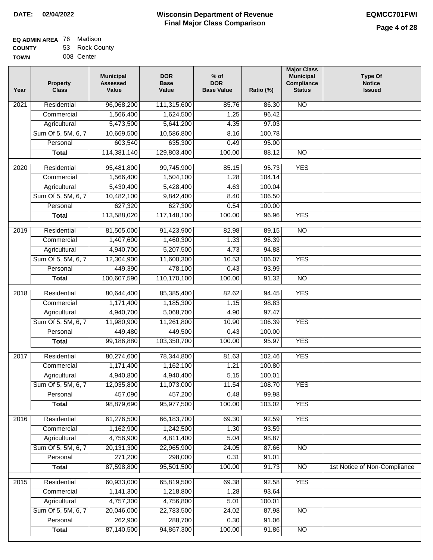| EQ ADMIN AREA 76 | Madison        |
|------------------|----------------|
| <b>COUNTY</b>    | 53 Rock County |
| <b>TOWN</b>      | 008 Center     |

| 008 Center<br>/Ν | ,,,,, | ື | nvun vuur |
|------------------|-------|---|-----------|
|                  |       |   |           |

| Year              | <b>Property</b><br><b>Class</b> | <b>Municipal</b><br><b>Assessed</b><br>Value | <b>DOR</b><br><b>Base</b><br>Value | $%$ of<br><b>DOR</b><br><b>Base Value</b> | Ratio (%) | <b>Major Class</b><br><b>Municipal</b><br>Compliance<br><b>Status</b> | <b>Type Of</b><br><b>Notice</b><br><b>Issued</b> |
|-------------------|---------------------------------|----------------------------------------------|------------------------------------|-------------------------------------------|-----------|-----------------------------------------------------------------------|--------------------------------------------------|
| $\overline{202}1$ | Residential                     | 96,068,200                                   | 111,315,600                        | 85.76                                     | 86.30     | <b>NO</b>                                                             |                                                  |
|                   | Commercial                      | 1,566,400                                    | 1,624,500                          | 1.25                                      | 96.42     |                                                                       |                                                  |
|                   | Agricultural                    | 5,473,500                                    | 5,641,200                          | 4.35                                      | 97.03     |                                                                       |                                                  |
|                   | Sum Of 5, 5M, 6, 7              | 10,669,500                                   | 10,586,800                         | 8.16                                      | 100.78    |                                                                       |                                                  |
|                   | Personal                        | 603,540                                      | 635,300                            | 0.49                                      | 95.00     |                                                                       |                                                  |
|                   | <b>Total</b>                    | 114,381,140                                  | 129,803,400                        | 100.00                                    | 88.12     | <b>NO</b>                                                             |                                                  |
| $\overline{2020}$ | Residential                     | 95,481,800                                   | 99,745,900                         | 85.15                                     | 95.73     | <b>YES</b>                                                            |                                                  |
|                   | Commercial                      | 1,566,400                                    | 1,504,100                          | 1.28                                      | 104.14    |                                                                       |                                                  |
|                   | Agricultural                    | 5,430,400                                    | 5,428,400                          | 4.63                                      | 100.04    |                                                                       |                                                  |
|                   | Sum Of 5, 5M, 6, 7              | 10,482,100                                   | 9,842,400                          | 8.40                                      | 106.50    |                                                                       |                                                  |
|                   | Personal                        | 627,320                                      | 627,300                            | 0.54                                      | 100.00    |                                                                       |                                                  |
|                   | <b>Total</b>                    | 113,588,020                                  | 117,148,100                        | 100.00                                    | 96.96     | <b>YES</b>                                                            |                                                  |
| 2019              | Residential                     | 81,505,000                                   | 91,423,900                         | 82.98                                     | 89.15     | $\overline{NO}$                                                       |                                                  |
|                   | Commercial                      | 1,407,600                                    | 1,460,300                          | 1.33                                      | 96.39     |                                                                       |                                                  |
|                   | Agricultural                    | 4,940,700                                    | 5,207,500                          | 4.73                                      | 94.88     |                                                                       |                                                  |
|                   | Sum Of 5, 5M, 6, 7              | 12,304,900                                   | 11,600,300                         | 10.53                                     | 106.07    | <b>YES</b>                                                            |                                                  |
|                   | Personal                        | 449,390                                      | 478,100                            | 0.43                                      | 93.99     |                                                                       |                                                  |
|                   | <b>Total</b>                    | 100,607,590                                  | 110,170,100                        | 100.00                                    | 91.32     | $\overline{NO}$                                                       |                                                  |
| 2018              | Residential                     | 80,644,400                                   | 85,385,400                         | 82.62                                     | 94.45     | <b>YES</b>                                                            |                                                  |
|                   | Commercial                      | 1,171,400                                    | 1,185,300                          | 1.15                                      | 98.83     |                                                                       |                                                  |
|                   | Agricultural                    | 4,940,700                                    | 5,068,700                          | 4.90                                      | 97.47     |                                                                       |                                                  |
|                   | Sum Of 5, 5M, 6, 7              | 11,980,900                                   | 11,261,800                         | 10.90                                     | 106.39    | <b>YES</b>                                                            |                                                  |
|                   | Personal                        | 449,480                                      | 449,500                            | 0.43                                      | 100.00    |                                                                       |                                                  |
|                   | <b>Total</b>                    | 99,186,880                                   | 103,350,700                        | 100.00                                    | 95.97     | <b>YES</b>                                                            |                                                  |
|                   |                                 |                                              |                                    |                                           |           |                                                                       |                                                  |
| 2017              | Residential                     | 80,274,600                                   | 78,344,800                         | 81.63                                     | 102.46    | <b>YES</b>                                                            |                                                  |
|                   | Commercial                      | 1,171,400                                    | 1,162,100                          | 1.21                                      | 100.80    |                                                                       |                                                  |
|                   | Agricultural                    | 4,940,800                                    | 4,940,400                          | 5.15                                      | 100.01    |                                                                       |                                                  |
|                   | Sum Of 5, 5M, 6, 7              | 12,035,800                                   | 11,073,000                         | 11.54                                     | 108.70    | <b>YES</b>                                                            |                                                  |
|                   | Personal                        | 457,090                                      | 457,200                            | 0.48                                      | 99.98     |                                                                       |                                                  |
|                   | <b>Total</b>                    | 98,879,690                                   | 95,977,500                         | 100.00                                    | 103.02    | <b>YES</b>                                                            |                                                  |
| 2016              | Residential                     | 61,276,500                                   | 66,183,700                         | 69.30                                     | 92.59     | <b>YES</b>                                                            |                                                  |
|                   | Commercial                      | 1,162,900                                    | 1,242,500                          | 1.30                                      | 93.59     |                                                                       |                                                  |
|                   | Agricultural                    | 4,756,900                                    | 4,811,400                          | 5.04                                      | 98.87     |                                                                       |                                                  |
|                   | Sum Of 5, 5M, 6, 7              | 20,131,300                                   | 22,965,900                         | 24.05                                     | 87.66     | $\overline{NO}$                                                       |                                                  |
|                   | Personal                        | 271,200                                      | 298,000                            | 0.31                                      | 91.01     |                                                                       |                                                  |
|                   | <b>Total</b>                    | 87,598,800                                   | 95,501,500                         | 100.00                                    | 91.73     | N <sub>O</sub>                                                        | 1st Notice of Non-Compliance                     |
| 2015              | Residential                     | 60,933,000                                   | 65,819,500                         | 69.38                                     | 92.58     | <b>YES</b>                                                            |                                                  |
|                   | Commercial                      | 1,141,300                                    | 1,218,800                          | 1.28                                      | 93.64     |                                                                       |                                                  |
|                   | Agricultural                    | 4,757,300                                    | 4,756,800                          | 5.01                                      | 100.01    |                                                                       |                                                  |
|                   | Sum Of 5, 5M, 6, 7              | 20,046,000                                   | 22,783,500                         | 24.02                                     | 87.98     | <b>NO</b>                                                             |                                                  |
|                   | Personal                        | 262,900                                      | 288,700                            | 0.30                                      | 91.06     |                                                                       |                                                  |
|                   | <b>Total</b>                    | 87,140,500                                   | 94,867,300                         | 100.00                                    | 91.86     | NO                                                                    |                                                  |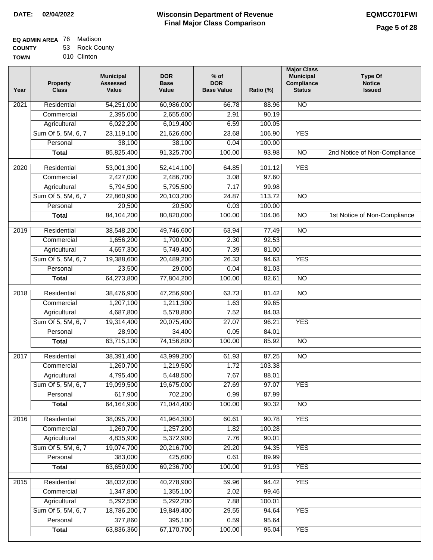| <b>EQ ADMIN AREA 76 Madison</b> |                |
|---------------------------------|----------------|
| <b>COUNTY</b>                   | 53 Rock County |

**TOWN** 010 Clinton

| Year              | <b>Property</b><br><b>Class</b> | <b>Municipal</b><br><b>Assessed</b><br>Value | <b>DOR</b><br><b>Base</b><br>Value | $%$ of<br><b>DOR</b><br><b>Base Value</b> | Ratio (%) | <b>Major Class</b><br><b>Municipal</b><br>Compliance<br><b>Status</b> | <b>Type Of</b><br><b>Notice</b><br><b>Issued</b> |
|-------------------|---------------------------------|----------------------------------------------|------------------------------------|-------------------------------------------|-----------|-----------------------------------------------------------------------|--------------------------------------------------|
| 2021              | Residential                     | 54,251,000                                   | 60,986,000                         | 66.78                                     | 88.96     | <b>NO</b>                                                             |                                                  |
|                   | Commercial                      | 2,395,000                                    | 2,655,600                          | 2.91                                      | 90.19     |                                                                       |                                                  |
|                   | Agricultural                    | 6,022,200                                    | 6,019,400                          | 6.59                                      | 100.05    |                                                                       |                                                  |
|                   | Sum Of 5, 5M, 6, 7              | 23,119,100                                   | 21,626,600                         | 23.68                                     | 106.90    | <b>YES</b>                                                            |                                                  |
|                   | Personal                        | 38,100                                       | 38,100                             | 0.04                                      | 100.00    |                                                                       |                                                  |
|                   | <b>Total</b>                    | 85,825,400                                   | 91,325,700                         | 100.00                                    | 93.98     | $\overline{NO}$                                                       | 2nd Notice of Non-Compliance                     |
| $\overline{2020}$ | Residential                     | 53,001,300                                   | 52,414,100                         | 64.85                                     | 101.12    | <b>YES</b>                                                            |                                                  |
|                   | Commercial                      | 2,427,000                                    | 2,486,700                          | 3.08                                      | 97.60     |                                                                       |                                                  |
|                   | Agricultural                    | 5,794,500                                    | 5,795,500                          | 7.17                                      | 99.98     |                                                                       |                                                  |
|                   | Sum Of 5, 5M, 6, 7              | 22,860,900                                   | 20,103,200                         | 24.87                                     | 113.72    | $\overline{NO}$                                                       |                                                  |
|                   | Personal                        | 20,500                                       | 20,500                             | 0.03                                      | 100.00    |                                                                       |                                                  |
|                   | <b>Total</b>                    | 84,104,200                                   | 80,820,000                         | 100.00                                    | 104.06    | $\overline{NO}$                                                       | 1st Notice of Non-Compliance                     |
|                   |                                 |                                              |                                    |                                           |           |                                                                       |                                                  |
| $\frac{2019}{ }$  | Residential                     | 38,548,200                                   | 49,746,600                         | 63.94                                     | 77.49     | $\overline{NO}$                                                       |                                                  |
|                   | Commercial                      | 1,656,200                                    | 1,790,000                          | 2.30                                      | 92.53     |                                                                       |                                                  |
|                   | Agricultural                    | 4,657,300                                    | 5,749,400                          | 7.39                                      | 81.00     |                                                                       |                                                  |
|                   | Sum Of 5, 5M, 6, 7              | 19,388,600                                   | 20,489,200                         | 26.33                                     | 94.63     | <b>YES</b>                                                            |                                                  |
|                   | Personal                        | 23,500                                       | 29,000                             | 0.04                                      | 81.03     |                                                                       |                                                  |
|                   | <b>Total</b>                    | 64,273,800                                   | 77,804,200                         | 100.00                                    | 82.61     | $\overline{NO}$                                                       |                                                  |
| 2018              | Residential                     | 38,476,900                                   | 47,256,900                         | 63.73                                     | 81.42     | $\overline{NO}$                                                       |                                                  |
|                   | Commercial                      | 1,207,100                                    | 1,211,300                          | 1.63                                      | 99.65     |                                                                       |                                                  |
|                   | Agricultural                    | 4,687,800                                    | 5,578,800                          | 7.52                                      | 84.03     |                                                                       |                                                  |
|                   | Sum Of 5, 5M, 6, 7              | 19,314,400                                   | 20,075,400                         | 27.07                                     | 96.21     | <b>YES</b>                                                            |                                                  |
|                   | Personal                        | 28,900                                       | 34,400                             | 0.05                                      | 84.01     |                                                                       |                                                  |
|                   | <b>Total</b>                    | 63,715,100                                   | 74,156,800                         | 100.00                                    | 85.92     | N <sub>O</sub>                                                        |                                                  |
| 2017              | Residential                     | 38,391,400                                   | 43,999,200                         | 61.93                                     | 87.25     | $\overline{NO}$                                                       |                                                  |
|                   | Commercial                      | 1,260,700                                    | 1,219,500                          | 1.72                                      | 103.38    |                                                                       |                                                  |
|                   | Agricultural                    | 4,795,400                                    | 5,448,500                          | 7.67                                      | 88.01     |                                                                       |                                                  |
|                   | Sum Of 5, 5M, 6, 7              | 19,099,500                                   | 19,675,000                         | 27.69                                     | 97.07     | <b>YES</b>                                                            |                                                  |
|                   | Personal                        | 617,900                                      | 702,200                            | 0.99                                      | 87.99     |                                                                       |                                                  |
|                   | <b>Total</b>                    | 64, 164, 900                                 | 71,044,400                         | 100.00                                    | 90.32     | NO                                                                    |                                                  |
| 2016              | Residential                     | 38,095,700                                   | 41,964,300                         | 60.61                                     | 90.78     | <b>YES</b>                                                            |                                                  |
|                   | Commercial                      | 1,260,700                                    | 1,257,200                          | 1.82                                      | 100.28    |                                                                       |                                                  |
|                   | Agricultural                    | 4,835,900                                    | 5,372,900                          | 7.76                                      | 90.01     |                                                                       |                                                  |
|                   | Sum Of 5, 5M, 6, 7              | 19,074,700                                   | 20,216,700                         | 29.20                                     | 94.35     | <b>YES</b>                                                            |                                                  |
|                   | Personal                        | 383,000                                      | 425,600                            | 0.61                                      | 89.99     |                                                                       |                                                  |
|                   | <b>Total</b>                    | 63,650,000                                   | 69,236,700                         | 100.00                                    | 91.93     | <b>YES</b>                                                            |                                                  |
| 2015              | Residential                     | 38,032,000                                   | 40,278,900                         | 59.96                                     | 94.42     | <b>YES</b>                                                            |                                                  |
|                   | Commercial                      | 1,347,800                                    | 1,355,100                          | 2.02                                      | 99.46     |                                                                       |                                                  |
|                   | Agricultural                    | 5,292,500                                    | 5,292,200                          | 7.88                                      | 100.01    |                                                                       |                                                  |
|                   | Sum Of 5, 5M, 6, 7              | 18,786,200                                   | 19,849,400                         | 29.55                                     | 94.64     | <b>YES</b>                                                            |                                                  |
|                   | Personal                        | 377,860                                      | 395,100                            | 0.59                                      | 95.64     |                                                                       |                                                  |
|                   | <b>Total</b>                    | 63,836,360                                   | 67,170,700                         | 100.00                                    | 95.04     | <b>YES</b>                                                            |                                                  |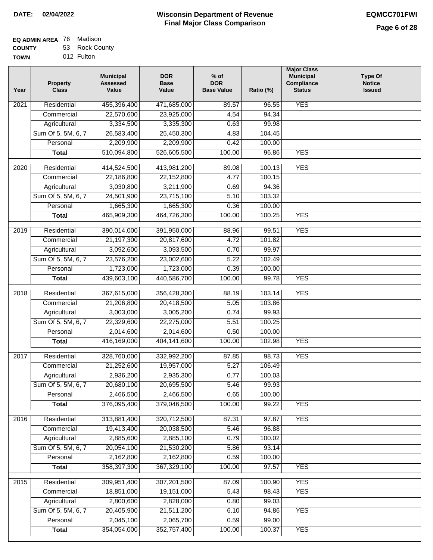٦

| EQ ADMIN AREA 76 | Madison        |
|------------------|----------------|
| <b>COUNTY</b>    | 53 Rock County |

| <b>COUNTY</b> | 53 Rock Cour |
|---------------|--------------|
| TOWN          | 012 Fulton   |

| Year              | <b>Property</b><br><b>Class</b> | <b>Municipal</b><br><b>Assessed</b><br>Value | <b>DOR</b><br><b>Base</b><br>Value | $%$ of<br><b>DOR</b><br><b>Base Value</b> | Ratio (%) | <b>Major Class</b><br><b>Municipal</b><br>Compliance<br><b>Status</b> | <b>Type Of</b><br><b>Notice</b><br><b>Issued</b> |
|-------------------|---------------------------------|----------------------------------------------|------------------------------------|-------------------------------------------|-----------|-----------------------------------------------------------------------|--------------------------------------------------|
| 2021              | Residential                     | 455,396,400                                  | 471,685,000                        | 89.57                                     | 96.55     | <b>YES</b>                                                            |                                                  |
|                   | Commercial                      | 22,570,600                                   | 23,925,000                         | 4.54                                      | 94.34     |                                                                       |                                                  |
|                   | Agricultural                    | 3,334,500                                    | 3,335,300                          | 0.63                                      | 99.98     |                                                                       |                                                  |
|                   | Sum Of 5, 5M, 6, 7              | 26,583,400                                   | 25,450,300                         | 4.83                                      | 104.45    |                                                                       |                                                  |
|                   | Personal                        | 2,209,900                                    | 2,209,900                          | 0.42                                      | 100.00    |                                                                       |                                                  |
|                   | <b>Total</b>                    | 510,094,800                                  | 526,605,500                        | 100.00                                    | 96.86     | <b>YES</b>                                                            |                                                  |
| $\overline{2020}$ | Residential                     | 414,524,500                                  | 413,981,200                        | 89.08                                     | 100.13    | <b>YES</b>                                                            |                                                  |
|                   | Commercial                      | 22,186,800                                   | 22,152,800                         | 4.77                                      | 100.15    |                                                                       |                                                  |
|                   | Agricultural                    | 3,030,800                                    | 3,211,900                          | 0.69                                      | 94.36     |                                                                       |                                                  |
|                   | Sum Of 5, 5M, 6, 7              | 24,501,900                                   | 23,715,100                         | 5.10                                      | 103.32    |                                                                       |                                                  |
|                   | Personal                        | 1,665,300                                    | 1,665,300                          | 0.36                                      | 100.00    |                                                                       |                                                  |
|                   | <b>Total</b>                    | 465,909,300                                  | 464,726,300                        | 100.00                                    | 100.25    | <b>YES</b>                                                            |                                                  |
| $\frac{1}{2019}$  | Residential                     | 390,014,000                                  | 391,950,000                        | 88.96                                     | 99.51     | <b>YES</b>                                                            |                                                  |
|                   | Commercial                      | 21,197,300                                   | 20,817,600                         | 4.72                                      | 101.82    |                                                                       |                                                  |
|                   | Agricultural                    | 3,092,600                                    | 3,093,500                          | 0.70                                      | 99.97     |                                                                       |                                                  |
|                   | Sum Of 5, 5M, 6, 7              | 23,576,200                                   | 23,002,600                         | 5.22                                      | 102.49    |                                                                       |                                                  |
|                   | Personal                        | 1,723,000                                    | 1,723,000                          | 0.39                                      | 100.00    |                                                                       |                                                  |
|                   | <b>Total</b>                    | 439,603,100                                  | 440,586,700                        | 100.00                                    | 99.78     | <b>YES</b>                                                            |                                                  |
| 2018              | Residential                     | 367,615,000                                  | 356,428,300                        | 88.19                                     | 103.14    | <b>YES</b>                                                            |                                                  |
|                   | Commercial                      | 21,206,800                                   | 20,418,500                         | 5.05                                      | 103.86    |                                                                       |                                                  |
|                   | Agricultural                    | 3,003,000                                    | 3,005,200                          | 0.74                                      | 99.93     |                                                                       |                                                  |
|                   | Sum Of 5, 5M, 6, 7              | 22,329,600                                   | 22,275,000                         | 5.51                                      | 100.25    |                                                                       |                                                  |
|                   | Personal                        | 2,014,600                                    | 2,014,600                          | 0.50                                      | 100.00    |                                                                       |                                                  |
|                   | <b>Total</b>                    | 416,169,000                                  | 404,141,600                        | 100.00                                    | 102.98    | <b>YES</b>                                                            |                                                  |
| 2017              | Residential                     | 328,760,000                                  | 332,992,200                        | 87.85                                     | 98.73     | <b>YES</b>                                                            |                                                  |
|                   | Commercial                      | 21,252,600                                   | 19,957,000                         | 5.27                                      | 106.49    |                                                                       |                                                  |
|                   | Agricultural                    | 2,936,200                                    | 2,935,300                          | 0.77                                      | 100.03    |                                                                       |                                                  |
|                   | Sum Of 5, 5M, 6, 7              | 20,680,100                                   | 20,695,500                         | 5.46                                      | 99.93     |                                                                       |                                                  |
|                   | Personal                        | 2,466,500                                    | 2,466,500                          | 0.65                                      | 100.00    |                                                                       |                                                  |
|                   | <b>Total</b>                    | 376,095,400                                  | 379,046,500                        | 100.00                                    | 99.22     | <b>YES</b>                                                            |                                                  |
| 2016              | Residential                     | 313,881,400                                  | 320,712,500                        | 87.31                                     | 97.87     | <b>YES</b>                                                            |                                                  |
|                   | Commercial                      | 19,413,400                                   | 20,038,500                         | 5.46                                      | 96.88     |                                                                       |                                                  |
|                   | Agricultural                    | 2,885,600                                    | 2,885,100                          | 0.79                                      | 100.02    |                                                                       |                                                  |
|                   | Sum Of 5, 5M, 6, 7              | 20,054,100                                   | 21,530,200                         | 5.86                                      | 93.14     |                                                                       |                                                  |
|                   | Personal                        | 2,162,800                                    | 2,162,800                          | 0.59                                      | 100.00    |                                                                       |                                                  |
|                   | <b>Total</b>                    | 358,397,300                                  | 367,329,100                        | 100.00                                    | 97.57     | <b>YES</b>                                                            |                                                  |
|                   |                                 |                                              |                                    |                                           |           |                                                                       |                                                  |
| 2015              | Residential                     | 309,951,400                                  | 307,201,500                        | 87.09                                     | 100.90    | <b>YES</b>                                                            |                                                  |
|                   | Commercial                      | 18,851,000                                   | 19,151,000                         | 5.43                                      | 98.43     | <b>YES</b>                                                            |                                                  |
|                   | Agricultural                    | 2,800,600                                    | 2,828,000                          | 0.80                                      | 99.03     |                                                                       |                                                  |
|                   | Sum Of 5, 5M, 6, 7              | 20,405,900<br>2,045,100                      | 21,511,200                         | 6.10                                      | 94.86     | <b>YES</b>                                                            |                                                  |
|                   | Personal                        |                                              | 2,065,700                          | 0.59                                      | 99.00     | <b>YES</b>                                                            |                                                  |
|                   | <b>Total</b>                    | 354,054,000                                  | 352,757,400                        | 100.00                                    | 100.37    |                                                                       |                                                  |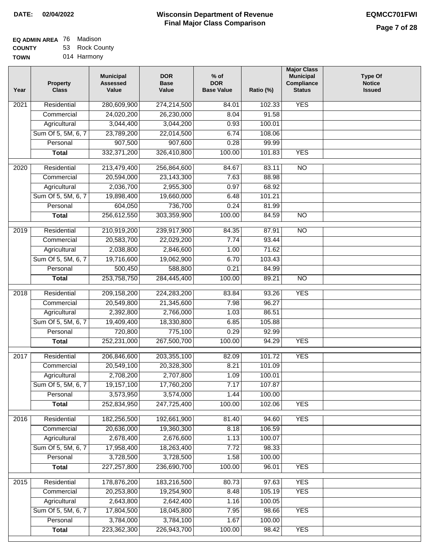| <b>EQ ADMIN AREA 76 Madison</b> |                |
|---------------------------------|----------------|
| <b>COUNTY</b>                   | 53 Rock County |

**TOWN** 014 Harmony

| Year              | <b>Property</b><br><b>Class</b> | <b>Municipal</b><br><b>Assessed</b><br>Value | <b>DOR</b><br><b>Base</b><br>Value | % of<br><b>DOR</b><br><b>Base Value</b> | Ratio (%)        | <b>Major Class</b><br><b>Municipal</b><br>Compliance<br><b>Status</b> | <b>Type Of</b><br><b>Notice</b><br><b>Issued</b> |
|-------------------|---------------------------------|----------------------------------------------|------------------------------------|-----------------------------------------|------------------|-----------------------------------------------------------------------|--------------------------------------------------|
| $\overline{202}1$ | Residential                     | 280,609,900                                  | 274,214,500                        | 84.01                                   | 102.33           | <b>YES</b>                                                            |                                                  |
|                   | Commercial                      | 24,020,200                                   | 26,230,000                         | 8.04                                    | 91.58            |                                                                       |                                                  |
|                   | Agricultural                    | 3,044,400                                    | 3,044,200                          | 0.93                                    | 100.01           |                                                                       |                                                  |
|                   | Sum Of 5, 5M, 6, 7              | 23,789,200                                   | 22,014,500                         | 6.74                                    | 108.06           |                                                                       |                                                  |
|                   | Personal                        | 907,500                                      | 907,600                            | 0.28                                    | 99.99            |                                                                       |                                                  |
|                   | <b>Total</b>                    | 332, 371, 200                                | 326,410,800                        | 100.00                                  | 101.83           | <b>YES</b>                                                            |                                                  |
| $\overline{2020}$ | Residential                     | 213,479,400                                  | 256,864,600                        | 84.67                                   | 83.11            | $\overline{N}$                                                        |                                                  |
|                   | Commercial                      | 20,594,000                                   | 23,143,300                         | 7.63                                    | 88.98            |                                                                       |                                                  |
|                   | Agricultural                    | 2,036,700                                    | 2,955,300                          | 0.97                                    | 68.92            |                                                                       |                                                  |
|                   | Sum Of 5, 5M, 6, 7              | 19,898,400                                   | 19,660,000                         | 6.48                                    | 101.21           |                                                                       |                                                  |
|                   | Personal                        | 604,050                                      | 736,700                            | 0.24                                    | 81.99            |                                                                       |                                                  |
|                   | <b>Total</b>                    | 256,612,550                                  | 303,359,900                        | 100.00                                  | 84.59            | $\overline{NO}$                                                       |                                                  |
|                   |                                 |                                              |                                    |                                         |                  |                                                                       |                                                  |
| 2019              | Residential                     | 210,919,200                                  | 239,917,900                        | 84.35                                   | 87.91            | $\overline{3}$                                                        |                                                  |
|                   | Commercial                      | 20,583,700                                   | 22,029,200                         | 7.74                                    | 93.44            |                                                                       |                                                  |
|                   | Agricultural                    | 2,038,800                                    | 2,846,600                          | 1.00                                    | 71.62            |                                                                       |                                                  |
|                   | Sum Of 5, 5M, 6, 7              | 19,716,600                                   | 19,062,900                         | 6.70                                    | 103.43           |                                                                       |                                                  |
|                   | Personal                        | 500,450                                      | 588,800                            | 0.21                                    | 84.99            |                                                                       |                                                  |
|                   | <b>Total</b>                    | 253,758,750                                  | 284,445,400                        | 100.00                                  | 89.21            | $\overline{NO}$                                                       |                                                  |
| 2018              | Residential                     | 209,158,200                                  | 224,283,200                        | 83.84                                   | 93.26            | <b>YES</b>                                                            |                                                  |
|                   | Commercial                      | 20,549,800                                   | 21,345,600                         | 7.98                                    | 96.27            |                                                                       |                                                  |
|                   | Agricultural                    | 2,392,800                                    | 2,766,000                          | 1.03                                    | 86.51            |                                                                       |                                                  |
|                   | Sum Of 5, 5M, 6, 7              | 19,409,400                                   | 18,330,800                         | 6.85                                    | 105.88           |                                                                       |                                                  |
|                   | Personal                        | 720,800                                      | 775,100                            | 0.29                                    | 92.99            |                                                                       |                                                  |
|                   | <b>Total</b>                    | 252,231,000                                  | 267,500,700                        | 100.00                                  | 94.29            | <b>YES</b>                                                            |                                                  |
| $\overline{2017}$ | Residential                     | 206,846,600                                  | 203,355,100                        | 82.09                                   | 101.72           | <b>YES</b>                                                            |                                                  |
|                   | Commercial                      | 20,549,100                                   | 20,328,300                         | 8.21                                    | 101.09           |                                                                       |                                                  |
|                   | Agricultural                    | 2,708,200                                    | 2,707,800                          | 1.09                                    | 100.01           |                                                                       |                                                  |
|                   | Sum Of 5, 5M, 6, 7              | 19,157,100                                   | 17,760,200                         | 7.17                                    | 107.87           |                                                                       |                                                  |
|                   | Personal                        | 3,573,950                                    | 3,574,000                          | 1.44                                    | 100.00           |                                                                       |                                                  |
|                   | <b>Total</b>                    | 252,834,950                                  | 247,725,400                        | 100.00                                  | 102.06           | <b>YES</b>                                                            |                                                  |
|                   |                                 |                                              |                                    |                                         |                  |                                                                       |                                                  |
| 2016              | Residential                     | 182,256,500                                  | 192,661,900<br>19,360,300          | 81.40                                   | 94.60            | <b>YES</b>                                                            |                                                  |
|                   | Commercial<br>Agricultural      | 20,636,000<br>2,678,400                      | 2,676,600                          | 8.18<br>1.13                            | 106.59<br>100.07 |                                                                       |                                                  |
|                   | Sum Of 5, 5M, 6, 7              | 17,958,400                                   | 18,263,400                         | 7.72                                    | 98.33            |                                                                       |                                                  |
|                   | Personal                        | 3,728,500                                    | 3,728,500                          | 1.58                                    | 100.00           |                                                                       |                                                  |
|                   | <b>Total</b>                    | 227, 257, 800                                | 236,690,700                        | 100.00                                  | 96.01            | <b>YES</b>                                                            |                                                  |
|                   |                                 |                                              |                                    |                                         |                  |                                                                       |                                                  |
| 2015              | Residential                     | 178,876,200                                  | 183,216,500                        | 80.73                                   | 97.63            | <b>YES</b>                                                            |                                                  |
|                   | Commercial                      | 20,253,800                                   | 19,254,900                         | 8.48                                    | 105.19           | <b>YES</b>                                                            |                                                  |
|                   | Agricultural                    | 2,643,800                                    | 2,642,400                          | 1.16                                    | 100.05           |                                                                       |                                                  |
|                   | Sum Of 5, 5M, 6, 7              | 17,804,500                                   | 18,045,800                         | 7.95                                    | 98.66            | <b>YES</b>                                                            |                                                  |
|                   | Personal                        | 3,784,000                                    | 3,784,100                          | 1.67                                    | 100.00           |                                                                       |                                                  |
|                   | <b>Total</b>                    | 223,362,300                                  | 226,943,700                        | 100.00                                  | 98.42            | <b>YES</b>                                                            |                                                  |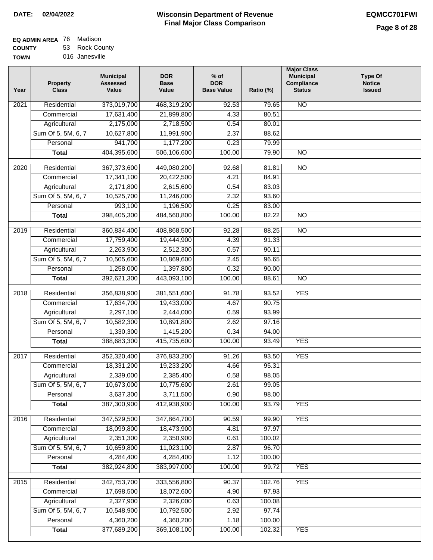| EQ ADMIN AREA 76 Madison |                |
|--------------------------|----------------|
| <b>COUNTY</b>            | 53 Rock County |

**TOWN** 016 Janesville

| Year              | <b>Property</b><br><b>Class</b> | <b>Municipal</b><br><b>Assessed</b><br>Value | <b>DOR</b><br><b>Base</b><br>Value | $%$ of<br><b>DOR</b><br><b>Base Value</b> | Ratio (%) | <b>Major Class</b><br><b>Municipal</b><br>Compliance<br><b>Status</b> | <b>Type Of</b><br><b>Notice</b><br><b>Issued</b> |
|-------------------|---------------------------------|----------------------------------------------|------------------------------------|-------------------------------------------|-----------|-----------------------------------------------------------------------|--------------------------------------------------|
| $\overline{202}1$ | Residential                     | 373,019,700                                  | 468,319,200                        | 92.53                                     | 79.65     | N <sub>O</sub>                                                        |                                                  |
|                   | Commercial                      | 17,631,400                                   | 21,899,800                         | 4.33                                      | 80.51     |                                                                       |                                                  |
|                   | Agricultural                    | 2,175,000                                    | 2,718,500                          | 0.54                                      | 80.01     |                                                                       |                                                  |
|                   | Sum Of 5, 5M, 6, 7              | 10,627,800                                   | 11,991,900                         | 2.37                                      | 88.62     |                                                                       |                                                  |
|                   | Personal                        | 941,700                                      | 1,177,200                          | 0.23                                      | 79.99     |                                                                       |                                                  |
|                   | <b>Total</b>                    | 404,395,600                                  | 506,106,600                        | 100.00                                    | 79.90     | $\overline{NO}$                                                       |                                                  |
| $\overline{2020}$ | Residential                     | 367,373,600                                  | 449,080,200                        | 92.68                                     | 81.81     | $\overline{10}$                                                       |                                                  |
|                   | Commercial                      | 17,341,100                                   | 20,422,500                         | 4.21                                      | 84.91     |                                                                       |                                                  |
|                   | Agricultural                    | 2,171,800                                    | 2,615,600                          | 0.54                                      | 83.03     |                                                                       |                                                  |
|                   | Sum Of 5, 5M, 6, 7              | 10,525,700                                   | 11,246,000                         | 2.32                                      | 93.60     |                                                                       |                                                  |
|                   | Personal                        | 993,100                                      | 1,196,500                          | 0.25                                      | 83.00     |                                                                       |                                                  |
|                   | <b>Total</b>                    | 398,405,300                                  | 484,560,800                        | 100.00                                    | 82.22     | $\overline{NO}$                                                       |                                                  |
| 2019              | Residential                     | 360,834,400                                  | 408,868,500                        | 92.28                                     | 88.25     | $\overline{NO}$                                                       |                                                  |
|                   | Commercial                      | 17,759,400                                   | 19,444,900                         | 4.39                                      | 91.33     |                                                                       |                                                  |
|                   | Agricultural                    | 2,263,900                                    | 2,512,300                          | 0.57                                      | 90.11     |                                                                       |                                                  |
|                   | Sum Of 5, 5M, 6, 7              | 10,505,600                                   | 10,869,600                         | 2.45                                      | 96.65     |                                                                       |                                                  |
|                   | Personal                        | 1,258,000                                    | 1,397,800                          | 0.32                                      | 90.00     |                                                                       |                                                  |
|                   | <b>Total</b>                    | 392,621,300                                  | 443,093,100                        | 100.00                                    | 88.61     | $\overline{NO}$                                                       |                                                  |
|                   |                                 |                                              |                                    |                                           |           |                                                                       |                                                  |
| 2018              | Residential                     | 356,838,900                                  | 381,551,600                        | 91.78                                     | 93.52     | <b>YES</b>                                                            |                                                  |
|                   | Commercial                      | 17,634,700                                   | 19,433,000                         | 4.67                                      | 90.75     |                                                                       |                                                  |
|                   | Agricultural                    | 2,297,100                                    | 2,444,000                          | 0.59                                      | 93.99     |                                                                       |                                                  |
|                   | Sum Of 5, 5M, 6, 7              | 10,582,300                                   | 10,891,800                         | 2.62                                      | 97.16     |                                                                       |                                                  |
|                   | Personal                        | 1,330,300                                    | 1,415,200                          | 0.34                                      | 94.00     |                                                                       |                                                  |
|                   | <b>Total</b>                    | 388,683,300                                  | 415,735,600                        | 100.00                                    | 93.49     | <b>YES</b>                                                            |                                                  |
| $\overline{2017}$ | Residential                     | 352,320,400                                  | 376,833,200                        | 91.26                                     | 93.50     | <b>YES</b>                                                            |                                                  |
|                   | Commercial                      | 18,331,200                                   | 19,233,200                         | 4.66                                      | 95.31     |                                                                       |                                                  |
|                   | Agricultural                    | 2,339,000                                    | 2,385,400                          | 0.58                                      | 98.05     |                                                                       |                                                  |
|                   | Sum Of 5, 5M, 6, 7              | 10,673,000                                   | 10,775,600                         | 2.61                                      | 99.05     |                                                                       |                                                  |
|                   | Personal                        | 3,637,300                                    | 3,711,500                          | 0.90                                      | 98.00     |                                                                       |                                                  |
|                   | <b>Total</b>                    | 387,300,900                                  | 412,938,900                        | 100.00                                    | 93.79     | <b>YES</b>                                                            |                                                  |
| 2016              | Residential                     | 347,529,500                                  | 347,864,700                        | 90.59                                     | 99.90     | <b>YES</b>                                                            |                                                  |
|                   | Commercial                      | 18,099,800                                   | 18,473,900                         | 4.81                                      | 97.97     |                                                                       |                                                  |
|                   | Agricultural                    | 2,351,300                                    | 2,350,900                          | 0.61                                      | 100.02    |                                                                       |                                                  |
|                   | Sum Of 5, 5M, 6, 7              | 10,659,800                                   | 11,023,100                         | 2.87                                      | 96.70     |                                                                       |                                                  |
|                   | Personal                        | 4,284,400                                    | 4,284,400                          | 1.12                                      | 100.00    |                                                                       |                                                  |
|                   | <b>Total</b>                    | 382,924,800                                  | 383,997,000                        | 100.00                                    | 99.72     | <b>YES</b>                                                            |                                                  |
| 2015              | Residential                     | 342,753,700                                  | 333,556,800                        | 90.37                                     | 102.76    | <b>YES</b>                                                            |                                                  |
|                   | Commercial                      | 17,698,500                                   | 18,072,600                         | 4.90                                      | 97.93     |                                                                       |                                                  |
|                   | Agricultural                    | 2,327,900                                    | 2,326,000                          | 0.63                                      | 100.08    |                                                                       |                                                  |
|                   | Sum Of 5, 5M, 6, 7              | 10,548,900                                   | 10,792,500                         | 2.92                                      | 97.74     |                                                                       |                                                  |
|                   | Personal                        | 4,360,200                                    | 4,360,200                          | 1.18                                      | 100.00    |                                                                       |                                                  |
|                   | <b>Total</b>                    | 377,689,200                                  | 369,108,100                        | 100.00                                    | 102.32    | <b>YES</b>                                                            |                                                  |
|                   |                                 |                                              |                                    |                                           |           |                                                                       |                                                  |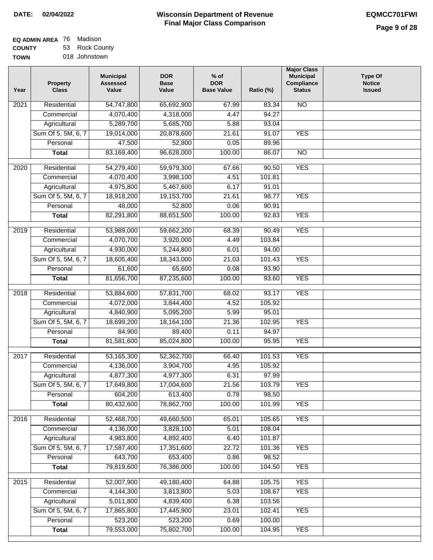| <b>EQ ADMIN AREA 76 Madison</b> |                |
|---------------------------------|----------------|
| <b>COUNTY</b>                   | 53 Rock County |

**TOWN** 018 Johnstown

| N <sub>O</sub><br>Residential<br>54,747,800<br>65,692,900<br>2021<br>67.99<br>83.34<br>4,070,400<br>4,318,000<br>94.27<br>Commercial<br>4.47<br>5,289,700<br>5,685,700<br>Agricultural<br>5.88<br>93.04<br><b>YES</b><br>Sum Of 5, 5M, 6, 7<br>19,014,000<br>20,878,600<br>21.61<br>91.07<br>47,500<br>52,800<br>0.05<br>Personal<br>89.96<br>83,169,400<br>96,628,000<br>100.00<br>86.07<br>$\overline{NO}$<br><b>Total</b><br><b>YES</b><br>Residential<br>54,279,400<br>59,979,300<br>67.66<br>90.50<br>2020<br>4.51<br>4,070,400<br>3,998,100<br>101.81<br>Commercial<br>4,975,800<br>5,467,600<br>6.17<br>91.01<br>Agricultural<br>Sum Of 5, 5M, 6, 7<br><b>YES</b><br>18,918,200<br>19,153,700<br>21.61<br>98.77<br>52,800<br>Personal<br>48,000<br>0.06<br>90.91<br><b>YES</b><br><b>Total</b><br>82,291,800<br>88,651,500<br>100.00<br>92.83<br><b>YES</b><br>Residential<br>53,989,000<br>59,662,200<br>2019<br>68.39<br>90.49<br>Commercial<br>4,070,700<br>4.49<br>103.84<br>3,920,000<br>4,930,000<br>Agricultural<br>5,244,800<br>6.01<br>94.00<br>Sum Of 5, 5M, 6, 7<br>18,605,400<br>18,343,000<br><b>YES</b><br>21.03<br>101.43<br>Personal<br>61,600<br>65,600<br>0.08<br>93.90<br>81,656,700<br>87,235,600<br>100.00<br>93.60<br><b>YES</b><br><b>Total</b><br><b>YES</b><br>2018<br>Residential<br>53,884,600<br>57,831,700<br>68.02<br>93.17<br>Commercial<br>4,072,000<br>3,844,400<br>4.52<br>105.92<br>Agricultural<br>4,840,900<br>5,095,200<br>5.99<br>95.01<br>Sum Of 5, 5M, 6, 7<br>18,699,200<br>18,164,100<br>21.36<br>102.95<br><b>YES</b><br>Personal<br>84,900<br>89,400<br>0.11<br>94.97<br>81,581,600<br>85,024,800<br>100.00<br>95.95<br><b>YES</b><br><b>Total</b><br><b>YES</b><br>2017<br>Residential<br>53,165,300<br>52,362,700<br>66.40<br>101.53<br>4,136,000<br>3,904,700<br>4.95<br>105.92<br>Commercial<br>4,877,300<br>97.99<br>4,977,300<br>6.31<br>Agricultural<br>Sum Of 5, 5M, 6, 7<br>17,649,800<br>17,004,600<br>21.56<br>103.79<br>YES<br>604,200<br>613,400<br>0.78<br>98.50<br>Personal<br>78,862,700<br><b>YES</b><br>80,432,600<br>100.00<br>101.99<br><b>Total</b><br>Residential<br>52,468,700<br>49,660,500<br>65.01<br>105.65<br><b>YES</b><br>2016<br>5.01<br>108.04<br>Commercial<br>4,136,000<br>3,828,100<br>4,983,800<br>4,892,400<br>6.40<br>101.87<br>Agricultural<br>Sum Of 5, 5M, 6, 7<br>17,587,400<br>17,351,600<br>22.72<br>101.36<br><b>YES</b><br>643,700<br>653,400<br>Personal<br>0.86<br>98.52<br>79,819,600<br>76,386,000<br>100.00<br>104.50<br><b>YES</b><br><b>Total</b><br>Residential<br>52,007,900<br>105.75<br><b>YES</b><br>2015<br>49,180,400<br>64.88<br>Commercial<br>4,144,300<br>3,813,800<br>5.03<br>108.67<br><b>YES</b><br>Agricultural<br>5,011,800<br>4,839,400<br>6.38<br>103.56<br>Sum Of 5, 5M, 6, 7<br>17,445,900<br>17,865,800<br>23.01<br>102.41<br><b>YES</b> | Year | <b>Property</b><br><b>Class</b> | <b>Municipal</b><br><b>Assessed</b><br>Value | <b>DOR</b><br><b>Base</b><br>Value | $%$ of<br><b>DOR</b><br><b>Base Value</b> | Ratio (%) | <b>Major Class</b><br><b>Municipal</b><br>Compliance<br><b>Status</b> | <b>Type Of</b><br><b>Notice</b><br><b>Issued</b> |
|-----------------------------------------------------------------------------------------------------------------------------------------------------------------------------------------------------------------------------------------------------------------------------------------------------------------------------------------------------------------------------------------------------------------------------------------------------------------------------------------------------------------------------------------------------------------------------------------------------------------------------------------------------------------------------------------------------------------------------------------------------------------------------------------------------------------------------------------------------------------------------------------------------------------------------------------------------------------------------------------------------------------------------------------------------------------------------------------------------------------------------------------------------------------------------------------------------------------------------------------------------------------------------------------------------------------------------------------------------------------------------------------------------------------------------------------------------------------------------------------------------------------------------------------------------------------------------------------------------------------------------------------------------------------------------------------------------------------------------------------------------------------------------------------------------------------------------------------------------------------------------------------------------------------------------------------------------------------------------------------------------------------------------------------------------------------------------------------------------------------------------------------------------------------------------------------------------------------------------------------------------------------------------------------------------------------------------------------------------------------------------------------------------------------------------------------------------------------------------------------------------------------------------------------------------------------------------------------------------------------------------------------------------------------------------------------------------------------------------------------------------------------------------------------------------------------------------------------------------------------------|------|---------------------------------|----------------------------------------------|------------------------------------|-------------------------------------------|-----------|-----------------------------------------------------------------------|--------------------------------------------------|
|                                                                                                                                                                                                                                                                                                                                                                                                                                                                                                                                                                                                                                                                                                                                                                                                                                                                                                                                                                                                                                                                                                                                                                                                                                                                                                                                                                                                                                                                                                                                                                                                                                                                                                                                                                                                                                                                                                                                                                                                                                                                                                                                                                                                                                                                                                                                                                                                                                                                                                                                                                                                                                                                                                                                                                                                                                                                       |      |                                 |                                              |                                    |                                           |           |                                                                       |                                                  |
|                                                                                                                                                                                                                                                                                                                                                                                                                                                                                                                                                                                                                                                                                                                                                                                                                                                                                                                                                                                                                                                                                                                                                                                                                                                                                                                                                                                                                                                                                                                                                                                                                                                                                                                                                                                                                                                                                                                                                                                                                                                                                                                                                                                                                                                                                                                                                                                                                                                                                                                                                                                                                                                                                                                                                                                                                                                                       |      |                                 |                                              |                                    |                                           |           |                                                                       |                                                  |
|                                                                                                                                                                                                                                                                                                                                                                                                                                                                                                                                                                                                                                                                                                                                                                                                                                                                                                                                                                                                                                                                                                                                                                                                                                                                                                                                                                                                                                                                                                                                                                                                                                                                                                                                                                                                                                                                                                                                                                                                                                                                                                                                                                                                                                                                                                                                                                                                                                                                                                                                                                                                                                                                                                                                                                                                                                                                       |      |                                 |                                              |                                    |                                           |           |                                                                       |                                                  |
|                                                                                                                                                                                                                                                                                                                                                                                                                                                                                                                                                                                                                                                                                                                                                                                                                                                                                                                                                                                                                                                                                                                                                                                                                                                                                                                                                                                                                                                                                                                                                                                                                                                                                                                                                                                                                                                                                                                                                                                                                                                                                                                                                                                                                                                                                                                                                                                                                                                                                                                                                                                                                                                                                                                                                                                                                                                                       |      |                                 |                                              |                                    |                                           |           |                                                                       |                                                  |
|                                                                                                                                                                                                                                                                                                                                                                                                                                                                                                                                                                                                                                                                                                                                                                                                                                                                                                                                                                                                                                                                                                                                                                                                                                                                                                                                                                                                                                                                                                                                                                                                                                                                                                                                                                                                                                                                                                                                                                                                                                                                                                                                                                                                                                                                                                                                                                                                                                                                                                                                                                                                                                                                                                                                                                                                                                                                       |      |                                 |                                              |                                    |                                           |           |                                                                       |                                                  |
|                                                                                                                                                                                                                                                                                                                                                                                                                                                                                                                                                                                                                                                                                                                                                                                                                                                                                                                                                                                                                                                                                                                                                                                                                                                                                                                                                                                                                                                                                                                                                                                                                                                                                                                                                                                                                                                                                                                                                                                                                                                                                                                                                                                                                                                                                                                                                                                                                                                                                                                                                                                                                                                                                                                                                                                                                                                                       |      |                                 |                                              |                                    |                                           |           |                                                                       |                                                  |
|                                                                                                                                                                                                                                                                                                                                                                                                                                                                                                                                                                                                                                                                                                                                                                                                                                                                                                                                                                                                                                                                                                                                                                                                                                                                                                                                                                                                                                                                                                                                                                                                                                                                                                                                                                                                                                                                                                                                                                                                                                                                                                                                                                                                                                                                                                                                                                                                                                                                                                                                                                                                                                                                                                                                                                                                                                                                       |      |                                 |                                              |                                    |                                           |           |                                                                       |                                                  |
|                                                                                                                                                                                                                                                                                                                                                                                                                                                                                                                                                                                                                                                                                                                                                                                                                                                                                                                                                                                                                                                                                                                                                                                                                                                                                                                                                                                                                                                                                                                                                                                                                                                                                                                                                                                                                                                                                                                                                                                                                                                                                                                                                                                                                                                                                                                                                                                                                                                                                                                                                                                                                                                                                                                                                                                                                                                                       |      |                                 |                                              |                                    |                                           |           |                                                                       |                                                  |
|                                                                                                                                                                                                                                                                                                                                                                                                                                                                                                                                                                                                                                                                                                                                                                                                                                                                                                                                                                                                                                                                                                                                                                                                                                                                                                                                                                                                                                                                                                                                                                                                                                                                                                                                                                                                                                                                                                                                                                                                                                                                                                                                                                                                                                                                                                                                                                                                                                                                                                                                                                                                                                                                                                                                                                                                                                                                       |      |                                 |                                              |                                    |                                           |           |                                                                       |                                                  |
|                                                                                                                                                                                                                                                                                                                                                                                                                                                                                                                                                                                                                                                                                                                                                                                                                                                                                                                                                                                                                                                                                                                                                                                                                                                                                                                                                                                                                                                                                                                                                                                                                                                                                                                                                                                                                                                                                                                                                                                                                                                                                                                                                                                                                                                                                                                                                                                                                                                                                                                                                                                                                                                                                                                                                                                                                                                                       |      |                                 |                                              |                                    |                                           |           |                                                                       |                                                  |
|                                                                                                                                                                                                                                                                                                                                                                                                                                                                                                                                                                                                                                                                                                                                                                                                                                                                                                                                                                                                                                                                                                                                                                                                                                                                                                                                                                                                                                                                                                                                                                                                                                                                                                                                                                                                                                                                                                                                                                                                                                                                                                                                                                                                                                                                                                                                                                                                                                                                                                                                                                                                                                                                                                                                                                                                                                                                       |      |                                 |                                              |                                    |                                           |           |                                                                       |                                                  |
|                                                                                                                                                                                                                                                                                                                                                                                                                                                                                                                                                                                                                                                                                                                                                                                                                                                                                                                                                                                                                                                                                                                                                                                                                                                                                                                                                                                                                                                                                                                                                                                                                                                                                                                                                                                                                                                                                                                                                                                                                                                                                                                                                                                                                                                                                                                                                                                                                                                                                                                                                                                                                                                                                                                                                                                                                                                                       |      |                                 |                                              |                                    |                                           |           |                                                                       |                                                  |
|                                                                                                                                                                                                                                                                                                                                                                                                                                                                                                                                                                                                                                                                                                                                                                                                                                                                                                                                                                                                                                                                                                                                                                                                                                                                                                                                                                                                                                                                                                                                                                                                                                                                                                                                                                                                                                                                                                                                                                                                                                                                                                                                                                                                                                                                                                                                                                                                                                                                                                                                                                                                                                                                                                                                                                                                                                                                       |      |                                 |                                              |                                    |                                           |           |                                                                       |                                                  |
|                                                                                                                                                                                                                                                                                                                                                                                                                                                                                                                                                                                                                                                                                                                                                                                                                                                                                                                                                                                                                                                                                                                                                                                                                                                                                                                                                                                                                                                                                                                                                                                                                                                                                                                                                                                                                                                                                                                                                                                                                                                                                                                                                                                                                                                                                                                                                                                                                                                                                                                                                                                                                                                                                                                                                                                                                                                                       |      |                                 |                                              |                                    |                                           |           |                                                                       |                                                  |
|                                                                                                                                                                                                                                                                                                                                                                                                                                                                                                                                                                                                                                                                                                                                                                                                                                                                                                                                                                                                                                                                                                                                                                                                                                                                                                                                                                                                                                                                                                                                                                                                                                                                                                                                                                                                                                                                                                                                                                                                                                                                                                                                                                                                                                                                                                                                                                                                                                                                                                                                                                                                                                                                                                                                                                                                                                                                       |      |                                 |                                              |                                    |                                           |           |                                                                       |                                                  |
|                                                                                                                                                                                                                                                                                                                                                                                                                                                                                                                                                                                                                                                                                                                                                                                                                                                                                                                                                                                                                                                                                                                                                                                                                                                                                                                                                                                                                                                                                                                                                                                                                                                                                                                                                                                                                                                                                                                                                                                                                                                                                                                                                                                                                                                                                                                                                                                                                                                                                                                                                                                                                                                                                                                                                                                                                                                                       |      |                                 |                                              |                                    |                                           |           |                                                                       |                                                  |
|                                                                                                                                                                                                                                                                                                                                                                                                                                                                                                                                                                                                                                                                                                                                                                                                                                                                                                                                                                                                                                                                                                                                                                                                                                                                                                                                                                                                                                                                                                                                                                                                                                                                                                                                                                                                                                                                                                                                                                                                                                                                                                                                                                                                                                                                                                                                                                                                                                                                                                                                                                                                                                                                                                                                                                                                                                                                       |      |                                 |                                              |                                    |                                           |           |                                                                       |                                                  |
|                                                                                                                                                                                                                                                                                                                                                                                                                                                                                                                                                                                                                                                                                                                                                                                                                                                                                                                                                                                                                                                                                                                                                                                                                                                                                                                                                                                                                                                                                                                                                                                                                                                                                                                                                                                                                                                                                                                                                                                                                                                                                                                                                                                                                                                                                                                                                                                                                                                                                                                                                                                                                                                                                                                                                                                                                                                                       |      |                                 |                                              |                                    |                                           |           |                                                                       |                                                  |
|                                                                                                                                                                                                                                                                                                                                                                                                                                                                                                                                                                                                                                                                                                                                                                                                                                                                                                                                                                                                                                                                                                                                                                                                                                                                                                                                                                                                                                                                                                                                                                                                                                                                                                                                                                                                                                                                                                                                                                                                                                                                                                                                                                                                                                                                                                                                                                                                                                                                                                                                                                                                                                                                                                                                                                                                                                                                       |      |                                 |                                              |                                    |                                           |           |                                                                       |                                                  |
|                                                                                                                                                                                                                                                                                                                                                                                                                                                                                                                                                                                                                                                                                                                                                                                                                                                                                                                                                                                                                                                                                                                                                                                                                                                                                                                                                                                                                                                                                                                                                                                                                                                                                                                                                                                                                                                                                                                                                                                                                                                                                                                                                                                                                                                                                                                                                                                                                                                                                                                                                                                                                                                                                                                                                                                                                                                                       |      |                                 |                                              |                                    |                                           |           |                                                                       |                                                  |
|                                                                                                                                                                                                                                                                                                                                                                                                                                                                                                                                                                                                                                                                                                                                                                                                                                                                                                                                                                                                                                                                                                                                                                                                                                                                                                                                                                                                                                                                                                                                                                                                                                                                                                                                                                                                                                                                                                                                                                                                                                                                                                                                                                                                                                                                                                                                                                                                                                                                                                                                                                                                                                                                                                                                                                                                                                                                       |      |                                 |                                              |                                    |                                           |           |                                                                       |                                                  |
|                                                                                                                                                                                                                                                                                                                                                                                                                                                                                                                                                                                                                                                                                                                                                                                                                                                                                                                                                                                                                                                                                                                                                                                                                                                                                                                                                                                                                                                                                                                                                                                                                                                                                                                                                                                                                                                                                                                                                                                                                                                                                                                                                                                                                                                                                                                                                                                                                                                                                                                                                                                                                                                                                                                                                                                                                                                                       |      |                                 |                                              |                                    |                                           |           |                                                                       |                                                  |
|                                                                                                                                                                                                                                                                                                                                                                                                                                                                                                                                                                                                                                                                                                                                                                                                                                                                                                                                                                                                                                                                                                                                                                                                                                                                                                                                                                                                                                                                                                                                                                                                                                                                                                                                                                                                                                                                                                                                                                                                                                                                                                                                                                                                                                                                                                                                                                                                                                                                                                                                                                                                                                                                                                                                                                                                                                                                       |      |                                 |                                              |                                    |                                           |           |                                                                       |                                                  |
|                                                                                                                                                                                                                                                                                                                                                                                                                                                                                                                                                                                                                                                                                                                                                                                                                                                                                                                                                                                                                                                                                                                                                                                                                                                                                                                                                                                                                                                                                                                                                                                                                                                                                                                                                                                                                                                                                                                                                                                                                                                                                                                                                                                                                                                                                                                                                                                                                                                                                                                                                                                                                                                                                                                                                                                                                                                                       |      |                                 |                                              |                                    |                                           |           |                                                                       |                                                  |
|                                                                                                                                                                                                                                                                                                                                                                                                                                                                                                                                                                                                                                                                                                                                                                                                                                                                                                                                                                                                                                                                                                                                                                                                                                                                                                                                                                                                                                                                                                                                                                                                                                                                                                                                                                                                                                                                                                                                                                                                                                                                                                                                                                                                                                                                                                                                                                                                                                                                                                                                                                                                                                                                                                                                                                                                                                                                       |      |                                 |                                              |                                    |                                           |           |                                                                       |                                                  |
|                                                                                                                                                                                                                                                                                                                                                                                                                                                                                                                                                                                                                                                                                                                                                                                                                                                                                                                                                                                                                                                                                                                                                                                                                                                                                                                                                                                                                                                                                                                                                                                                                                                                                                                                                                                                                                                                                                                                                                                                                                                                                                                                                                                                                                                                                                                                                                                                                                                                                                                                                                                                                                                                                                                                                                                                                                                                       |      |                                 |                                              |                                    |                                           |           |                                                                       |                                                  |
|                                                                                                                                                                                                                                                                                                                                                                                                                                                                                                                                                                                                                                                                                                                                                                                                                                                                                                                                                                                                                                                                                                                                                                                                                                                                                                                                                                                                                                                                                                                                                                                                                                                                                                                                                                                                                                                                                                                                                                                                                                                                                                                                                                                                                                                                                                                                                                                                                                                                                                                                                                                                                                                                                                                                                                                                                                                                       |      |                                 |                                              |                                    |                                           |           |                                                                       |                                                  |
|                                                                                                                                                                                                                                                                                                                                                                                                                                                                                                                                                                                                                                                                                                                                                                                                                                                                                                                                                                                                                                                                                                                                                                                                                                                                                                                                                                                                                                                                                                                                                                                                                                                                                                                                                                                                                                                                                                                                                                                                                                                                                                                                                                                                                                                                                                                                                                                                                                                                                                                                                                                                                                                                                                                                                                                                                                                                       |      |                                 |                                              |                                    |                                           |           |                                                                       |                                                  |
|                                                                                                                                                                                                                                                                                                                                                                                                                                                                                                                                                                                                                                                                                                                                                                                                                                                                                                                                                                                                                                                                                                                                                                                                                                                                                                                                                                                                                                                                                                                                                                                                                                                                                                                                                                                                                                                                                                                                                                                                                                                                                                                                                                                                                                                                                                                                                                                                                                                                                                                                                                                                                                                                                                                                                                                                                                                                       |      |                                 |                                              |                                    |                                           |           |                                                                       |                                                  |
|                                                                                                                                                                                                                                                                                                                                                                                                                                                                                                                                                                                                                                                                                                                                                                                                                                                                                                                                                                                                                                                                                                                                                                                                                                                                                                                                                                                                                                                                                                                                                                                                                                                                                                                                                                                                                                                                                                                                                                                                                                                                                                                                                                                                                                                                                                                                                                                                                                                                                                                                                                                                                                                                                                                                                                                                                                                                       |      |                                 |                                              |                                    |                                           |           |                                                                       |                                                  |
|                                                                                                                                                                                                                                                                                                                                                                                                                                                                                                                                                                                                                                                                                                                                                                                                                                                                                                                                                                                                                                                                                                                                                                                                                                                                                                                                                                                                                                                                                                                                                                                                                                                                                                                                                                                                                                                                                                                                                                                                                                                                                                                                                                                                                                                                                                                                                                                                                                                                                                                                                                                                                                                                                                                                                                                                                                                                       |      |                                 |                                              |                                    |                                           |           |                                                                       |                                                  |
|                                                                                                                                                                                                                                                                                                                                                                                                                                                                                                                                                                                                                                                                                                                                                                                                                                                                                                                                                                                                                                                                                                                                                                                                                                                                                                                                                                                                                                                                                                                                                                                                                                                                                                                                                                                                                                                                                                                                                                                                                                                                                                                                                                                                                                                                                                                                                                                                                                                                                                                                                                                                                                                                                                                                                                                                                                                                       |      |                                 |                                              |                                    |                                           |           |                                                                       |                                                  |
|                                                                                                                                                                                                                                                                                                                                                                                                                                                                                                                                                                                                                                                                                                                                                                                                                                                                                                                                                                                                                                                                                                                                                                                                                                                                                                                                                                                                                                                                                                                                                                                                                                                                                                                                                                                                                                                                                                                                                                                                                                                                                                                                                                                                                                                                                                                                                                                                                                                                                                                                                                                                                                                                                                                                                                                                                                                                       |      |                                 |                                              |                                    |                                           |           |                                                                       |                                                  |
|                                                                                                                                                                                                                                                                                                                                                                                                                                                                                                                                                                                                                                                                                                                                                                                                                                                                                                                                                                                                                                                                                                                                                                                                                                                                                                                                                                                                                                                                                                                                                                                                                                                                                                                                                                                                                                                                                                                                                                                                                                                                                                                                                                                                                                                                                                                                                                                                                                                                                                                                                                                                                                                                                                                                                                                                                                                                       |      |                                 |                                              |                                    |                                           |           |                                                                       |                                                  |
|                                                                                                                                                                                                                                                                                                                                                                                                                                                                                                                                                                                                                                                                                                                                                                                                                                                                                                                                                                                                                                                                                                                                                                                                                                                                                                                                                                                                                                                                                                                                                                                                                                                                                                                                                                                                                                                                                                                                                                                                                                                                                                                                                                                                                                                                                                                                                                                                                                                                                                                                                                                                                                                                                                                                                                                                                                                                       |      |                                 |                                              |                                    |                                           |           |                                                                       |                                                  |
|                                                                                                                                                                                                                                                                                                                                                                                                                                                                                                                                                                                                                                                                                                                                                                                                                                                                                                                                                                                                                                                                                                                                                                                                                                                                                                                                                                                                                                                                                                                                                                                                                                                                                                                                                                                                                                                                                                                                                                                                                                                                                                                                                                                                                                                                                                                                                                                                                                                                                                                                                                                                                                                                                                                                                                                                                                                                       |      |                                 |                                              |                                    |                                           |           |                                                                       |                                                  |
|                                                                                                                                                                                                                                                                                                                                                                                                                                                                                                                                                                                                                                                                                                                                                                                                                                                                                                                                                                                                                                                                                                                                                                                                                                                                                                                                                                                                                                                                                                                                                                                                                                                                                                                                                                                                                                                                                                                                                                                                                                                                                                                                                                                                                                                                                                                                                                                                                                                                                                                                                                                                                                                                                                                                                                                                                                                                       |      |                                 |                                              |                                    |                                           |           |                                                                       |                                                  |
|                                                                                                                                                                                                                                                                                                                                                                                                                                                                                                                                                                                                                                                                                                                                                                                                                                                                                                                                                                                                                                                                                                                                                                                                                                                                                                                                                                                                                                                                                                                                                                                                                                                                                                                                                                                                                                                                                                                                                                                                                                                                                                                                                                                                                                                                                                                                                                                                                                                                                                                                                                                                                                                                                                                                                                                                                                                                       |      |                                 |                                              |                                    |                                           |           |                                                                       |                                                  |
|                                                                                                                                                                                                                                                                                                                                                                                                                                                                                                                                                                                                                                                                                                                                                                                                                                                                                                                                                                                                                                                                                                                                                                                                                                                                                                                                                                                                                                                                                                                                                                                                                                                                                                                                                                                                                                                                                                                                                                                                                                                                                                                                                                                                                                                                                                                                                                                                                                                                                                                                                                                                                                                                                                                                                                                                                                                                       |      |                                 |                                              |                                    |                                           |           |                                                                       |                                                  |
|                                                                                                                                                                                                                                                                                                                                                                                                                                                                                                                                                                                                                                                                                                                                                                                                                                                                                                                                                                                                                                                                                                                                                                                                                                                                                                                                                                                                                                                                                                                                                                                                                                                                                                                                                                                                                                                                                                                                                                                                                                                                                                                                                                                                                                                                                                                                                                                                                                                                                                                                                                                                                                                                                                                                                                                                                                                                       |      |                                 |                                              |                                    |                                           |           |                                                                       |                                                  |
|                                                                                                                                                                                                                                                                                                                                                                                                                                                                                                                                                                                                                                                                                                                                                                                                                                                                                                                                                                                                                                                                                                                                                                                                                                                                                                                                                                                                                                                                                                                                                                                                                                                                                                                                                                                                                                                                                                                                                                                                                                                                                                                                                                                                                                                                                                                                                                                                                                                                                                                                                                                                                                                                                                                                                                                                                                                                       |      |                                 |                                              |                                    |                                           |           |                                                                       |                                                  |
| Personal<br>523,200<br>523,200<br>0.69<br>100.00                                                                                                                                                                                                                                                                                                                                                                                                                                                                                                                                                                                                                                                                                                                                                                                                                                                                                                                                                                                                                                                                                                                                                                                                                                                                                                                                                                                                                                                                                                                                                                                                                                                                                                                                                                                                                                                                                                                                                                                                                                                                                                                                                                                                                                                                                                                                                                                                                                                                                                                                                                                                                                                                                                                                                                                                                      |      |                                 |                                              |                                    |                                           |           |                                                                       |                                                  |
| 79,553,000<br>75,802,700<br>100.00<br>104.95<br><b>YES</b><br><b>Total</b>                                                                                                                                                                                                                                                                                                                                                                                                                                                                                                                                                                                                                                                                                                                                                                                                                                                                                                                                                                                                                                                                                                                                                                                                                                                                                                                                                                                                                                                                                                                                                                                                                                                                                                                                                                                                                                                                                                                                                                                                                                                                                                                                                                                                                                                                                                                                                                                                                                                                                                                                                                                                                                                                                                                                                                                            |      |                                 |                                              |                                    |                                           |           |                                                                       |                                                  |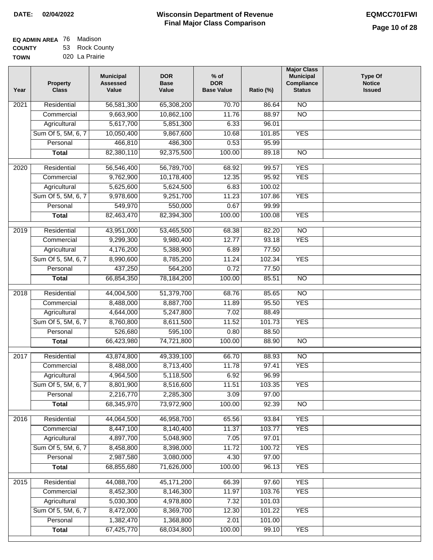| <b>EQ ADMIN AREA 76 Madison</b> |                |
|---------------------------------|----------------|
| <b>COUNTY</b>                   | 53 Rock County |

**TOWN** 020 La Prairie

| Year              | <b>Property</b><br><b>Class</b> | <b>Municipal</b><br><b>Assessed</b><br>Value | <b>DOR</b><br><b>Base</b><br>Value | % of<br><b>DOR</b><br><b>Base Value</b> | Ratio (%) | <b>Major Class</b><br><b>Municipal</b><br>Compliance<br><b>Status</b> | <b>Type Of</b><br><b>Notice</b><br><b>Issued</b> |
|-------------------|---------------------------------|----------------------------------------------|------------------------------------|-----------------------------------------|-----------|-----------------------------------------------------------------------|--------------------------------------------------|
| $\overline{202}1$ | Residential                     | 56,581,300                                   | 65,308,200                         | 70.70                                   | 86.64     | N <sub>O</sub>                                                        |                                                  |
|                   | Commercial                      | 9,663,900                                    | 10,862,100                         | 11.76                                   | 88.97     | $\overline{NO}$                                                       |                                                  |
|                   | Agricultural                    | 5,617,700                                    | 5,851,300                          | 6.33                                    | 96.01     |                                                                       |                                                  |
|                   | Sum Of 5, 5M, 6, 7              | 10,050,400                                   | 9,867,600                          | 10.68                                   | 101.85    | <b>YES</b>                                                            |                                                  |
|                   | Personal                        | 466,810                                      | 486,300                            | 0.53                                    | 95.99     |                                                                       |                                                  |
|                   | <b>Total</b>                    | 82,380,110                                   | 92,375,500                         | 100.00                                  | 89.18     | $\overline{NO}$                                                       |                                                  |
| $\overline{2020}$ | Residential                     | 56,546,400                                   | 56,789,700                         | 68.92                                   | 99.57     | <b>YES</b>                                                            |                                                  |
|                   | Commercial                      | 9,762,900                                    | 10,178,400                         | 12.35                                   | 95.92     | <b>YES</b>                                                            |                                                  |
|                   | Agricultural                    | 5,625,600                                    | 5,624,500                          | 6.83                                    | 100.02    |                                                                       |                                                  |
|                   | Sum Of 5, 5M, 6, 7              | 9,978,600                                    | 9,251,700                          | 11.23                                   | 107.86    | <b>YES</b>                                                            |                                                  |
|                   | Personal                        | 549,970                                      | 550,000                            | 0.67                                    | 99.99     |                                                                       |                                                  |
|                   | <b>Total</b>                    | 82,463,470                                   | 82,394,300                         | 100.00                                  | 100.08    | <b>YES</b>                                                            |                                                  |
|                   |                                 |                                              |                                    |                                         |           |                                                                       |                                                  |
| $\frac{2019}{ }$  | Residential                     | 43,951,000                                   | 53,465,500                         | 68.38                                   | 82.20     | $\overline{3}$                                                        |                                                  |
|                   | Commercial                      | 9,299,300                                    | 9,980,400                          | 12.77                                   | 93.18     | <b>YES</b>                                                            |                                                  |
|                   | Agricultural                    | 4,176,200                                    | 5,388,900                          | 6.89                                    | 77.50     |                                                                       |                                                  |
|                   | Sum Of 5, 5M, 6, 7              | 8,990,600                                    | 8,785,200                          | 11.24                                   | 102.34    | <b>YES</b>                                                            |                                                  |
|                   | Personal                        | 437,250                                      | 564,200                            | 0.72                                    | 77.50     |                                                                       |                                                  |
|                   | <b>Total</b>                    | 66,854,350                                   | 78,184,200                         | 100.00                                  | 85.51     | $\overline{NO}$                                                       |                                                  |
| 2018              | Residential                     | 44,004,500                                   | 51,379,700                         | 68.76                                   | 85.65     | $\overline{10}$                                                       |                                                  |
|                   | Commercial                      | 8,488,000                                    | 8,887,700                          | 11.89                                   | 95.50     | <b>YES</b>                                                            |                                                  |
|                   | Agricultural                    | 4,644,000                                    | 5,247,800                          | 7.02                                    | 88.49     |                                                                       |                                                  |
|                   | Sum Of 5, 5M, 6, 7              | 8,760,800                                    | 8,611,500                          | 11.52                                   | 101.73    | <b>YES</b>                                                            |                                                  |
|                   | Personal                        | 526,680                                      | 595,100                            | 0.80                                    | 88.50     |                                                                       |                                                  |
|                   | <b>Total</b>                    | 66,423,980                                   | 74,721,800                         | 100.00                                  | 88.90     | <b>NO</b>                                                             |                                                  |
| $\overline{2017}$ | Residential                     | 43,874,800                                   | 49,339,100                         | 66.70                                   | 88.93     | N <sub>O</sub>                                                        |                                                  |
|                   | Commercial                      | 8,488,000                                    | 8,713,400                          | 11.78                                   | 97.41     | <b>YES</b>                                                            |                                                  |
|                   | Agricultural                    | 4,964,500                                    | 5,118,500                          | 6.92                                    | 96.99     |                                                                       |                                                  |
|                   | Sum Of 5, 5M, 6, 7              | 8,801,900                                    | 8,516,600                          | 11.51                                   | 103.35    | <b>YES</b>                                                            |                                                  |
|                   | Personal                        | 2,216,770                                    | 2,285,300                          | 3.09                                    | 97.00     |                                                                       |                                                  |
|                   | <b>Total</b>                    | 68,345,970                                   | 73,972,900                         | 100.00                                  | 92.39     | <b>NO</b>                                                             |                                                  |
|                   |                                 |                                              |                                    |                                         |           |                                                                       |                                                  |
| 2016              | Residential                     | 44,064,500                                   | 46,958,700                         | 65.56                                   | 93.84     | <b>YES</b>                                                            |                                                  |
|                   | Commercial                      | 8,447,100                                    | 8,140,400                          | 11.37                                   | 103.77    | <b>YES</b>                                                            |                                                  |
|                   | Agricultural                    | 4,897,700                                    | 5,048,900                          | 7.05                                    | 97.01     |                                                                       |                                                  |
|                   | Sum Of 5, 5M, 6, 7              | 8,458,800                                    | 8,398,000                          | 11.72                                   | 100.72    | <b>YES</b>                                                            |                                                  |
|                   | Personal                        | 2,987,580                                    | 3,080,000                          | 4.30                                    | 97.00     |                                                                       |                                                  |
|                   | <b>Total</b>                    | 68,855,680                                   | 71,626,000                         | 100.00                                  | 96.13     | <b>YES</b>                                                            |                                                  |
| 2015              | Residential                     | 44,088,700                                   | 45, 171, 200                       | 66.39                                   | 97.60     | <b>YES</b>                                                            |                                                  |
|                   | Commercial                      | 8,452,300                                    | 8,146,300                          | 11.97                                   | 103.76    | <b>YES</b>                                                            |                                                  |
|                   | Agricultural                    | 5,030,300                                    | 4,978,800                          | 7.32                                    | 101.03    |                                                                       |                                                  |
|                   | Sum Of 5, 5M, 6, 7              | 8,472,000                                    | 8,369,700                          | 12.30                                   | 101.22    | <b>YES</b>                                                            |                                                  |
|                   | Personal                        | 1,382,470                                    | 1,368,800                          | 2.01                                    | 101.00    |                                                                       |                                                  |
|                   | <b>Total</b>                    | 67,425,770                                   | 68,034,800                         | 100.00                                  | 99.10     | <b>YES</b>                                                            |                                                  |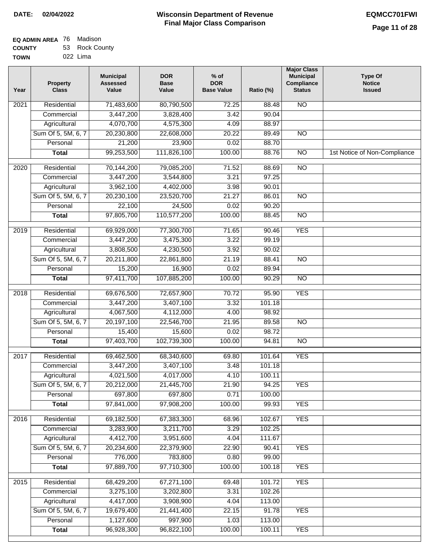| EQ ADMIN AREA 76 Madison |                |
|--------------------------|----------------|
| <b>COUNTY</b>            | 53 Rock County |

**TOWN** 022 Lima

| Year              | <b>Property</b><br><b>Class</b> | <b>Municipal</b><br><b>Assessed</b><br>Value | <b>DOR</b><br><b>Base</b><br>Value | % of<br><b>DOR</b><br><b>Base Value</b> | Ratio (%) | <b>Major Class</b><br><b>Municipal</b><br>Compliance<br><b>Status</b> | <b>Type Of</b><br><b>Notice</b><br><b>Issued</b> |
|-------------------|---------------------------------|----------------------------------------------|------------------------------------|-----------------------------------------|-----------|-----------------------------------------------------------------------|--------------------------------------------------|
| $\overline{202}1$ | Residential                     | 71,483,600                                   | 80,790,500                         | 72.25                                   | 88.48     | $\overline{NO}$                                                       |                                                  |
|                   | Commercial                      | 3,447,200                                    | 3,828,400                          | 3.42                                    | 90.04     |                                                                       |                                                  |
|                   | Agricultural                    | 4,070,700                                    | 4,575,300                          | 4.09                                    | 88.97     |                                                                       |                                                  |
|                   | Sum Of 5, 5M, 6, 7              | 20,230,800                                   | 22,608,000                         | 20.22                                   | 89.49     | N <sub>O</sub>                                                        |                                                  |
|                   | Personal                        | 21,200                                       | 23,900                             | 0.02                                    | 88.70     |                                                                       |                                                  |
|                   | <b>Total</b>                    | 99,253,500                                   | 111,826,100                        | 100.00                                  | 88.76     | $\overline{NO}$                                                       | 1st Notice of Non-Compliance                     |
| $\overline{2020}$ | Residential                     | 70,144,200                                   | 79,085,200                         | 71.52                                   | 88.69     | $\overline{NO}$                                                       |                                                  |
|                   | Commercial                      | 3,447,200                                    | 3,544,800                          | 3.21                                    | 97.25     |                                                                       |                                                  |
|                   | Agricultural                    | 3,962,100                                    | 4,402,000                          | 3.98                                    | 90.01     |                                                                       |                                                  |
|                   | Sum Of 5, 5M, 6, 7              | 20,230,100                                   | 23,520,700                         | 21.27                                   | 86.01     | $\overline{NO}$                                                       |                                                  |
|                   | Personal                        | 22,100                                       | 24,500                             | 0.02                                    | 90.20     |                                                                       |                                                  |
|                   | <b>Total</b>                    | 97,805,700                                   | 110,577,200                        | 100.00                                  | 88.45     | $\overline{NO}$                                                       |                                                  |
| 2019              | Residential                     | 69,929,000                                   | 77,300,700                         | 71.65                                   | 90.46     | <b>YES</b>                                                            |                                                  |
|                   | Commercial                      | 3,447,200                                    | 3,475,300                          | 3.22                                    | 99.19     |                                                                       |                                                  |
|                   | Agricultural                    | 3,808,500                                    | 4,230,500                          | 3.92                                    | 90.02     |                                                                       |                                                  |
|                   | Sum Of 5, 5M, 6, 7              | 20,211,800                                   | 22,861,800                         | 21.19                                   | 88.41     | $\overline{NO}$                                                       |                                                  |
|                   | Personal                        | 15,200                                       | 16,900                             | 0.02                                    | 89.94     |                                                                       |                                                  |
|                   | <b>Total</b>                    | 97,411,700                                   | 107,885,200                        | 100.00                                  | 90.29     | $\overline{NO}$                                                       |                                                  |
| 2018              | Residential                     | 69,676,500                                   | 72,657,900                         | 70.72                                   | 95.90     | <b>YES</b>                                                            |                                                  |
|                   | Commercial                      | 3,447,200                                    | 3,407,100                          | 3.32                                    | 101.18    |                                                                       |                                                  |
|                   | Agricultural                    | 4,067,500                                    | 4,112,000                          | 4.00                                    | 98.92     |                                                                       |                                                  |
|                   | Sum Of 5, 5M, 6, 7              | 20,197,100                                   | 22,546,700                         | 21.95                                   | 89.58     | $\overline{10}$                                                       |                                                  |
|                   | Personal                        | 15,400                                       | 15,600                             | 0.02                                    | 98.72     |                                                                       |                                                  |
|                   | <b>Total</b>                    | 97,403,700                                   | 102,739,300                        | 100.00                                  | 94.81     | <b>NO</b>                                                             |                                                  |
| 2017              | Residential                     | 69,462,500                                   | 68,340,600                         | 69.80                                   | 101.64    | <b>YES</b>                                                            |                                                  |
|                   | Commercial                      | 3,447,200                                    | 3,407,100                          | 3.48                                    | 101.18    |                                                                       |                                                  |
|                   | Agricultural                    | 4,021,500                                    | 4,017,000                          | 4.10                                    | 100.11    |                                                                       |                                                  |
|                   | Sum Of 5, 5M, 6, 7              | 20,212,000                                   | 21,445,700                         | 21.90                                   | 94.25     | <b>YES</b>                                                            |                                                  |
|                   | Personal                        | 697,800                                      | 697,800                            | 0.71                                    | 100.00    |                                                                       |                                                  |
|                   | <b>Total</b>                    | 97,841,000                                   | 97,908,200                         | 100.00                                  | 99.93     | <b>YES</b>                                                            |                                                  |
| 2016              | Residential                     | 69,182,500                                   | 67,383,300                         | 68.96                                   | 102.67    | <b>YES</b>                                                            |                                                  |
|                   | Commercial                      | 3,283,900                                    | 3,211,700                          | 3.29                                    | 102.25    |                                                                       |                                                  |
|                   | Agricultural                    | 4,412,700                                    | 3,951,600                          | 4.04                                    | 111.67    |                                                                       |                                                  |
|                   | Sum Of 5, 5M, 6, 7              | 20,234,600                                   | 22,379,900                         | 22.90                                   | 90.41     | <b>YES</b>                                                            |                                                  |
|                   | Personal                        | 776,000                                      | 783,800                            | 0.80                                    | 99.00     |                                                                       |                                                  |
|                   | <b>Total</b>                    | 97,889,700                                   | 97,710,300                         | 100.00                                  | 100.18    | <b>YES</b>                                                            |                                                  |
| 2015              | Residential                     | 68,429,200                                   | 67,271,100                         | 69.48                                   | 101.72    | <b>YES</b>                                                            |                                                  |
|                   | Commercial                      | 3,275,100                                    | 3,202,800                          | 3.31                                    | 102.26    |                                                                       |                                                  |
|                   | Agricultural                    | 4,417,000                                    | 3,908,900                          | 4.04                                    | 113.00    |                                                                       |                                                  |
|                   | Sum Of 5, 5M, 6, 7              | 19,679,400                                   | 21,441,400                         | 22.15                                   | 91.78     | <b>YES</b>                                                            |                                                  |
|                   | Personal                        | 1,127,600                                    | 997,900                            | 1.03                                    | 113.00    |                                                                       |                                                  |
|                   | <b>Total</b>                    | 96,928,300                                   | 96,822,100                         | 100.00                                  | 100.11    | <b>YES</b>                                                            |                                                  |
|                   |                                 |                                              |                                    |                                         |           |                                                                       |                                                  |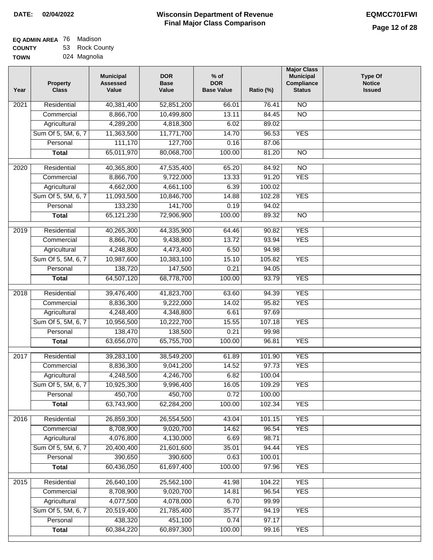| EQ ADMIN AREA 76 | Madison        |
|------------------|----------------|
| <b>COUNTY</b>    | 53 Rock County |
| <b>TOWN</b>      | 024 Magnolia   |

024 Magnolia

| Year              | <b>Property</b><br><b>Class</b> | <b>Municipal</b><br><b>Assessed</b><br>Value | <b>DOR</b><br><b>Base</b><br>Value | $%$ of<br><b>DOR</b><br><b>Base Value</b> | Ratio (%)      | <b>Major Class</b><br><b>Municipal</b><br>Compliance<br><b>Status</b> | <b>Type Of</b><br><b>Notice</b><br><b>Issued</b> |
|-------------------|---------------------------------|----------------------------------------------|------------------------------------|-------------------------------------------|----------------|-----------------------------------------------------------------------|--------------------------------------------------|
| $\overline{202}1$ | Residential                     | 40,381,400                                   | 52,851,200                         | 66.01                                     | 76.41          | N <sub>O</sub>                                                        |                                                  |
|                   | Commercial                      | 8,866,700                                    | 10,499,800                         | 13.11                                     | 84.45          | $\overline{NO}$                                                       |                                                  |
|                   | Agricultural                    | 4,289,200                                    | 4,818,300                          | 6.02                                      | 89.02          |                                                                       |                                                  |
|                   | Sum Of 5, 5M, 6, 7              | 11,363,500                                   | 11,771,700                         | 14.70                                     | 96.53          | <b>YES</b>                                                            |                                                  |
|                   | Personal                        | 111,170                                      | 127,700                            | 0.16                                      | 87.06          |                                                                       |                                                  |
|                   | <b>Total</b>                    | 65,011,970                                   | 80,068,700                         | 100.00                                    | 81.20          | $\overline{NO}$                                                       |                                                  |
| $\overline{2020}$ | Residential                     | 40,365,800                                   | 47,535,400                         | 65.20                                     | 84.92          | $\overline{NO}$                                                       |                                                  |
|                   | Commercial                      | 8,866,700                                    | 9,722,000                          | 13.33                                     | 91.20          | <b>YES</b>                                                            |                                                  |
|                   | Agricultural                    | 4,662,000                                    | 4,661,100                          | 6.39                                      | 100.02         |                                                                       |                                                  |
|                   | Sum Of 5, 5M, 6, 7              | 11,093,500                                   | 10,846,700                         | 14.88                                     | 102.28         | <b>YES</b>                                                            |                                                  |
|                   | Personal                        | 133,230                                      | 141,700                            | 0.19                                      | 94.02          |                                                                       |                                                  |
|                   | <b>Total</b>                    | 65,121,230                                   | 72,906,900                         | 100.00                                    | 89.32          | $\overline{NO}$                                                       |                                                  |
|                   |                                 |                                              |                                    |                                           |                |                                                                       |                                                  |
| 2019              | Residential                     | 40,265,300                                   | 44,335,900                         | 64.46                                     | 90.82          | <b>YES</b>                                                            |                                                  |
|                   | Commercial                      | 8,866,700                                    | 9,438,800                          | 13.72                                     | 93.94          | <b>YES</b>                                                            |                                                  |
|                   | Agricultural                    | 4,248,800                                    | 4,473,400                          | 6.50                                      | 94.98          |                                                                       |                                                  |
|                   | Sum Of 5, 5M, 6, 7              | 10,987,600                                   | 10,383,100                         | 15.10                                     | 105.82         | <b>YES</b>                                                            |                                                  |
|                   | Personal                        | 138,720                                      | 147,500                            | 0.21                                      | 94.05          |                                                                       |                                                  |
|                   | <b>Total</b>                    | 64,507,120                                   | 68,778,700                         | 100.00                                    | 93.79          | <b>YES</b>                                                            |                                                  |
| 2018              | Residential                     | 39,476,400                                   | 41,823,700                         | 63.60                                     | 94.39          | <b>YES</b>                                                            |                                                  |
|                   | Commercial                      | 8,836,300                                    | 9,222,000                          | 14.02                                     | 95.82          | <b>YES</b>                                                            |                                                  |
|                   | Agricultural                    | 4,248,400                                    | 4,348,800                          | 6.61                                      | 97.69          |                                                                       |                                                  |
|                   | Sum Of 5, 5M, 6, 7              | 10,956,500                                   | 10,222,700                         | 15.55                                     | 107.18         | <b>YES</b>                                                            |                                                  |
|                   | Personal                        | 138,470                                      | 138,500                            | 0.21                                      | 99.98          |                                                                       |                                                  |
|                   | <b>Total</b>                    | 63,656,070                                   | 65,755,700                         | 100.00                                    | 96.81          | <b>YES</b>                                                            |                                                  |
| 2017              | Residential                     | 39,283,100                                   | 38,549,200                         | 61.89                                     | 101.90         | <b>YES</b>                                                            |                                                  |
|                   | Commercial                      | 8,836,300                                    | 9,041,200                          | 14.52                                     | 97.73          | <b>YES</b>                                                            |                                                  |
|                   | Agricultural                    | 4,248,500                                    | 4,246,700                          | 6.82                                      | 100.04         |                                                                       |                                                  |
|                   | Sum Of 5, 5M, 6, 7              | 10,925,300                                   | 9,996,400                          | 16.05                                     | 109.29         | <b>YES</b>                                                            |                                                  |
|                   | Personal                        | 450,700                                      | 450,700                            | 0.72                                      | 100.00         |                                                                       |                                                  |
|                   | <b>Total</b>                    | 63,743,900                                   | 62,284,200                         | 100.00                                    | 102.34         | <b>YES</b>                                                            |                                                  |
|                   |                                 |                                              |                                    |                                           |                |                                                                       |                                                  |
| 2016              | Residential                     | 26,859,300                                   | 26,554,500<br>9,020,700            | 43.04                                     | 101.15         | <b>YES</b>                                                            |                                                  |
|                   | Commercial<br>Agricultural      | 8,708,900<br>4,076,800                       | 4,130,000                          | 14.62<br>6.69                             | 96.54<br>98.71 | <b>YES</b>                                                            |                                                  |
|                   | Sum Of 5, 5M, 6, 7              | 20,400,400                                   | 21,601,600                         | 35.01                                     | 94.44          | <b>YES</b>                                                            |                                                  |
|                   | Personal                        | 390,650                                      | 390,600                            | 0.63                                      | 100.01         |                                                                       |                                                  |
|                   | <b>Total</b>                    | 60,436,050                                   | 61,697,400                         | 100.00                                    | 97.96          | <b>YES</b>                                                            |                                                  |
|                   |                                 |                                              |                                    |                                           |                |                                                                       |                                                  |
| 2015              | Residential                     | 26,640,100                                   | 25,562,100                         | 41.98                                     | 104.22         | <b>YES</b>                                                            |                                                  |
|                   | Commercial                      | 8,708,900                                    | 9,020,700                          | 14.81                                     | 96.54          | <b>YES</b>                                                            |                                                  |
|                   | Agricultural                    | 4,077,500                                    | 4,078,000                          | 6.70                                      | 99.99          |                                                                       |                                                  |
|                   | Sum Of 5, 5M, 6, 7              | 20,519,400                                   | 21,785,400                         | 35.77                                     | 94.19          | <b>YES</b>                                                            |                                                  |
|                   | Personal                        | 438,320                                      | 451,100                            | 0.74                                      | 97.17          |                                                                       |                                                  |
|                   | <b>Total</b>                    | 60,384,220                                   | 60,897,300                         | 100.00                                    | 99.16          | <b>YES</b>                                                            |                                                  |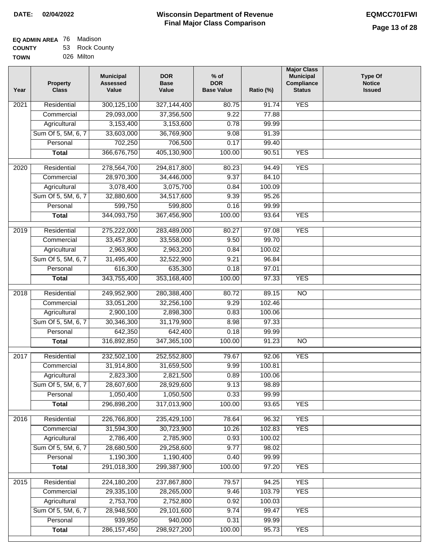| <b>EQ ADMIN AREA</b> 76 Madison |                |
|---------------------------------|----------------|
| <b>COUNTY</b>                   | 53 Rock County |
| <b>TOWN</b>                     | 026 Milton     |

| Year              | <b>Property</b><br><b>Class</b>    | <b>Municipal</b><br><b>Assessed</b><br>Value | <b>DOR</b><br><b>Base</b><br>Value | $%$ of<br><b>DOR</b><br><b>Base Value</b> | Ratio (%)        | <b>Major Class</b><br><b>Municipal</b><br>Compliance<br><b>Status</b> | <b>Type Of</b><br><b>Notice</b><br><b>Issued</b> |
|-------------------|------------------------------------|----------------------------------------------|------------------------------------|-------------------------------------------|------------------|-----------------------------------------------------------------------|--------------------------------------------------|
| 2021              | Residential                        | 300,125,100                                  | 327,144,400                        | 80.75                                     | 91.74            | <b>YES</b>                                                            |                                                  |
|                   | Commercial                         | 29,093,000                                   | 37,356,500                         | 9.22                                      | 77.88            |                                                                       |                                                  |
|                   | Agricultural                       | 3,153,400                                    | 3,153,600                          | 0.78                                      | 99.99            |                                                                       |                                                  |
|                   | Sum Of 5, 5M, 6, 7                 | 33,603,000                                   | 36,769,900                         | 9.08                                      | 91.39            |                                                                       |                                                  |
|                   | Personal                           | 702,250                                      | 706,500                            | 0.17                                      | 99.40            |                                                                       |                                                  |
|                   | <b>Total</b>                       | 366,676,750                                  | 405,130,900                        | 100.00                                    | 90.51            | <b>YES</b>                                                            |                                                  |
| $\overline{2020}$ | Residential                        | 278,564,700                                  | 294,817,800                        | 80.23                                     | 94.49            | <b>YES</b>                                                            |                                                  |
|                   | Commercial                         | 28,970,300                                   | 34,446,000                         | 9.37                                      | 84.10            |                                                                       |                                                  |
|                   | Agricultural                       | 3,078,400                                    | 3,075,700                          | 0.84                                      | 100.09           |                                                                       |                                                  |
|                   | Sum Of 5, 5M, 6, 7                 | 32,880,600                                   | 34,517,600                         | 9.39                                      | 95.26            |                                                                       |                                                  |
|                   | Personal                           | 599,750                                      | 599,800                            | 0.16                                      | 99.99            |                                                                       |                                                  |
|                   | <b>Total</b>                       | 344,093,750                                  | 367,456,900                        | 100.00                                    | 93.64            | <b>YES</b>                                                            |                                                  |
|                   |                                    |                                              |                                    |                                           |                  |                                                                       |                                                  |
| $\frac{1}{2019}$  | Residential                        | 275,222,000                                  | 283,489,000                        | 80.27                                     | 97.08            | <b>YES</b>                                                            |                                                  |
|                   | Commercial                         | 33,457,800                                   | 33,558,000                         | 9.50                                      | 99.70            |                                                                       |                                                  |
|                   | Agricultural                       | 2,963,900                                    | 2,963,200                          | 0.84                                      | 100.02           |                                                                       |                                                  |
|                   | Sum Of 5, 5M, 6, 7                 | 31,495,400                                   | 32,522,900                         | 9.21                                      | 96.84            |                                                                       |                                                  |
|                   | Personal                           | 616,300                                      | 635,300                            | 0.18                                      | 97.01            |                                                                       |                                                  |
|                   | <b>Total</b>                       | 343,755,400                                  | 353,168,400                        | 100.00                                    | 97.33            | <b>YES</b>                                                            |                                                  |
| 2018              | Residential                        | 249,952,900                                  | 280,388,400                        | 80.72                                     | 89.15            | $\overline{NO}$                                                       |                                                  |
|                   | Commercial                         | 33,051,200                                   | 32,256,100                         | 9.29                                      | 102.46           |                                                                       |                                                  |
|                   | Agricultural                       | 2,900,100                                    | 2,898,300                          | 0.83                                      | 100.06           |                                                                       |                                                  |
|                   | Sum Of 5, 5M, 6, 7                 | 30,346,300                                   | 31,179,900                         | 8.98                                      | 97.33            |                                                                       |                                                  |
|                   | Personal                           | 642,350                                      | 642,400                            | 0.18                                      | 99.99            |                                                                       |                                                  |
|                   | <b>Total</b>                       | 316,892,850                                  | 347,365,100                        | 100.00                                    | 91.23            | $\overline{NO}$                                                       |                                                  |
| 2017              | Residential                        | 232,502,100                                  | 252,552,800                        | 79.67                                     | 92.06            | <b>YES</b>                                                            |                                                  |
|                   | Commercial                         | 31,914,800                                   | 31,659,500                         | 9.99                                      | 100.81           |                                                                       |                                                  |
|                   | Agricultural                       | 2,823,300                                    | 2,821,500                          | 0.89                                      | 100.06           |                                                                       |                                                  |
|                   | Sum Of 5, 5M, 6, 7                 | 28,607,600                                   | 28,929,600                         | 9.13                                      | 98.89            |                                                                       |                                                  |
|                   | Personal                           | 1,050,400                                    | 1,050,500                          | 0.33                                      | 99.99            |                                                                       |                                                  |
|                   | <b>Total</b>                       | 296,898,200                                  | 317,013,900                        | 100.00                                    | 93.65            | <b>YES</b>                                                            |                                                  |
| 2016              | Residential                        | 226,766,800                                  | 235,429,100                        | 78.64                                     | 96.32            | <b>YES</b>                                                            |                                                  |
|                   | Commercial                         | 31,594,300                                   | 30,723,900                         | 10.26                                     | 102.83           | <b>YES</b>                                                            |                                                  |
|                   | Agricultural                       | 2,786,400                                    | 2,785,900                          | 0.93                                      | 100.02           |                                                                       |                                                  |
|                   | Sum Of 5, 5M, 6, 7                 | 28,680,500                                   | 29,258,600                         | 9.77                                      | 98.02            |                                                                       |                                                  |
|                   | Personal                           | 1,190,300                                    | 1,190,400                          | 0.40                                      | 99.99            |                                                                       |                                                  |
|                   | <b>Total</b>                       | 291,018,300                                  | 299,387,900                        | 100.00                                    | 97.20            | <b>YES</b>                                                            |                                                  |
|                   |                                    |                                              |                                    |                                           | 94.25            | <b>YES</b>                                                            |                                                  |
| 2015              | Residential                        | 224,180,200<br>29,335,100                    | 237,867,800                        | 79.57<br>9.46                             |                  |                                                                       |                                                  |
|                   | Commercial                         | 2,753,700                                    | 28,265,000                         | 0.92                                      | 103.79<br>100.03 | <b>YES</b>                                                            |                                                  |
|                   | Agricultural<br>Sum Of 5, 5M, 6, 7 | 28,948,500                                   | 2,752,800<br>29,101,600            | 9.74                                      | 99.47            | <b>YES</b>                                                            |                                                  |
|                   | Personal                           | 939,950                                      | 940,000                            | 0.31                                      | 99.99            |                                                                       |                                                  |
|                   | <b>Total</b>                       | 286, 157, 450                                | 298,927,200                        | 100.00                                    | 95.73            | <b>YES</b>                                                            |                                                  |
|                   |                                    |                                              |                                    |                                           |                  |                                                                       |                                                  |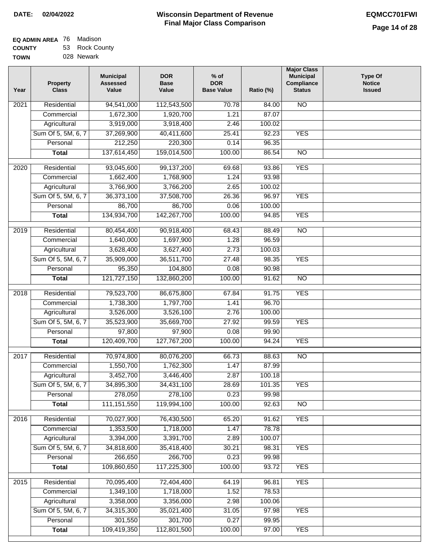| EQ ADMIN AREA 76 | Madison        |
|------------------|----------------|
| <b>COUNTY</b>    | 53 Rock County |
| <b>TOWN</b>      | 028 Newark     |

028 Newark

| Year              | <b>Property</b><br><b>Class</b> | <b>Municipal</b><br><b>Assessed</b><br>Value | <b>DOR</b><br><b>Base</b><br>Value | $%$ of<br><b>DOR</b><br><b>Base Value</b> | Ratio (%) | <b>Major Class</b><br><b>Municipal</b><br>Compliance<br><b>Status</b> | <b>Type Of</b><br><b>Notice</b><br><b>Issued</b> |
|-------------------|---------------------------------|----------------------------------------------|------------------------------------|-------------------------------------------|-----------|-----------------------------------------------------------------------|--------------------------------------------------|
| $\overline{202}1$ | Residential                     | 94,541,000                                   | 112,543,500                        | 70.78                                     | 84.00     | N <sub>O</sub>                                                        |                                                  |
|                   | Commercial                      | 1,672,300                                    | 1,920,700                          | 1.21                                      | 87.07     |                                                                       |                                                  |
|                   | Agricultural                    | 3,919,000                                    | 3,918,400                          | 2.46                                      | 100.02    |                                                                       |                                                  |
|                   | Sum Of 5, 5M, 6, 7              | 37,269,900                                   | 40,411,600                         | 25.41                                     | 92.23     | <b>YES</b>                                                            |                                                  |
|                   | Personal                        | 212,250                                      | 220,300                            | 0.14                                      | 96.35     |                                                                       |                                                  |
|                   | <b>Total</b>                    | 137,614,450                                  | 159,014,500                        | 100.00                                    | 86.54     | $\overline{NO}$                                                       |                                                  |
| $\overline{2020}$ | Residential                     | 93,045,600                                   | 99,137,200                         | 69.68                                     | 93.86     | <b>YES</b>                                                            |                                                  |
|                   | Commercial                      | 1,662,400                                    | 1,768,900                          | 1.24                                      | 93.98     |                                                                       |                                                  |
|                   | Agricultural                    | 3,766,900                                    | 3,766,200                          | 2.65                                      | 100.02    |                                                                       |                                                  |
|                   | Sum Of 5, 5M, 6, 7              | 36,373,100                                   | 37,508,700                         | 26.36                                     | 96.97     | <b>YES</b>                                                            |                                                  |
|                   | Personal                        | 86,700                                       | 86,700                             | 0.06                                      | 100.00    |                                                                       |                                                  |
|                   | <b>Total</b>                    | 134,934,700                                  | 142,267,700                        | 100.00                                    | 94.85     | <b>YES</b>                                                            |                                                  |
| 2019              | Residential                     | 80,454,400                                   | 90,918,400                         | 68.43                                     | 88.49     | $\overline{NO}$                                                       |                                                  |
|                   | Commercial                      | 1,640,000                                    | 1,697,900                          | 1.28                                      | 96.59     |                                                                       |                                                  |
|                   | Agricultural                    | 3,628,400                                    | 3,627,400                          | 2.73                                      | 100.03    |                                                                       |                                                  |
|                   | Sum Of 5, 5M, 6, 7              | 35,909,000                                   | 36,511,700                         | 27.48                                     | 98.35     | <b>YES</b>                                                            |                                                  |
|                   | Personal                        | 95,350                                       | 104,800                            | 0.08                                      | 90.98     |                                                                       |                                                  |
|                   | <b>Total</b>                    | 121,727,150                                  | 132,860,200                        | 100.00                                    | 91.62     | $\overline{NO}$                                                       |                                                  |
|                   |                                 |                                              |                                    |                                           |           |                                                                       |                                                  |
| 2018              | Residential                     | 79,523,700                                   | 86,675,800                         | 67.84                                     | 91.75     | <b>YES</b>                                                            |                                                  |
|                   | Commercial                      | 1,738,300                                    | 1,797,700                          | 1.41                                      | 96.70     |                                                                       |                                                  |
|                   | Agricultural                    | 3,526,000                                    | 3,526,100                          | 2.76                                      | 100.00    |                                                                       |                                                  |
|                   | Sum Of 5, 5M, 6, 7              | 35,523,900                                   | 35,669,700                         | 27.92                                     | 99.59     | <b>YES</b>                                                            |                                                  |
|                   | Personal                        | 97,800                                       | 97,900                             | 0.08                                      | 99.90     |                                                                       |                                                  |
|                   | <b>Total</b>                    | 120,409,700                                  | 127,767,200                        | 100.00                                    | 94.24     | <b>YES</b>                                                            |                                                  |
| 2017              | Residential                     | 70,974,800                                   | 80,076,200                         | 66.73                                     | 88.63     | $\overline{NO}$                                                       |                                                  |
|                   | Commercial                      | 1,550,700                                    | 1,762,300                          | 1.47                                      | 87.99     |                                                                       |                                                  |
|                   | Agricultural                    | 3,452,700                                    | 3,446,400                          | 2.87                                      | 100.18    |                                                                       |                                                  |
|                   | Sum Of 5, 5M, 6, 7              | 34,895,300                                   | 34,431,100                         | 28.69                                     | 101.35    | <b>YES</b>                                                            |                                                  |
|                   | Personal                        | 278,050                                      | 278,100                            | 0.23                                      | 99.98     |                                                                       |                                                  |
|                   | <b>Total</b>                    | 111, 151, 550                                | 119,994,100                        | 100.00                                    | 92.63     | <b>NO</b>                                                             |                                                  |
| 2016              | Residential                     | 70,027,900                                   | 76,430,500                         | 65.20                                     | 91.62     | <b>YES</b>                                                            |                                                  |
|                   | Commercial                      | 1,353,500                                    | 1,718,000                          | 1.47                                      | 78.78     |                                                                       |                                                  |
|                   | Agricultural                    | 3,394,000                                    | 3,391,700                          | 2.89                                      | 100.07    |                                                                       |                                                  |
|                   | Sum Of 5, 5M, 6, 7              | 34,818,600                                   | 35,418,400                         | 30.21                                     | 98.31     | <b>YES</b>                                                            |                                                  |
|                   | Personal                        | 266,650                                      | 266,700                            | 0.23                                      | 99.98     |                                                                       |                                                  |
|                   | <b>Total</b>                    | 109,860,650                                  | 117,225,300                        | 100.00                                    | 93.72     | <b>YES</b>                                                            |                                                  |
| 2015              | Residential                     | 70,095,400                                   | 72,404,400                         | 64.19                                     | 96.81     | <b>YES</b>                                                            |                                                  |
|                   | Commercial                      | 1,349,100                                    | 1,718,000                          | 1.52                                      | 78.53     |                                                                       |                                                  |
|                   | Agricultural                    | 3,358,000                                    | 3,356,000                          | 2.98                                      | 100.06    |                                                                       |                                                  |
|                   | Sum Of 5, 5M, 6, 7              | 34,315,300                                   | 35,021,400                         | 31.05                                     | 97.98     | <b>YES</b>                                                            |                                                  |
|                   | Personal                        | 301,550                                      | 301,700                            | 0.27                                      | 99.95     |                                                                       |                                                  |
|                   | <b>Total</b>                    | 109,419,350                                  | 112,801,500                        | 100.00                                    | 97.00     | <b>YES</b>                                                            |                                                  |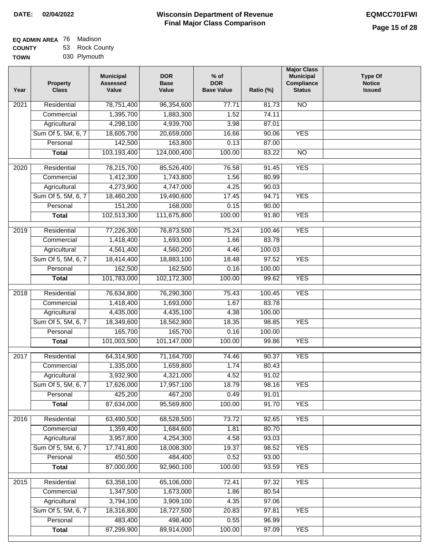| EQ ADMIN AREA 76 Madison |                |
|--------------------------|----------------|
| <b>COUNTY</b>            | 53 Rock County |

**TOWN** 030 Plymouth

| Year              | <b>Property</b><br><b>Class</b> | <b>Municipal</b><br><b>Assessed</b><br>Value | <b>DOR</b><br><b>Base</b><br>Value | $%$ of<br><b>DOR</b><br><b>Base Value</b> | Ratio (%) | <b>Major Class</b><br><b>Municipal</b><br>Compliance<br><b>Status</b> | <b>Type Of</b><br><b>Notice</b><br><b>Issued</b> |
|-------------------|---------------------------------|----------------------------------------------|------------------------------------|-------------------------------------------|-----------|-----------------------------------------------------------------------|--------------------------------------------------|
| $\overline{202}1$ | Residential                     | 78,751,400                                   | 96,354,600                         | 77.71                                     | 81.73     | N <sub>O</sub>                                                        |                                                  |
|                   | Commercial                      | 1,395,700                                    | 1,883,300                          | 1.52                                      | 74.11     |                                                                       |                                                  |
|                   | Agricultural                    | 4,298,100                                    | 4,939,700                          | 3.98                                      | 87.01     |                                                                       |                                                  |
|                   | Sum Of 5, 5M, 6, 7              | 18,605,700                                   | 20,659,000                         | 16.66                                     | 90.06     | <b>YES</b>                                                            |                                                  |
|                   | Personal                        | 142,500                                      | 163,800                            | 0.13                                      | 87.00     |                                                                       |                                                  |
|                   | <b>Total</b>                    | 103,193,400                                  | 124,000,400                        | 100.00                                    | 83.22     | $\overline{NO}$                                                       |                                                  |
| $\overline{2020}$ | Residential                     | 78,215,700                                   | 85,526,400                         | 76.58                                     | 91.45     | <b>YES</b>                                                            |                                                  |
|                   | Commercial                      | 1,412,300                                    | 1,743,800                          | 1.56                                      | 80.99     |                                                                       |                                                  |
|                   | Agricultural                    | 4,273,900                                    | 4,747,000                          | 4.25                                      | 90.03     |                                                                       |                                                  |
|                   | Sum Of 5, 5M, 6, 7              | 18,460,200                                   | 19,490,600                         | 17.45                                     | 94.71     | <b>YES</b>                                                            |                                                  |
|                   | Personal                        | 151,200                                      | 168,000                            | 0.15                                      | 90.00     |                                                                       |                                                  |
|                   | <b>Total</b>                    | 102,513,300                                  | 111,675,800                        | 100.00                                    | 91.80     | <b>YES</b>                                                            |                                                  |
| 2019              | Residential                     | 77,226,300                                   | 76,873,500                         | 75.24                                     | 100.46    | <b>YES</b>                                                            |                                                  |
|                   | Commercial                      | 1,418,400                                    | 1,693,000                          | 1.66                                      | 83.78     |                                                                       |                                                  |
|                   | Agricultural                    | 4,561,400                                    | 4,560,200                          | 4.46                                      | 100.03    |                                                                       |                                                  |
|                   | Sum Of 5, 5M, 6, 7              | 18,414,400                                   | 18,883,100                         | 18.48                                     | 97.52     | <b>YES</b>                                                            |                                                  |
|                   | Personal                        | 162,500                                      | 162,500                            | 0.16                                      | 100.00    |                                                                       |                                                  |
|                   | <b>Total</b>                    | 101,783,000                                  | 102,172,300                        | 100.00                                    | 99.62     | <b>YES</b>                                                            |                                                  |
| 2018              | Residential                     | 76,634,800                                   | 76,290,300                         | 75.43                                     | 100.45    | <b>YES</b>                                                            |                                                  |
|                   | Commercial                      | 1,418,400                                    | 1,693,000                          | 1.67                                      | 83.78     |                                                                       |                                                  |
|                   | Agricultural                    | 4,435,000                                    | 4,435,100                          | 4.38                                      | 100.00    |                                                                       |                                                  |
|                   | Sum Of 5, 5M, 6, 7              | 18,349,600                                   | 18,562,900                         | 18.35                                     | 98.85     | <b>YES</b>                                                            |                                                  |
|                   | Personal                        | 165,700                                      | 165,700                            | 0.16                                      | 100.00    |                                                                       |                                                  |
|                   | <b>Total</b>                    | 101,003,500                                  | 101,147,000                        | 100.00                                    | 99.86     | <b>YES</b>                                                            |                                                  |
| 2017              | Residential                     |                                              |                                    |                                           | 90.37     | <b>YES</b>                                                            |                                                  |
|                   | Commercial                      | 64,314,900<br>1,335,000                      | 71, 164, 700<br>1,659,800          | 74.46<br>1.74                             | 80.43     |                                                                       |                                                  |
|                   | Agricultural                    | 3,932,900                                    | 4,321,000                          | 4.52                                      | 91.02     |                                                                       |                                                  |
|                   | Sum Of 5, 5M, 6, 7              | 17,626,000                                   | 17,957,100                         | 18.79                                     | 98.16     | <b>YES</b>                                                            |                                                  |
|                   | Personal                        | 425,200                                      | 467,200                            | 0.49                                      | 91.01     |                                                                       |                                                  |
|                   | <b>Total</b>                    | 87,634,000                                   | 95,569,800                         | 100.00                                    | 91.70     | <b>YES</b>                                                            |                                                  |
|                   |                                 |                                              |                                    |                                           |           |                                                                       |                                                  |
| 2016              | Residential                     | 63,490,500                                   | 68,528,500                         | 73.72                                     | 92.65     | <b>YES</b>                                                            |                                                  |
|                   | Commercial                      | 1,359,400                                    | 1,684,600                          | 1.81                                      | 80.70     |                                                                       |                                                  |
|                   | Agricultural                    | 3,957,800                                    | 4,254,300                          | 4.58                                      | 93.03     |                                                                       |                                                  |
|                   | Sum Of 5, 5M, 6, 7              | 17,741,800                                   | 18,008,300                         | 19.37                                     | 98.52     | <b>YES</b>                                                            |                                                  |
|                   | Personal                        | 450,500                                      | 484,400                            | 0.52                                      | 93.00     |                                                                       |                                                  |
|                   | <b>Total</b>                    | 87,000,000                                   | 92,960,100                         | 100.00                                    | 93.59     | <b>YES</b>                                                            |                                                  |
| 2015              | Residential                     | 63,358,100                                   | 65,106,000                         | 72.41                                     | 97.32     | <b>YES</b>                                                            |                                                  |
|                   | Commercial                      | 1,347,500                                    | 1,673,000                          | 1.86                                      | 80.54     |                                                                       |                                                  |
|                   | Agricultural                    | 3,794,100                                    | 3,909,100                          | 4.35                                      | 97.06     |                                                                       |                                                  |
|                   | Sum Of 5, 5M, 6, 7              | 18,316,800                                   | 18,727,500                         | 20.83                                     | 97.81     | <b>YES</b>                                                            |                                                  |
|                   | Personal                        | 483,400                                      | 498,400                            | 0.55                                      | 96.99     |                                                                       |                                                  |
|                   | <b>Total</b>                    | 87,299,900                                   | 89,914,000                         | 100.00                                    | 97.09     | <b>YES</b>                                                            |                                                  |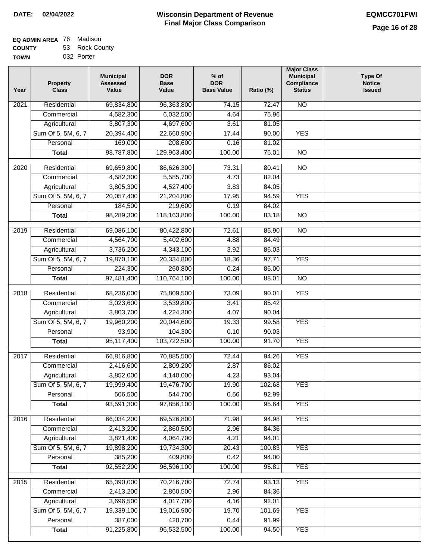| EQ ADMIN AREA 76 | Madison        |
|------------------|----------------|
| <b>COUNTY</b>    | 53 Rock County |
| <b>TOWN</b>      | 032 Porter     |

| 032 Porter | . |    |
|------------|---|----|
|            |   | 'N |

| Year             | <b>Property</b><br><b>Class</b> | <b>Municipal</b><br><b>Assessed</b><br>Value | <b>DOR</b><br><b>Base</b><br>Value | $%$ of<br><b>DOR</b><br><b>Base Value</b> | Ratio (%) | <b>Major Class</b><br><b>Municipal</b><br><b>Compliance</b><br><b>Status</b> | <b>Type Of</b><br><b>Notice</b><br><b>Issued</b> |
|------------------|---------------------------------|----------------------------------------------|------------------------------------|-------------------------------------------|-----------|------------------------------------------------------------------------------|--------------------------------------------------|
| 2021             | Residential                     | 69,834,800                                   | 96,363,800                         | 74.15                                     | 72.47     | <b>NO</b>                                                                    |                                                  |
|                  | Commercial                      | 4,582,300                                    | 6,032,500                          | 4.64                                      | 75.96     |                                                                              |                                                  |
|                  | Agricultural                    | 3,807,300                                    | 4,697,600                          | 3.61                                      | 81.05     |                                                                              |                                                  |
|                  | Sum Of 5, 5M, 6, 7              | 20,394,400                                   | 22,660,900                         | 17.44                                     | 90.00     | <b>YES</b>                                                                   |                                                  |
|                  | Personal                        | 169,000                                      | 208,600                            | 0.16                                      | 81.02     |                                                                              |                                                  |
|                  | <b>Total</b>                    | 98,787,800                                   | 129,963,400                        | 100.00                                    | 76.01     | $\overline{NO}$                                                              |                                                  |
| $\frac{1}{2020}$ | Residential                     | 69,659,800                                   | 86,626,300                         | 73.31                                     | 80.41     | $\overline{NO}$                                                              |                                                  |
|                  | Commercial                      | 4,582,300                                    | 5,585,700                          | 4.73                                      | 82.04     |                                                                              |                                                  |
|                  | Agricultural                    | 3,805,300                                    | 4,527,400                          | 3.83                                      | 84.05     |                                                                              |                                                  |
|                  | Sum Of 5, 5M, 6, 7              | 20,057,400                                   | 21,204,800                         | 17.95                                     | 94.59     | <b>YES</b>                                                                   |                                                  |
|                  | Personal                        | 184,500                                      | 219,600                            | 0.19                                      | 84.02     |                                                                              |                                                  |
|                  | <b>Total</b>                    | 98,289,300                                   | 118,163,800                        | 100.00                                    | 83.18     | <b>NO</b>                                                                    |                                                  |
|                  |                                 |                                              |                                    |                                           |           |                                                                              |                                                  |
| $\frac{1}{2019}$ | Residential                     | 69,086,100                                   | 80,422,800                         | 72.61                                     | 85.90     | $\overline{NO}$                                                              |                                                  |
|                  | Commercial                      | 4,564,700                                    | 5,402,600                          | 4.88                                      | 84.49     |                                                                              |                                                  |
|                  | Agricultural                    | 3,736,200                                    | 4,343,100                          | 3.92                                      | 86.03     |                                                                              |                                                  |
|                  | Sum Of 5, 5M, 6, 7              | 19,870,100                                   | 20,334,800                         | 18.36                                     | 97.71     | <b>YES</b>                                                                   |                                                  |
|                  | Personal                        | 224,300                                      | 260,800                            | 0.24                                      | 86.00     |                                                                              |                                                  |
|                  | <b>Total</b>                    | 97,481,400                                   | 110,764,100                        | 100.00                                    | 88.01     | $\overline{NO}$                                                              |                                                  |
| 2018             | Residential                     | 68,236,000                                   | 75,809,500                         | 73.09                                     | 90.01     | <b>YES</b>                                                                   |                                                  |
|                  | Commercial                      | 3,023,600                                    | 3,539,800                          | 3.41                                      | 85.42     |                                                                              |                                                  |
|                  | Agricultural                    | 3,803,700                                    | 4,224,300                          | 4.07                                      | 90.04     |                                                                              |                                                  |
|                  | Sum Of 5, 5M, 6, 7              | 19,960,200                                   | 20,044,600                         | 19.33                                     | 99.58     | <b>YES</b>                                                                   |                                                  |
|                  | Personal                        | 93,900                                       | 104,300                            | 0.10                                      | 90.03     |                                                                              |                                                  |
|                  | <b>Total</b>                    | 95,117,400                                   | 103,722,500                        | 100.00                                    | 91.70     | <b>YES</b>                                                                   |                                                  |
| 2017             | Residential                     | 66,816,800                                   | 70,885,500                         | 72.44                                     | 94.26     | <b>YES</b>                                                                   |                                                  |
|                  | Commercial                      | 2,416,600                                    | 2,809,200                          | 2.87                                      | 86.02     |                                                                              |                                                  |
|                  | Agricultural                    | 3,852,000                                    | 4,140,000                          | 4.23                                      | 93.04     |                                                                              |                                                  |
|                  | Sum Of 5, 5M, 6, 7              | 19,999,400                                   | 19,476,700                         | 19.90                                     | 102.68    | <b>YES</b>                                                                   |                                                  |
|                  | Personal                        | 506,500                                      | 544,700                            | 0.56                                      | 92.99     |                                                                              |                                                  |
|                  | <b>Total</b>                    | 93,591,300                                   | 97,856,100                         | 100.00                                    | 95.64     | <b>YES</b>                                                                   |                                                  |
|                  |                                 |                                              |                                    |                                           |           |                                                                              |                                                  |
| 2016             | Residential                     | 66,034,200                                   | 69,526,800                         | 71.98                                     | 94.98     | <b>YES</b>                                                                   |                                                  |
|                  | Commercial                      | 2,413,200                                    | 2,860,500                          | 2.96                                      | 84.36     |                                                                              |                                                  |
|                  | Agricultural                    | 3,821,400                                    | 4,064,700                          | 4.21                                      | 94.01     |                                                                              |                                                  |
|                  | Sum Of 5, 5M, 6, 7              | 19,898,200                                   | 19,734,300                         | 20.43                                     | 100.83    | <b>YES</b>                                                                   |                                                  |
|                  | Personal                        | 385,200                                      | 409,800                            | 0.42                                      | 94.00     |                                                                              |                                                  |
|                  | <b>Total</b>                    | 92,552,200                                   | 96,596,100                         | 100.00                                    | 95.81     | <b>YES</b>                                                                   |                                                  |
| 2015             | Residential                     | 65,390,000                                   | 70,216,700                         | 72.74                                     | 93.13     | <b>YES</b>                                                                   |                                                  |
|                  | Commercial                      | 2,413,200                                    | 2,860,500                          | 2.96                                      | 84.36     |                                                                              |                                                  |
|                  | Agricultural                    | 3,696,500                                    | 4,017,700                          | 4.16                                      | 92.01     |                                                                              |                                                  |
|                  | Sum Of 5, 5M, 6, 7              | 19,339,100                                   | 19,016,900                         | 19.70                                     | 101.69    | <b>YES</b>                                                                   |                                                  |
|                  | Personal                        | 387,000                                      | 420,700                            | 0.44                                      | 91.99     |                                                                              |                                                  |
|                  | <b>Total</b>                    | 91,225,800                                   | 96,532,500                         | 100.00                                    | 94.50     | <b>YES</b>                                                                   |                                                  |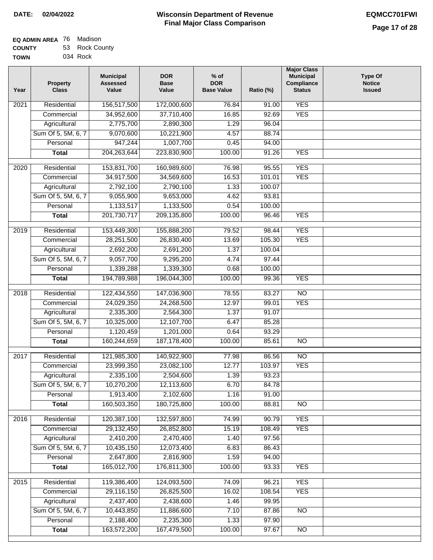| EQ ADMIN AREA 76 Madison |                |
|--------------------------|----------------|
| <b>COUNTY</b>            | 53 Rock County |
| <b>TOWN</b>              | 034 Rock       |

| 156,517,500<br>172,000,600<br><b>YES</b><br>Residential<br>76.84<br>91.00<br>2021<br><b>YES</b><br>37,710,400<br>92.69<br>Commercial<br>34,952,600<br>16.85<br>2,775,700<br>2,890,300<br>1.29<br>96.04<br>Agricultural<br>Sum Of 5, 5M, 6, 7<br>9,070,600<br>10,221,900<br>4.57<br>88.74<br>947,244<br>1,007,700<br>Personal<br>0.45<br>94.00<br>204, 263, 644<br>223,830,900<br>100.00<br>91.26<br><b>YES</b><br><b>Total</b><br><b>YES</b><br>Residential<br>153,831,700<br>76.98<br>95.55<br>2020<br>160,989,600<br>34,917,500<br>101.01<br><b>YES</b><br>Commercial<br>34,569,600<br>16.53<br>2,792,100<br>2,790,100<br>Agricultural<br>1.33<br>100.07<br>9,055,900<br>Sum Of 5, 5M, 6, 7<br>9,653,000<br>93.81<br>4.62<br>1,133,517<br>1,133,500<br>0.54<br>100.00<br>Personal<br>201,730,717<br><b>YES</b><br><b>Total</b><br>209,135,800<br>100.00<br>96.46<br><b>YES</b><br>2019<br>Residential<br>153,449,300<br>155,888,200<br>79.52<br>98.44<br>105.30<br><b>YES</b><br>Commercial<br>28,251,500<br>26,830,400<br>13.69<br>2,692,200<br>2,691,200<br>1.37<br>100.04<br>Agricultural<br>Sum Of 5, 5M, 6, 7<br>9,057,700<br>9,295,200<br>97.44<br>4.74<br>Personal<br>1,339,288<br>1,339,300<br>0.68<br>100.00<br>100.00<br><b>YES</b><br>194,789,988<br>196,044,300<br>99.36<br><b>Total</b><br>122,434,550<br>$\overline{NO}$<br>2018<br>Residential<br>147,036,900<br>78.55<br>83.27<br><b>YES</b><br>Commercial<br>24,029,350<br>24,268,500<br>12.97<br>99.01<br>2,335,300<br>2,564,300<br>1.37<br>91.07<br>Agricultural<br>Sum Of 5, 5M, 6, 7<br>10,325,000<br>12,107,700<br>6.47<br>85.28<br>1,120,459<br>93.29<br>1,201,000<br>0.64<br>Personal<br>160,244,659<br>187, 178, 400<br>100.00<br>85.61<br>$\overline{NO}$<br><b>Total</b><br>$\overline{NO}$<br>Residential<br>121,985,300<br>140,922,900<br>77.98<br>86.56<br>2017<br>12.77<br><b>YES</b><br>23,999,350<br>23,082,100<br>103.97<br>Commercial<br>2,335,100<br>2,504,600<br>1.39<br>93.23<br>Agricultural<br>Sum Of 5, 5M, 6, 7<br>10,270,200<br>12,113,600<br>6.70<br>84.78<br>1,913,400<br>2,102,600<br>Personal<br>1.16<br>91.00<br>160,503,350<br>180,725,800<br>100.00<br>88.81<br>$\overline{NO}$<br><b>Total</b><br><b>YES</b><br>2016<br>Residential<br>120,387,100<br>132,597,800<br>74.99<br>90.79<br><b>YES</b><br>29,132,450<br>15.19<br>108.49<br>Commercial<br>26,852,800<br>Agricultural<br>2,410,200<br>2,470,400<br>97.56<br>1.40<br>Sum Of 5, 5M, 6, 7<br>10,435,150<br>12,073,400<br>6.83<br>86.43<br>2,647,800<br>2,816,900<br>Personal<br>1.59<br>94.00<br>165,012,700<br>176,811,300<br><b>YES</b><br>100.00<br>93.33<br><b>Total</b><br><b>YES</b><br>119,386,400<br>124,093,500<br>2015<br>Residential<br>74.09<br>96.21<br>29,116,150<br>108.54<br><b>YES</b><br>Commercial<br>26,825,500<br>16.02<br>2,437,400<br>Agricultural<br>2,438,600<br>99.95<br>1.46<br>Sum Of 5, 5M, 6, 7<br>10,443,850<br>11,886,600<br>7.10<br>87.86<br><b>NO</b><br>2,235,300<br>2,188,400<br>97.90<br>Personal<br>1.33<br>163,572,200<br>167,479,500<br>100.00<br>97.67<br>$\overline{NO}$<br><b>Total</b> | Year | <b>Property</b><br><b>Class</b> | <b>Municipal</b><br><b>Assessed</b><br>Value | <b>DOR</b><br><b>Base</b><br>Value | $%$ of<br><b>DOR</b><br><b>Base Value</b> | Ratio (%) | <b>Major Class</b><br><b>Municipal</b><br>Compliance<br><b>Status</b> | <b>Type Of</b><br><b>Notice</b><br><b>Issued</b> |
|-----------------------------------------------------------------------------------------------------------------------------------------------------------------------------------------------------------------------------------------------------------------------------------------------------------------------------------------------------------------------------------------------------------------------------------------------------------------------------------------------------------------------------------------------------------------------------------------------------------------------------------------------------------------------------------------------------------------------------------------------------------------------------------------------------------------------------------------------------------------------------------------------------------------------------------------------------------------------------------------------------------------------------------------------------------------------------------------------------------------------------------------------------------------------------------------------------------------------------------------------------------------------------------------------------------------------------------------------------------------------------------------------------------------------------------------------------------------------------------------------------------------------------------------------------------------------------------------------------------------------------------------------------------------------------------------------------------------------------------------------------------------------------------------------------------------------------------------------------------------------------------------------------------------------------------------------------------------------------------------------------------------------------------------------------------------------------------------------------------------------------------------------------------------------------------------------------------------------------------------------------------------------------------------------------------------------------------------------------------------------------------------------------------------------------------------------------------------------------------------------------------------------------------------------------------------------------------------------------------------------------------------------------------------------------------------------------------------------------------------------------------------------------------------------------------------------------------------------------------------------------------------------------------------------------------------------------------------------------------------------------------------------------------------------------------------------------------------------|------|---------------------------------|----------------------------------------------|------------------------------------|-------------------------------------------|-----------|-----------------------------------------------------------------------|--------------------------------------------------|
|                                                                                                                                                                                                                                                                                                                                                                                                                                                                                                                                                                                                                                                                                                                                                                                                                                                                                                                                                                                                                                                                                                                                                                                                                                                                                                                                                                                                                                                                                                                                                                                                                                                                                                                                                                                                                                                                                                                                                                                                                                                                                                                                                                                                                                                                                                                                                                                                                                                                                                                                                                                                                                                                                                                                                                                                                                                                                                                                                                                                                                                                                               |      |                                 |                                              |                                    |                                           |           |                                                                       |                                                  |
|                                                                                                                                                                                                                                                                                                                                                                                                                                                                                                                                                                                                                                                                                                                                                                                                                                                                                                                                                                                                                                                                                                                                                                                                                                                                                                                                                                                                                                                                                                                                                                                                                                                                                                                                                                                                                                                                                                                                                                                                                                                                                                                                                                                                                                                                                                                                                                                                                                                                                                                                                                                                                                                                                                                                                                                                                                                                                                                                                                                                                                                                                               |      |                                 |                                              |                                    |                                           |           |                                                                       |                                                  |
|                                                                                                                                                                                                                                                                                                                                                                                                                                                                                                                                                                                                                                                                                                                                                                                                                                                                                                                                                                                                                                                                                                                                                                                                                                                                                                                                                                                                                                                                                                                                                                                                                                                                                                                                                                                                                                                                                                                                                                                                                                                                                                                                                                                                                                                                                                                                                                                                                                                                                                                                                                                                                                                                                                                                                                                                                                                                                                                                                                                                                                                                                               |      |                                 |                                              |                                    |                                           |           |                                                                       |                                                  |
|                                                                                                                                                                                                                                                                                                                                                                                                                                                                                                                                                                                                                                                                                                                                                                                                                                                                                                                                                                                                                                                                                                                                                                                                                                                                                                                                                                                                                                                                                                                                                                                                                                                                                                                                                                                                                                                                                                                                                                                                                                                                                                                                                                                                                                                                                                                                                                                                                                                                                                                                                                                                                                                                                                                                                                                                                                                                                                                                                                                                                                                                                               |      |                                 |                                              |                                    |                                           |           |                                                                       |                                                  |
|                                                                                                                                                                                                                                                                                                                                                                                                                                                                                                                                                                                                                                                                                                                                                                                                                                                                                                                                                                                                                                                                                                                                                                                                                                                                                                                                                                                                                                                                                                                                                                                                                                                                                                                                                                                                                                                                                                                                                                                                                                                                                                                                                                                                                                                                                                                                                                                                                                                                                                                                                                                                                                                                                                                                                                                                                                                                                                                                                                                                                                                                                               |      |                                 |                                              |                                    |                                           |           |                                                                       |                                                  |
|                                                                                                                                                                                                                                                                                                                                                                                                                                                                                                                                                                                                                                                                                                                                                                                                                                                                                                                                                                                                                                                                                                                                                                                                                                                                                                                                                                                                                                                                                                                                                                                                                                                                                                                                                                                                                                                                                                                                                                                                                                                                                                                                                                                                                                                                                                                                                                                                                                                                                                                                                                                                                                                                                                                                                                                                                                                                                                                                                                                                                                                                                               |      |                                 |                                              |                                    |                                           |           |                                                                       |                                                  |
|                                                                                                                                                                                                                                                                                                                                                                                                                                                                                                                                                                                                                                                                                                                                                                                                                                                                                                                                                                                                                                                                                                                                                                                                                                                                                                                                                                                                                                                                                                                                                                                                                                                                                                                                                                                                                                                                                                                                                                                                                                                                                                                                                                                                                                                                                                                                                                                                                                                                                                                                                                                                                                                                                                                                                                                                                                                                                                                                                                                                                                                                                               |      |                                 |                                              |                                    |                                           |           |                                                                       |                                                  |
|                                                                                                                                                                                                                                                                                                                                                                                                                                                                                                                                                                                                                                                                                                                                                                                                                                                                                                                                                                                                                                                                                                                                                                                                                                                                                                                                                                                                                                                                                                                                                                                                                                                                                                                                                                                                                                                                                                                                                                                                                                                                                                                                                                                                                                                                                                                                                                                                                                                                                                                                                                                                                                                                                                                                                                                                                                                                                                                                                                                                                                                                                               |      |                                 |                                              |                                    |                                           |           |                                                                       |                                                  |
|                                                                                                                                                                                                                                                                                                                                                                                                                                                                                                                                                                                                                                                                                                                                                                                                                                                                                                                                                                                                                                                                                                                                                                                                                                                                                                                                                                                                                                                                                                                                                                                                                                                                                                                                                                                                                                                                                                                                                                                                                                                                                                                                                                                                                                                                                                                                                                                                                                                                                                                                                                                                                                                                                                                                                                                                                                                                                                                                                                                                                                                                                               |      |                                 |                                              |                                    |                                           |           |                                                                       |                                                  |
|                                                                                                                                                                                                                                                                                                                                                                                                                                                                                                                                                                                                                                                                                                                                                                                                                                                                                                                                                                                                                                                                                                                                                                                                                                                                                                                                                                                                                                                                                                                                                                                                                                                                                                                                                                                                                                                                                                                                                                                                                                                                                                                                                                                                                                                                                                                                                                                                                                                                                                                                                                                                                                                                                                                                                                                                                                                                                                                                                                                                                                                                                               |      |                                 |                                              |                                    |                                           |           |                                                                       |                                                  |
|                                                                                                                                                                                                                                                                                                                                                                                                                                                                                                                                                                                                                                                                                                                                                                                                                                                                                                                                                                                                                                                                                                                                                                                                                                                                                                                                                                                                                                                                                                                                                                                                                                                                                                                                                                                                                                                                                                                                                                                                                                                                                                                                                                                                                                                                                                                                                                                                                                                                                                                                                                                                                                                                                                                                                                                                                                                                                                                                                                                                                                                                                               |      |                                 |                                              |                                    |                                           |           |                                                                       |                                                  |
|                                                                                                                                                                                                                                                                                                                                                                                                                                                                                                                                                                                                                                                                                                                                                                                                                                                                                                                                                                                                                                                                                                                                                                                                                                                                                                                                                                                                                                                                                                                                                                                                                                                                                                                                                                                                                                                                                                                                                                                                                                                                                                                                                                                                                                                                                                                                                                                                                                                                                                                                                                                                                                                                                                                                                                                                                                                                                                                                                                                                                                                                                               |      |                                 |                                              |                                    |                                           |           |                                                                       |                                                  |
|                                                                                                                                                                                                                                                                                                                                                                                                                                                                                                                                                                                                                                                                                                                                                                                                                                                                                                                                                                                                                                                                                                                                                                                                                                                                                                                                                                                                                                                                                                                                                                                                                                                                                                                                                                                                                                                                                                                                                                                                                                                                                                                                                                                                                                                                                                                                                                                                                                                                                                                                                                                                                                                                                                                                                                                                                                                                                                                                                                                                                                                                                               |      |                                 |                                              |                                    |                                           |           |                                                                       |                                                  |
|                                                                                                                                                                                                                                                                                                                                                                                                                                                                                                                                                                                                                                                                                                                                                                                                                                                                                                                                                                                                                                                                                                                                                                                                                                                                                                                                                                                                                                                                                                                                                                                                                                                                                                                                                                                                                                                                                                                                                                                                                                                                                                                                                                                                                                                                                                                                                                                                                                                                                                                                                                                                                                                                                                                                                                                                                                                                                                                                                                                                                                                                                               |      |                                 |                                              |                                    |                                           |           |                                                                       |                                                  |
|                                                                                                                                                                                                                                                                                                                                                                                                                                                                                                                                                                                                                                                                                                                                                                                                                                                                                                                                                                                                                                                                                                                                                                                                                                                                                                                                                                                                                                                                                                                                                                                                                                                                                                                                                                                                                                                                                                                                                                                                                                                                                                                                                                                                                                                                                                                                                                                                                                                                                                                                                                                                                                                                                                                                                                                                                                                                                                                                                                                                                                                                                               |      |                                 |                                              |                                    |                                           |           |                                                                       |                                                  |
|                                                                                                                                                                                                                                                                                                                                                                                                                                                                                                                                                                                                                                                                                                                                                                                                                                                                                                                                                                                                                                                                                                                                                                                                                                                                                                                                                                                                                                                                                                                                                                                                                                                                                                                                                                                                                                                                                                                                                                                                                                                                                                                                                                                                                                                                                                                                                                                                                                                                                                                                                                                                                                                                                                                                                                                                                                                                                                                                                                                                                                                                                               |      |                                 |                                              |                                    |                                           |           |                                                                       |                                                  |
|                                                                                                                                                                                                                                                                                                                                                                                                                                                                                                                                                                                                                                                                                                                                                                                                                                                                                                                                                                                                                                                                                                                                                                                                                                                                                                                                                                                                                                                                                                                                                                                                                                                                                                                                                                                                                                                                                                                                                                                                                                                                                                                                                                                                                                                                                                                                                                                                                                                                                                                                                                                                                                                                                                                                                                                                                                                                                                                                                                                                                                                                                               |      |                                 |                                              |                                    |                                           |           |                                                                       |                                                  |
|                                                                                                                                                                                                                                                                                                                                                                                                                                                                                                                                                                                                                                                                                                                                                                                                                                                                                                                                                                                                                                                                                                                                                                                                                                                                                                                                                                                                                                                                                                                                                                                                                                                                                                                                                                                                                                                                                                                                                                                                                                                                                                                                                                                                                                                                                                                                                                                                                                                                                                                                                                                                                                                                                                                                                                                                                                                                                                                                                                                                                                                                                               |      |                                 |                                              |                                    |                                           |           |                                                                       |                                                  |
|                                                                                                                                                                                                                                                                                                                                                                                                                                                                                                                                                                                                                                                                                                                                                                                                                                                                                                                                                                                                                                                                                                                                                                                                                                                                                                                                                                                                                                                                                                                                                                                                                                                                                                                                                                                                                                                                                                                                                                                                                                                                                                                                                                                                                                                                                                                                                                                                                                                                                                                                                                                                                                                                                                                                                                                                                                                                                                                                                                                                                                                                                               |      |                                 |                                              |                                    |                                           |           |                                                                       |                                                  |
|                                                                                                                                                                                                                                                                                                                                                                                                                                                                                                                                                                                                                                                                                                                                                                                                                                                                                                                                                                                                                                                                                                                                                                                                                                                                                                                                                                                                                                                                                                                                                                                                                                                                                                                                                                                                                                                                                                                                                                                                                                                                                                                                                                                                                                                                                                                                                                                                                                                                                                                                                                                                                                                                                                                                                                                                                                                                                                                                                                                                                                                                                               |      |                                 |                                              |                                    |                                           |           |                                                                       |                                                  |
|                                                                                                                                                                                                                                                                                                                                                                                                                                                                                                                                                                                                                                                                                                                                                                                                                                                                                                                                                                                                                                                                                                                                                                                                                                                                                                                                                                                                                                                                                                                                                                                                                                                                                                                                                                                                                                                                                                                                                                                                                                                                                                                                                                                                                                                                                                                                                                                                                                                                                                                                                                                                                                                                                                                                                                                                                                                                                                                                                                                                                                                                                               |      |                                 |                                              |                                    |                                           |           |                                                                       |                                                  |
|                                                                                                                                                                                                                                                                                                                                                                                                                                                                                                                                                                                                                                                                                                                                                                                                                                                                                                                                                                                                                                                                                                                                                                                                                                                                                                                                                                                                                                                                                                                                                                                                                                                                                                                                                                                                                                                                                                                                                                                                                                                                                                                                                                                                                                                                                                                                                                                                                                                                                                                                                                                                                                                                                                                                                                                                                                                                                                                                                                                                                                                                                               |      |                                 |                                              |                                    |                                           |           |                                                                       |                                                  |
|                                                                                                                                                                                                                                                                                                                                                                                                                                                                                                                                                                                                                                                                                                                                                                                                                                                                                                                                                                                                                                                                                                                                                                                                                                                                                                                                                                                                                                                                                                                                                                                                                                                                                                                                                                                                                                                                                                                                                                                                                                                                                                                                                                                                                                                                                                                                                                                                                                                                                                                                                                                                                                                                                                                                                                                                                                                                                                                                                                                                                                                                                               |      |                                 |                                              |                                    |                                           |           |                                                                       |                                                  |
|                                                                                                                                                                                                                                                                                                                                                                                                                                                                                                                                                                                                                                                                                                                                                                                                                                                                                                                                                                                                                                                                                                                                                                                                                                                                                                                                                                                                                                                                                                                                                                                                                                                                                                                                                                                                                                                                                                                                                                                                                                                                                                                                                                                                                                                                                                                                                                                                                                                                                                                                                                                                                                                                                                                                                                                                                                                                                                                                                                                                                                                                                               |      |                                 |                                              |                                    |                                           |           |                                                                       |                                                  |
|                                                                                                                                                                                                                                                                                                                                                                                                                                                                                                                                                                                                                                                                                                                                                                                                                                                                                                                                                                                                                                                                                                                                                                                                                                                                                                                                                                                                                                                                                                                                                                                                                                                                                                                                                                                                                                                                                                                                                                                                                                                                                                                                                                                                                                                                                                                                                                                                                                                                                                                                                                                                                                                                                                                                                                                                                                                                                                                                                                                                                                                                                               |      |                                 |                                              |                                    |                                           |           |                                                                       |                                                  |
|                                                                                                                                                                                                                                                                                                                                                                                                                                                                                                                                                                                                                                                                                                                                                                                                                                                                                                                                                                                                                                                                                                                                                                                                                                                                                                                                                                                                                                                                                                                                                                                                                                                                                                                                                                                                                                                                                                                                                                                                                                                                                                                                                                                                                                                                                                                                                                                                                                                                                                                                                                                                                                                                                                                                                                                                                                                                                                                                                                                                                                                                                               |      |                                 |                                              |                                    |                                           |           |                                                                       |                                                  |
|                                                                                                                                                                                                                                                                                                                                                                                                                                                                                                                                                                                                                                                                                                                                                                                                                                                                                                                                                                                                                                                                                                                                                                                                                                                                                                                                                                                                                                                                                                                                                                                                                                                                                                                                                                                                                                                                                                                                                                                                                                                                                                                                                                                                                                                                                                                                                                                                                                                                                                                                                                                                                                                                                                                                                                                                                                                                                                                                                                                                                                                                                               |      |                                 |                                              |                                    |                                           |           |                                                                       |                                                  |
|                                                                                                                                                                                                                                                                                                                                                                                                                                                                                                                                                                                                                                                                                                                                                                                                                                                                                                                                                                                                                                                                                                                                                                                                                                                                                                                                                                                                                                                                                                                                                                                                                                                                                                                                                                                                                                                                                                                                                                                                                                                                                                                                                                                                                                                                                                                                                                                                                                                                                                                                                                                                                                                                                                                                                                                                                                                                                                                                                                                                                                                                                               |      |                                 |                                              |                                    |                                           |           |                                                                       |                                                  |
|                                                                                                                                                                                                                                                                                                                                                                                                                                                                                                                                                                                                                                                                                                                                                                                                                                                                                                                                                                                                                                                                                                                                                                                                                                                                                                                                                                                                                                                                                                                                                                                                                                                                                                                                                                                                                                                                                                                                                                                                                                                                                                                                                                                                                                                                                                                                                                                                                                                                                                                                                                                                                                                                                                                                                                                                                                                                                                                                                                                                                                                                                               |      |                                 |                                              |                                    |                                           |           |                                                                       |                                                  |
|                                                                                                                                                                                                                                                                                                                                                                                                                                                                                                                                                                                                                                                                                                                                                                                                                                                                                                                                                                                                                                                                                                                                                                                                                                                                                                                                                                                                                                                                                                                                                                                                                                                                                                                                                                                                                                                                                                                                                                                                                                                                                                                                                                                                                                                                                                                                                                                                                                                                                                                                                                                                                                                                                                                                                                                                                                                                                                                                                                                                                                                                                               |      |                                 |                                              |                                    |                                           |           |                                                                       |                                                  |
|                                                                                                                                                                                                                                                                                                                                                                                                                                                                                                                                                                                                                                                                                                                                                                                                                                                                                                                                                                                                                                                                                                                                                                                                                                                                                                                                                                                                                                                                                                                                                                                                                                                                                                                                                                                                                                                                                                                                                                                                                                                                                                                                                                                                                                                                                                                                                                                                                                                                                                                                                                                                                                                                                                                                                                                                                                                                                                                                                                                                                                                                                               |      |                                 |                                              |                                    |                                           |           |                                                                       |                                                  |
|                                                                                                                                                                                                                                                                                                                                                                                                                                                                                                                                                                                                                                                                                                                                                                                                                                                                                                                                                                                                                                                                                                                                                                                                                                                                                                                                                                                                                                                                                                                                                                                                                                                                                                                                                                                                                                                                                                                                                                                                                                                                                                                                                                                                                                                                                                                                                                                                                                                                                                                                                                                                                                                                                                                                                                                                                                                                                                                                                                                                                                                                                               |      |                                 |                                              |                                    |                                           |           |                                                                       |                                                  |
|                                                                                                                                                                                                                                                                                                                                                                                                                                                                                                                                                                                                                                                                                                                                                                                                                                                                                                                                                                                                                                                                                                                                                                                                                                                                                                                                                                                                                                                                                                                                                                                                                                                                                                                                                                                                                                                                                                                                                                                                                                                                                                                                                                                                                                                                                                                                                                                                                                                                                                                                                                                                                                                                                                                                                                                                                                                                                                                                                                                                                                                                                               |      |                                 |                                              |                                    |                                           |           |                                                                       |                                                  |
|                                                                                                                                                                                                                                                                                                                                                                                                                                                                                                                                                                                                                                                                                                                                                                                                                                                                                                                                                                                                                                                                                                                                                                                                                                                                                                                                                                                                                                                                                                                                                                                                                                                                                                                                                                                                                                                                                                                                                                                                                                                                                                                                                                                                                                                                                                                                                                                                                                                                                                                                                                                                                                                                                                                                                                                                                                                                                                                                                                                                                                                                                               |      |                                 |                                              |                                    |                                           |           |                                                                       |                                                  |
|                                                                                                                                                                                                                                                                                                                                                                                                                                                                                                                                                                                                                                                                                                                                                                                                                                                                                                                                                                                                                                                                                                                                                                                                                                                                                                                                                                                                                                                                                                                                                                                                                                                                                                                                                                                                                                                                                                                                                                                                                                                                                                                                                                                                                                                                                                                                                                                                                                                                                                                                                                                                                                                                                                                                                                                                                                                                                                                                                                                                                                                                                               |      |                                 |                                              |                                    |                                           |           |                                                                       |                                                  |
|                                                                                                                                                                                                                                                                                                                                                                                                                                                                                                                                                                                                                                                                                                                                                                                                                                                                                                                                                                                                                                                                                                                                                                                                                                                                                                                                                                                                                                                                                                                                                                                                                                                                                                                                                                                                                                                                                                                                                                                                                                                                                                                                                                                                                                                                                                                                                                                                                                                                                                                                                                                                                                                                                                                                                                                                                                                                                                                                                                                                                                                                                               |      |                                 |                                              |                                    |                                           |           |                                                                       |                                                  |
|                                                                                                                                                                                                                                                                                                                                                                                                                                                                                                                                                                                                                                                                                                                                                                                                                                                                                                                                                                                                                                                                                                                                                                                                                                                                                                                                                                                                                                                                                                                                                                                                                                                                                                                                                                                                                                                                                                                                                                                                                                                                                                                                                                                                                                                                                                                                                                                                                                                                                                                                                                                                                                                                                                                                                                                                                                                                                                                                                                                                                                                                                               |      |                                 |                                              |                                    |                                           |           |                                                                       |                                                  |
|                                                                                                                                                                                                                                                                                                                                                                                                                                                                                                                                                                                                                                                                                                                                                                                                                                                                                                                                                                                                                                                                                                                                                                                                                                                                                                                                                                                                                                                                                                                                                                                                                                                                                                                                                                                                                                                                                                                                                                                                                                                                                                                                                                                                                                                                                                                                                                                                                                                                                                                                                                                                                                                                                                                                                                                                                                                                                                                                                                                                                                                                                               |      |                                 |                                              |                                    |                                           |           |                                                                       |                                                  |
|                                                                                                                                                                                                                                                                                                                                                                                                                                                                                                                                                                                                                                                                                                                                                                                                                                                                                                                                                                                                                                                                                                                                                                                                                                                                                                                                                                                                                                                                                                                                                                                                                                                                                                                                                                                                                                                                                                                                                                                                                                                                                                                                                                                                                                                                                                                                                                                                                                                                                                                                                                                                                                                                                                                                                                                                                                                                                                                                                                                                                                                                                               |      |                                 |                                              |                                    |                                           |           |                                                                       |                                                  |
|                                                                                                                                                                                                                                                                                                                                                                                                                                                                                                                                                                                                                                                                                                                                                                                                                                                                                                                                                                                                                                                                                                                                                                                                                                                                                                                                                                                                                                                                                                                                                                                                                                                                                                                                                                                                                                                                                                                                                                                                                                                                                                                                                                                                                                                                                                                                                                                                                                                                                                                                                                                                                                                                                                                                                                                                                                                                                                                                                                                                                                                                                               |      |                                 |                                              |                                    |                                           |           |                                                                       |                                                  |
|                                                                                                                                                                                                                                                                                                                                                                                                                                                                                                                                                                                                                                                                                                                                                                                                                                                                                                                                                                                                                                                                                                                                                                                                                                                                                                                                                                                                                                                                                                                                                                                                                                                                                                                                                                                                                                                                                                                                                                                                                                                                                                                                                                                                                                                                                                                                                                                                                                                                                                                                                                                                                                                                                                                                                                                                                                                                                                                                                                                                                                                                                               |      |                                 |                                              |                                    |                                           |           |                                                                       |                                                  |
|                                                                                                                                                                                                                                                                                                                                                                                                                                                                                                                                                                                                                                                                                                                                                                                                                                                                                                                                                                                                                                                                                                                                                                                                                                                                                                                                                                                                                                                                                                                                                                                                                                                                                                                                                                                                                                                                                                                                                                                                                                                                                                                                                                                                                                                                                                                                                                                                                                                                                                                                                                                                                                                                                                                                                                                                                                                                                                                                                                                                                                                                                               |      |                                 |                                              |                                    |                                           |           |                                                                       |                                                  |
|                                                                                                                                                                                                                                                                                                                                                                                                                                                                                                                                                                                                                                                                                                                                                                                                                                                                                                                                                                                                                                                                                                                                                                                                                                                                                                                                                                                                                                                                                                                                                                                                                                                                                                                                                                                                                                                                                                                                                                                                                                                                                                                                                                                                                                                                                                                                                                                                                                                                                                                                                                                                                                                                                                                                                                                                                                                                                                                                                                                                                                                                                               |      |                                 |                                              |                                    |                                           |           |                                                                       |                                                  |
|                                                                                                                                                                                                                                                                                                                                                                                                                                                                                                                                                                                                                                                                                                                                                                                                                                                                                                                                                                                                                                                                                                                                                                                                                                                                                                                                                                                                                                                                                                                                                                                                                                                                                                                                                                                                                                                                                                                                                                                                                                                                                                                                                                                                                                                                                                                                                                                                                                                                                                                                                                                                                                                                                                                                                                                                                                                                                                                                                                                                                                                                                               |      |                                 |                                              |                                    |                                           |           |                                                                       |                                                  |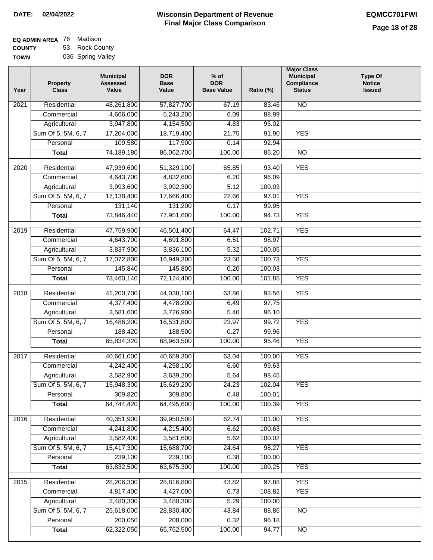| EQ ADMIN AREA 76 | Madison           |
|------------------|-------------------|
| <b>COUNTY</b>    | 53 Rock County    |
| <b>TOWN</b>      | 036 Spring Valley |

| Year              | <b>Property</b><br><b>Class</b> | <b>Municipal</b><br><b>Assessed</b><br>Value | <b>DOR</b><br><b>Base</b><br>Value | $%$ of<br><b>DOR</b><br><b>Base Value</b> | Ratio (%)        | <b>Major Class</b><br><b>Municipal</b><br>Compliance<br><b>Status</b> | Type Of<br><b>Notice</b><br><b>Issued</b> |
|-------------------|---------------------------------|----------------------------------------------|------------------------------------|-------------------------------------------|------------------|-----------------------------------------------------------------------|-------------------------------------------|
| $\overline{202}1$ | Residential                     | 48,261,800                                   | 57,827,700                         | 67.19                                     | 83.46            | $\overline{NO}$                                                       |                                           |
|                   | Commercial                      | 4,666,000                                    | 5,243,200                          | 6.09                                      | 88.99            |                                                                       |                                           |
|                   | Agricultural                    | 3,947,800                                    | 4,154,500                          | 4.83                                      | 95.02            |                                                                       |                                           |
|                   | Sum Of 5, 5M, 6, 7              | 17,204,000                                   | 18,719,400                         | 21.75                                     | 91.90            | <b>YES</b>                                                            |                                           |
|                   | Personal                        | 109,580                                      | 117,900                            | 0.14                                      | 92.94            |                                                                       |                                           |
|                   | <b>Total</b>                    | 74,189,180                                   | 86,062,700                         | 100.00                                    | 86.20            | $\overline{NO}$                                                       |                                           |
| $\overline{2020}$ | Residential                     | 47,939,600                                   | 51,329,100                         | 65.85                                     | 93.40            | <b>YES</b>                                                            |                                           |
|                   | Commercial                      | 4,643,700                                    | 4,832,600                          | 6.20                                      | 96.09            |                                                                       |                                           |
|                   | Agricultural                    | 3,993,600                                    | 3,992,300                          | 5.12                                      | 100.03           |                                                                       |                                           |
|                   | Sum Of 5, 5M, 6, 7              | 17,138,400                                   | 17,666,400                         | 22.66                                     | 97.01            | <b>YES</b>                                                            |                                           |
|                   | Personal                        | 131,140                                      | 131,200                            | 0.17                                      | 99.95            |                                                                       |                                           |
|                   | <b>Total</b>                    | 73,846,440                                   | 77,951,600                         | 100.00                                    | 94.73            | <b>YES</b>                                                            |                                           |
| 2019              | Residential                     | 47,759,900                                   | 46,501,400                         | 64.47                                     | 102.71           | <b>YES</b>                                                            |                                           |
|                   | Commercial                      | 4,643,700                                    | 4,691,800                          | 6.51                                      | 98.97            |                                                                       |                                           |
|                   | Agricultural                    | 3,837,900                                    | 3,836,100                          | 5.32                                      | 100.05           |                                                                       |                                           |
|                   | Sum Of 5, 5M, 6, 7              | 17,072,800                                   | 16,949,300                         | 23.50                                     | 100.73           | <b>YES</b>                                                            |                                           |
|                   | Personal                        | 145,840                                      | 145,800                            | 0.20                                      | 100.03           |                                                                       |                                           |
|                   | <b>Total</b>                    | 73,460,140                                   | 72,124,400                         | 100.00                                    | 101.85           | <b>YES</b>                                                            |                                           |
|                   | Residential                     | 41,200,700                                   | 44,038,100                         |                                           | 93.56            | <b>YES</b>                                                            |                                           |
| 2018              | Commercial                      | 4,377,400                                    | 4,478,200                          | 63.86<br>6.49                             | 97.75            |                                                                       |                                           |
|                   | Agricultural                    | 3,581,600                                    | 3,726,900                          | 5.40                                      | 96.10            |                                                                       |                                           |
|                   | Sum Of 5, 5M, 6, 7              | 16,486,200                                   | 16,531,800                         | 23.97                                     | 99.72            | <b>YES</b>                                                            |                                           |
|                   | Personal                        | 188,420                                      | 188,500                            | 0.27                                      | 99.96            |                                                                       |                                           |
|                   | <b>Total</b>                    | 65,834,320                                   | 68,963,500                         | 100.00                                    | 95.46            | <b>YES</b>                                                            |                                           |
|                   |                                 |                                              |                                    |                                           |                  |                                                                       |                                           |
| 2017              | Residential                     | 40,661,000                                   | 40,659,300                         | 63.04                                     | 100.00           | <b>YES</b>                                                            |                                           |
|                   | Commercial                      | 4,242,400                                    | 4,258,100                          | 6.60                                      | 99.63            |                                                                       |                                           |
|                   | Agricultural                    | 3,582,900                                    | 3,639,200                          | 5.64                                      | 98.45            |                                                                       |                                           |
|                   | Sum Of 5, 5M, 6, 7              | 15,948,300                                   | 15,629,200                         | 24.23                                     | 102.04           | <b>YES</b>                                                            |                                           |
|                   | Personal<br><b>Total</b>        | 309,820<br>64,744,420                        | 309,800<br>64,495,600              | 0.48<br>100.00                            | 100.01<br>100.39 | <b>YES</b>                                                            |                                           |
|                   |                                 |                                              |                                    |                                           |                  |                                                                       |                                           |
| 2016              | Residential                     | 40,351,900                                   | 39,950,500                         | 62.74                                     | 101.00           | <b>YES</b>                                                            |                                           |
|                   | Commercial                      | 4,241,800                                    | 4,215,400                          | 6.62                                      | 100.63           |                                                                       |                                           |
|                   | Agricultural                    | 3,582,400                                    | 3,581,600                          | 5.62                                      | 100.02           |                                                                       |                                           |
|                   | Sum Of 5, 5M, 6, 7              | 15,417,300                                   | 15,688,700                         | 24.64                                     | 98.27            | <b>YES</b>                                                            |                                           |
|                   | Personal                        | 239,100                                      | 239,100                            | 0.38                                      | 100.00           |                                                                       |                                           |
|                   | <b>Total</b>                    | 63,832,500                                   | 63,675,300                         | 100.00                                    | 100.25           | <b>YES</b>                                                            |                                           |
| 2015              | Residential                     | 28,206,300                                   | 28,816,800                         | 43.82                                     | 97.88            | <b>YES</b>                                                            |                                           |
|                   | Commercial                      | 4,817,400                                    | 4,427,000                          | 6.73                                      | 108.82           | <b>YES</b>                                                            |                                           |
|                   | Agricultural                    | 3,480,300                                    | 3,480,300                          | 5.29                                      | 100.00           |                                                                       |                                           |
|                   | Sum Of 5, 5M, 6, 7              | 25,618,000                                   | 28,830,400                         | 43.84                                     | 88.86            | <b>NO</b>                                                             |                                           |
|                   | Personal                        | 200,050                                      | 208,000                            | 0.32                                      | 96.18            |                                                                       |                                           |
|                   | <b>Total</b>                    | 62,322,050                                   | 65,762,500                         | 100.00                                    | 94.77            | NO                                                                    |                                           |
|                   |                                 |                                              |                                    |                                           |                  |                                                                       |                                           |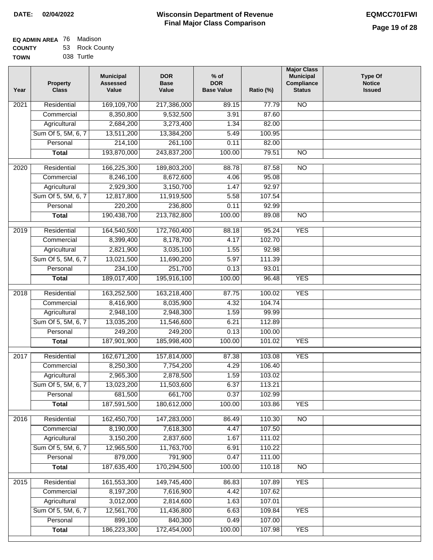| <b>EQ ADMIN AREA</b> 76 Madison |                |
|---------------------------------|----------------|
| <b>COUNTY</b>                   | 53 Rock County |

**TOWN** 038 Turtle

| Year              | <b>Property</b><br><b>Class</b>    | <b>Municipal</b><br><b>Assessed</b><br>Value | <b>DOR</b><br><b>Base</b><br>Value | $%$ of<br><b>DOR</b><br><b>Base Value</b> | Ratio (%)        | <b>Major Class</b><br><b>Municipal</b><br>Compliance<br><b>Status</b> | <b>Type Of</b><br><b>Notice</b><br><b>Issued</b> |
|-------------------|------------------------------------|----------------------------------------------|------------------------------------|-------------------------------------------|------------------|-----------------------------------------------------------------------|--------------------------------------------------|
| $\overline{202}1$ | Residential                        | 169,109,700                                  | 217,386,000                        | 89.15                                     | 77.79            | <b>NO</b>                                                             |                                                  |
|                   | Commercial                         | 8,350,800                                    | 9,532,500                          | 3.91                                      | 87.60            |                                                                       |                                                  |
|                   | Agricultural                       | 2,684,200                                    | 3,273,400                          | 1.34                                      | 82.00            |                                                                       |                                                  |
|                   | Sum Of 5, 5M, 6, 7                 | 13,511,200                                   | 13,384,200                         | 5.49                                      | 100.95           |                                                                       |                                                  |
|                   | Personal                           | 214,100                                      | 261,100                            | 0.11                                      | 82.00            |                                                                       |                                                  |
|                   | <b>Total</b>                       | 193,870,000                                  | 243,837,200                        | 100.00                                    | 79.51            | <b>NO</b>                                                             |                                                  |
| $\overline{2020}$ | Residential                        | 166,225,300                                  | 189,803,200                        | 88.78                                     | 87.58            | $\overline{10}$                                                       |                                                  |
|                   | Commercial                         | 8,246,100                                    | 8,672,600                          | 4.06                                      | 95.08            |                                                                       |                                                  |
|                   | Agricultural                       | 2,929,300                                    | 3,150,700                          | 1.47                                      | 92.97            |                                                                       |                                                  |
|                   | Sum Of 5, 5M, 6, 7                 | 12,817,800                                   | 11,919,500                         | 5.58                                      | 107.54           |                                                                       |                                                  |
|                   | Personal                           | 220,200                                      | 236,800                            | 0.11                                      | 92.99            |                                                                       |                                                  |
|                   | <b>Total</b>                       | 190,438,700                                  | 213,782,800                        | 100.00                                    | 89.08            | $\overline{NO}$                                                       |                                                  |
|                   |                                    |                                              |                                    |                                           |                  |                                                                       |                                                  |
| 2019              | Residential<br>Commercial          | 164,540,500<br>8,399,400                     | 172,760,400<br>8,178,700           | 88.18<br>4.17                             | 95.24<br>102.70  | <b>YES</b>                                                            |                                                  |
|                   |                                    | 2,821,900                                    | 3,035,100                          | 1.55                                      | 92.98            |                                                                       |                                                  |
|                   | Agricultural<br>Sum Of 5, 5M, 6, 7 | 13,021,500                                   | 11,690,200                         | 5.97                                      | 111.39           |                                                                       |                                                  |
|                   | Personal                           | 234,100                                      | 251,700                            | 0.13                                      | 93.01            |                                                                       |                                                  |
|                   | <b>Total</b>                       | 189,017,400                                  | 195,916,100                        | 100.00                                    | 96.48            | <b>YES</b>                                                            |                                                  |
|                   |                                    |                                              |                                    |                                           |                  |                                                                       |                                                  |
| 2018              | Residential                        | 163,252,500                                  | 163,218,400                        | 87.75                                     | 100.02           | <b>YES</b>                                                            |                                                  |
|                   | Commercial                         | 8,416,900                                    | 8,035,900                          | 4.32                                      | 104.74           |                                                                       |                                                  |
|                   | Agricultural                       | 2,948,100                                    | 2,948,300                          | 1.59                                      | 99.99            |                                                                       |                                                  |
|                   | Sum Of 5, 5M, 6, 7                 | 13,035,200                                   | 11,546,600                         | 6.21                                      | 112.89           |                                                                       |                                                  |
|                   | Personal                           | 249,200                                      | 249,200                            | 0.13                                      | 100.00           |                                                                       |                                                  |
|                   | <b>Total</b>                       | 187,901,900                                  | 185,998,400                        | 100.00                                    | 101.02           | <b>YES</b>                                                            |                                                  |
| 2017              | Residential                        | 162,671,200                                  | 157,814,000                        | 87.38                                     | 103.08           | <b>YES</b>                                                            |                                                  |
|                   | Commercial                         | 8,250,300                                    | 7,754,200                          | 4.29                                      | 106.40           |                                                                       |                                                  |
|                   | Agricultural                       | 2,965,300                                    | 2,878,500                          | 1.59                                      | 103.02           |                                                                       |                                                  |
|                   | Sum Of 5, 5M, 6, 7                 | 13,023,200                                   | 11,503,600                         | 6.37                                      | 113.21           |                                                                       |                                                  |
|                   | Personal                           | 681,500                                      | 661,700                            | 0.37                                      | 102.99           |                                                                       |                                                  |
|                   | <b>Total</b>                       | 187,591,500                                  | 180,612,000                        | 100.00                                    | 103.86           | <b>YES</b>                                                            |                                                  |
| 2016              | Residential                        | 162,450,700                                  | 147,283,000                        | 86.49                                     | 110.30           | $\overline{NO}$                                                       |                                                  |
|                   | Commercial                         | 8,190,000                                    | 7,618,300                          | 4.47                                      | 107.50           |                                                                       |                                                  |
|                   | Agricultural                       | 3,150,200                                    | 2,837,600                          | 1.67                                      | 111.02           |                                                                       |                                                  |
|                   | Sum Of 5, 5M, 6, 7                 | 12,965,500                                   | 11,763,700                         | 6.91                                      | 110.22           |                                                                       |                                                  |
|                   | Personal                           | 879,000                                      | 791,900                            | 0.47                                      | 111.00           |                                                                       |                                                  |
|                   | <b>Total</b>                       | 187,635,400                                  | 170,294,500                        | 100.00                                    | 110.18           | $\overline{NO}$                                                       |                                                  |
|                   |                                    |                                              |                                    |                                           |                  |                                                                       |                                                  |
| 2015              | Residential                        | 161,553,300                                  | 149,745,400                        | 86.83                                     | 107.89           | <b>YES</b>                                                            |                                                  |
|                   | Commercial                         | 8,197,200                                    | 7,616,900                          | 4.42                                      | 107.62           |                                                                       |                                                  |
|                   | Agricultural                       | 3,012,000                                    | 2,814,600                          | 1.63                                      | 107.01           |                                                                       |                                                  |
|                   | Sum Of 5, 5M, 6, 7<br>Personal     | 12,561,700<br>899,100                        | 11,436,800<br>840,300              | 6.63<br>0.49                              | 109.84<br>107.00 | <b>YES</b>                                                            |                                                  |
|                   | <b>Total</b>                       | 186,223,300                                  | 172,454,000                        | 100.00                                    | 107.98           | <b>YES</b>                                                            |                                                  |
|                   |                                    |                                              |                                    |                                           |                  |                                                                       |                                                  |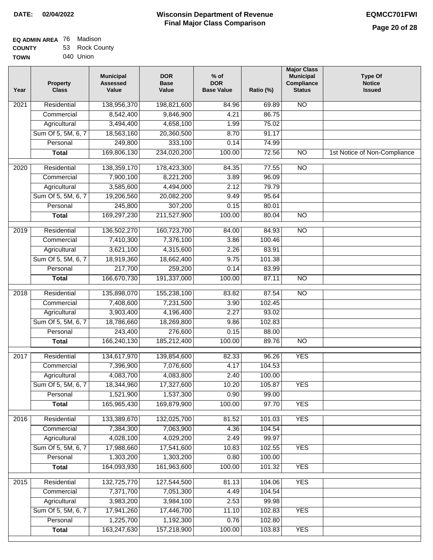| EQ ADMIN AREA 76 | Madison        |
|------------------|----------------|
| <b>COUNTY</b>    | 53 Rock County |
| <b>TOWN</b>      | 040 Union      |

040 Union

| Year              | <b>Property</b><br><b>Class</b> | <b>Municipal</b><br><b>Assessed</b><br>Value | <b>DOR</b><br><b>Base</b><br>Value | $%$ of<br><b>DOR</b><br><b>Base Value</b> | Ratio (%) | <b>Major Class</b><br><b>Municipal</b><br>Compliance<br><b>Status</b> | <b>Type Of</b><br><b>Notice</b><br><b>Issued</b> |
|-------------------|---------------------------------|----------------------------------------------|------------------------------------|-------------------------------------------|-----------|-----------------------------------------------------------------------|--------------------------------------------------|
| $\overline{202}1$ | Residential                     | 138,956,370                                  | 198,821,600                        | 84.96                                     | 69.89     | $\overline{NO}$                                                       |                                                  |
|                   | Commercial                      | 8,542,400                                    | 9,846,900                          | 4.21                                      | 86.75     |                                                                       |                                                  |
|                   | Agricultural                    | 3,494,400                                    | 4,658,100                          | 1.99                                      | 75.02     |                                                                       |                                                  |
|                   | Sum Of 5, 5M, 6, 7              | 18,563,160                                   | 20,360,500                         | 8.70                                      | 91.17     |                                                                       |                                                  |
|                   | Personal                        | 249,800                                      | 333,100                            | 0.14                                      | 74.99     |                                                                       |                                                  |
|                   | <b>Total</b>                    | 169,806,130                                  | 234,020,200                        | 100.00                                    | 72.56     | <b>NO</b>                                                             | 1st Notice of Non-Compliance                     |
| 2020              | Residential                     | 138,359,170                                  | 178,423,300                        | 84.35                                     | 77.55     | NO                                                                    |                                                  |
|                   | Commercial                      | 7,900,100                                    | 8,221,200                          | 3.89                                      | 96.09     |                                                                       |                                                  |
|                   | Agricultural                    | 3,585,600                                    | 4,494,000                          | 2.12                                      | 79.79     |                                                                       |                                                  |
|                   | Sum Of 5, 5M, 6, 7              | 19,206,560                                   | 20,082,200                         | 9.49                                      | 95.64     |                                                                       |                                                  |
|                   | Personal                        | 245,800                                      | 307,200                            | 0.15                                      | 80.01     |                                                                       |                                                  |
|                   | <b>Total</b>                    | 169,297,230                                  | 211,527,900                        | 100.00                                    | 80.04     | $\overline{NO}$                                                       |                                                  |
| 2019              | Residential                     | 136,502,270                                  | 160,723,700                        | 84.00                                     | 84.93     | $\overline{NO}$                                                       |                                                  |
|                   | Commercial                      | 7,410,300                                    | 7,376,100                          | 3.86                                      | 100.46    |                                                                       |                                                  |
|                   | Agricultural                    | 3,621,100                                    | 4,315,600                          | 2.26                                      | 83.91     |                                                                       |                                                  |
|                   | Sum Of 5, 5M, 6, 7              | 18,919,360                                   | 18,662,400                         | 9.75                                      | 101.38    |                                                                       |                                                  |
|                   | Personal                        | 217,700                                      | 259,200                            | 0.14                                      | 83.99     |                                                                       |                                                  |
|                   | <b>Total</b>                    | 166,670,730                                  | 191,337,000                        | 100.00                                    | 87.11     | $\overline{NO}$                                                       |                                                  |
| 2018              | Residential                     | 135,898,070                                  | 155,238,100                        | 83.82                                     | 87.54     | $\overline{NO}$                                                       |                                                  |
|                   | Commercial                      | 7,408,600                                    | 7,231,500                          | 3.90                                      | 102.45    |                                                                       |                                                  |
|                   | Agricultural                    | 3,903,400                                    | 4,196,400                          | 2.27                                      | 93.02     |                                                                       |                                                  |
|                   | Sum Of 5, 5M, 6, 7              | 18,786,660                                   | 18,269,800                         | 9.86                                      | 102.83    |                                                                       |                                                  |
|                   | Personal                        | 243,400                                      | 276,600                            | 0.15                                      | 88.00     |                                                                       |                                                  |
|                   | <b>Total</b>                    | 166,240,130                                  | 185,212,400                        | 100.00                                    | 89.76     | <b>NO</b>                                                             |                                                  |
| $\overline{2017}$ | Residential                     | 134,617,970                                  | 139,854,600                        | 82.33                                     | 96.26     | <b>YES</b>                                                            |                                                  |
|                   | Commercial                      | 7,396,900                                    | 7,076,600                          | 4.17                                      | 104.53    |                                                                       |                                                  |
|                   | Agricultural                    | 4,083,700                                    | 4,083,800                          | 2.40                                      | 100.00    |                                                                       |                                                  |
|                   | Sum Of 5, 5M, 6, 7              | 18,344,960                                   | 17,327,600                         | 10.20                                     | 105.87    | <b>YES</b>                                                            |                                                  |
|                   | Personal                        | 1,521,900                                    | 1,537,300                          | 0.90                                      | 99.00     |                                                                       |                                                  |
|                   | <b>Total</b>                    | 165,965,430                                  | 169,879,900                        | 100.00                                    | 97.70     | <b>YES</b>                                                            |                                                  |
| 2016              | Residential                     | 133,389,670                                  | 132,025,700                        | 81.52                                     | 101.03    | <b>YES</b>                                                            |                                                  |
|                   | Commercial                      | 7,384,300                                    | 7,063,900                          | 4.36                                      | 104.54    |                                                                       |                                                  |
|                   | Agricultural                    | 4,028,100                                    | 4,029,200                          | 2.49                                      | 99.97     |                                                                       |                                                  |
|                   | Sum Of 5, 5M, 6, 7              | 17,988,660                                   | 17,541,600                         | 10.83                                     | 102.55    | <b>YES</b>                                                            |                                                  |
|                   | Personal                        | 1,303,200                                    | 1,303,200                          | 0.80                                      | 100.00    |                                                                       |                                                  |
|                   | <b>Total</b>                    | 164,093,930                                  | 161,963,600                        | 100.00                                    | 101.32    | <b>YES</b>                                                            |                                                  |
| 2015              | Residential                     | 132,725,770                                  | 127,544,500                        | 81.13                                     | 104.06    | <b>YES</b>                                                            |                                                  |
|                   | Commercial                      | 7,371,700                                    | 7,051,300                          | 4.49                                      | 104.54    |                                                                       |                                                  |
|                   | Agricultural                    | 3,983,200                                    | 3,984,100                          | 2.53                                      | 99.98     |                                                                       |                                                  |
|                   | Sum Of 5, 5M, 6, 7              | 17,941,260                                   | 17,446,700                         | 11.10                                     | 102.83    | <b>YES</b>                                                            |                                                  |
|                   | Personal                        | 1,225,700                                    | 1,192,300                          | 0.76                                      | 102.80    |                                                                       |                                                  |
|                   | <b>Total</b>                    | 163,247,630                                  | 157,218,900                        | 100.00                                    | 103.83    | <b>YES</b>                                                            |                                                  |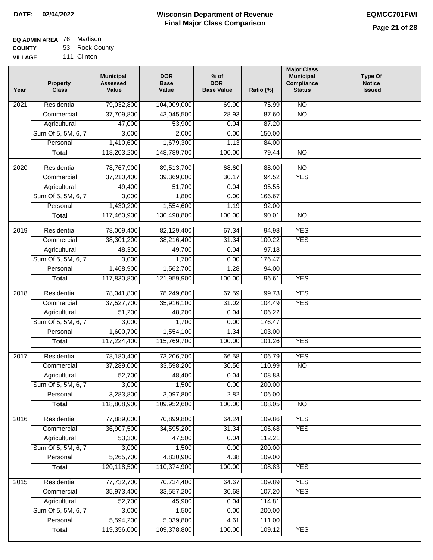#### **Wisconsin Department of Revenue Final Major Class Comparison DATE: 02/04/2022 EQMCC701FWI**

٦

#### **EQ ADMIN AREA** 76 Madison **COUNTY** 53 Rock County

**VILLAGE** 111 Clinton

| Year             | <b>Property</b><br><b>Class</b> | <b>Municipal</b><br><b>Assessed</b><br>Value | <b>DOR</b><br><b>Base</b><br>Value | $%$ of<br><b>DOR</b><br><b>Base Value</b> | Ratio (%) | <b>Major Class</b><br><b>Municipal</b><br>Compliance<br><b>Status</b> | <b>Type Of</b><br><b>Notice</b><br><b>Issued</b> |
|------------------|---------------------------------|----------------------------------------------|------------------------------------|-------------------------------------------|-----------|-----------------------------------------------------------------------|--------------------------------------------------|
| 2021             | Residential                     | 79,032,800                                   | 104,009,000                        | 69.90                                     | 75.99     | <b>NO</b>                                                             |                                                  |
|                  | Commercial                      | 37,709,800                                   | 43,045,500                         | 28.93                                     | 87.60     | $\overline{NO}$                                                       |                                                  |
|                  | Agricultural                    | 47,000                                       | 53,900                             | 0.04                                      | 87.20     |                                                                       |                                                  |
|                  | Sum Of 5, 5M, 6, 7              | 3,000                                        | 2,000                              | 0.00                                      | 150.00    |                                                                       |                                                  |
|                  | Personal                        | 1,410,600                                    | 1,679,300                          | 1.13                                      | 84.00     |                                                                       |                                                  |
|                  | <b>Total</b>                    | 118,203,200                                  | 148,789,700                        | 100.00                                    | 79.44     | $\overline{NO}$                                                       |                                                  |
| 2020             | Residential                     | 78,767,900                                   | 89,513,700                         | 68.60                                     | 88.00     | $\overline{10}$                                                       |                                                  |
|                  | Commercial                      | 37,210,400                                   | 39,369,000                         | 30.17                                     | 94.52     | <b>YES</b>                                                            |                                                  |
|                  | Agricultural                    | 49,400                                       | 51,700                             | 0.04                                      | 95.55     |                                                                       |                                                  |
|                  | Sum Of 5, 5M, 6, 7              | 3,000                                        | 1,800                              | 0.00                                      | 166.67    |                                                                       |                                                  |
|                  | Personal                        | 1,430,200                                    | 1,554,600                          | 1.19                                      | 92.00     |                                                                       |                                                  |
|                  | <b>Total</b>                    | 117,460,900                                  | 130,490,800                        | 100.00                                    | 90.01     | <b>NO</b>                                                             |                                                  |
|                  |                                 |                                              |                                    |                                           |           |                                                                       |                                                  |
| $\frac{1}{2019}$ | Residential                     | 78,009,400                                   | 82,129,400                         | 67.34                                     | 94.98     | <b>YES</b>                                                            |                                                  |
|                  | Commercial                      | 38,301,200                                   | 38,216,400                         | 31.34                                     | 100.22    | <b>YES</b>                                                            |                                                  |
|                  | Agricultural                    | 48,300                                       | 49,700                             | 0.04                                      | 97.18     |                                                                       |                                                  |
|                  | Sum Of 5, 5M, 6, 7              | 3,000                                        | 1,700                              | 0.00                                      | 176.47    |                                                                       |                                                  |
|                  | Personal                        | 1,468,900                                    | 1,562,700                          | 1.28                                      | 94.00     |                                                                       |                                                  |
|                  | <b>Total</b>                    | 117,830,800                                  | 121,959,900                        | 100.00                                    | 96.61     | <b>YES</b>                                                            |                                                  |
| 2018             | Residential                     | 78,041,800                                   | 78,249,600                         | 67.59                                     | 99.73     | <b>YES</b>                                                            |                                                  |
|                  | Commercial                      | 37,527,700                                   | 35,916,100                         | 31.02                                     | 104.49    | <b>YES</b>                                                            |                                                  |
|                  | Agricultural                    | 51,200                                       | 48,200                             | 0.04                                      | 106.22    |                                                                       |                                                  |
|                  | Sum Of 5, 5M, 6, 7              | 3,000                                        | 1,700                              | 0.00                                      | 176.47    |                                                                       |                                                  |
|                  | Personal                        | 1,600,700                                    | 1,554,100                          | 1.34                                      | 103.00    |                                                                       |                                                  |
|                  | <b>Total</b>                    | 117,224,400                                  | 115,769,700                        | 100.00                                    | 101.26    | <b>YES</b>                                                            |                                                  |
| 2017             | Residential                     | 78,180,400                                   | 73,206,700                         | 66.58                                     | 106.79    | <b>YES</b>                                                            |                                                  |
|                  | Commercial                      | 37,289,000                                   | 33,598,200                         | 30.56                                     | 110.99    | <b>NO</b>                                                             |                                                  |
|                  | Agricultural                    | 52,700                                       | 48,400                             | 0.04                                      | 108.88    |                                                                       |                                                  |
|                  | Sum Of 5, 5M, 6, 7              | 3,000                                        | 1,500                              | 0.00                                      | 200.00    |                                                                       |                                                  |
|                  | Personal                        | 3,283,800                                    | 3,097,800                          | 2.82                                      | 106.00    |                                                                       |                                                  |
|                  | <b>Total</b>                    | 118,808,900                                  | 109,952,600                        | 100.00                                    | 108.05    | $\overline{NO}$                                                       |                                                  |
|                  |                                 |                                              |                                    |                                           |           |                                                                       |                                                  |
| 2016             | Residential                     | 77,889,000                                   | 70,899,800                         | 64.24                                     | 109.86    | <b>YES</b>                                                            |                                                  |
|                  | Commercial                      | 36,907,500                                   | 34,595,200                         | 31.34                                     | 106.68    | <b>YES</b>                                                            |                                                  |
|                  | Agricultural                    | 53,300                                       | 47,500                             | 0.04                                      | 112.21    |                                                                       |                                                  |
|                  | Sum Of 5, 5M, 6, 7              | 3,000                                        | 1,500                              | 0.00                                      | 200.00    |                                                                       |                                                  |
|                  | Personal                        | 5,265,700                                    | 4,830,900                          | 4.38                                      | 109.00    |                                                                       |                                                  |
|                  | <b>Total</b>                    | 120,118,500                                  | 110,374,900                        | 100.00                                    | 108.83    | <b>YES</b>                                                            |                                                  |
| 2015             | Residential                     | 77,732,700                                   | 70,734,400                         | 64.67                                     | 109.89    | <b>YES</b>                                                            |                                                  |
|                  | Commercial                      | 35,973,400                                   | 33,557,200                         | 30.68                                     | 107.20    | <b>YES</b>                                                            |                                                  |
|                  | Agricultural                    | 52,700                                       | 45,900                             | 0.04                                      | 114.81    |                                                                       |                                                  |
|                  | Sum Of 5, 5M, 6, 7              | 3,000                                        | 1,500                              | 0.00                                      | 200.00    |                                                                       |                                                  |
|                  | Personal                        | 5,594,200                                    | 5,039,800                          | 4.61                                      | 111.00    |                                                                       |                                                  |
|                  | <b>Total</b>                    | 119,356,000                                  | 109,378,800                        | 100.00                                    | 109.12    | <b>YES</b>                                                            |                                                  |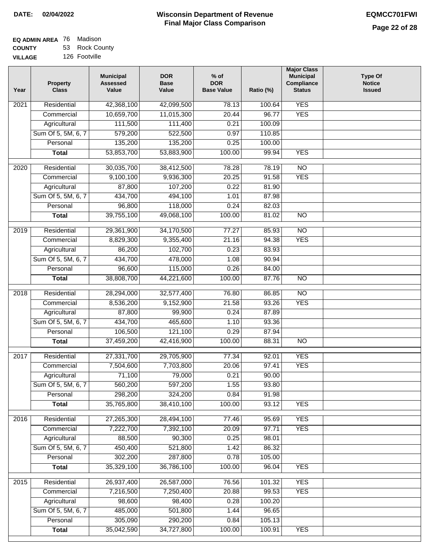#### **EQ ADMIN AREA** 76 Madison **COUNTY** 53 Rock County

**VILLAGE** 126 Footville

| Year              | <b>Property</b><br><b>Class</b> | <b>Municipal</b><br><b>Assessed</b><br>Value | <b>DOR</b><br><b>Base</b><br>Value | % of<br><b>DOR</b><br><b>Base Value</b> | Ratio (%) | <b>Major Class</b><br><b>Municipal</b><br>Compliance<br><b>Status</b> | <b>Type Of</b><br><b>Notice</b><br><b>Issued</b> |
|-------------------|---------------------------------|----------------------------------------------|------------------------------------|-----------------------------------------|-----------|-----------------------------------------------------------------------|--------------------------------------------------|
| $\overline{202}1$ | Residential                     | 42,368,100                                   | 42,099,500                         | 78.13                                   | 100.64    | <b>YES</b>                                                            |                                                  |
|                   | Commercial                      | 10,659,700                                   | 11,015,300                         | 20.44                                   | 96.77     | <b>YES</b>                                                            |                                                  |
|                   | Agricultural                    | 111,500                                      | 111,400                            | 0.21                                    | 100.09    |                                                                       |                                                  |
|                   | Sum Of 5, 5M, 6, 7              | 579,200                                      | 522,500                            | 0.97                                    | 110.85    |                                                                       |                                                  |
|                   | Personal                        | 135,200                                      | 135,200                            | 0.25                                    | 100.00    |                                                                       |                                                  |
|                   | <b>Total</b>                    | 53,853,700                                   | 53,883,900                         | 100.00                                  | 99.94     | <b>YES</b>                                                            |                                                  |
| $\overline{2020}$ | Residential                     | 30,035,700                                   | 38,412,500                         | 78.28                                   | 78.19     | $\overline{NO}$                                                       |                                                  |
|                   | Commercial                      | 9,100,100                                    | 9,936,300                          | 20.25                                   | 91.58     | <b>YES</b>                                                            |                                                  |
|                   | Agricultural                    | 87,800                                       | 107,200                            | 0.22                                    | 81.90     |                                                                       |                                                  |
|                   | Sum Of 5, 5M, 6, 7              | 434,700                                      | 494,100                            | 1.01                                    | 87.98     |                                                                       |                                                  |
|                   | Personal                        | 96,800                                       | 118,000                            | 0.24                                    | 82.03     |                                                                       |                                                  |
|                   | <b>Total</b>                    | 39,755,100                                   | 49,068,100                         | 100.00                                  | 81.02     | $\overline{NO}$                                                       |                                                  |
| 2019              | Residential                     | 29,361,900                                   | 34,170,500                         | 77.27                                   | 85.93     | $\overline{10}$                                                       |                                                  |
|                   | Commercial                      | 8,829,300                                    | 9,355,400                          | 21.16                                   | 94.38     | <b>YES</b>                                                            |                                                  |
|                   | Agricultural                    | 86,200                                       | 102,700                            | 0.23                                    | 83.93     |                                                                       |                                                  |
|                   | Sum Of 5, 5M, 6, 7              | 434,700                                      | 478,000                            | 1.08                                    | 90.94     |                                                                       |                                                  |
|                   | Personal                        | 96,600                                       | 115,000                            | 0.26                                    | 84.00     |                                                                       |                                                  |
|                   | <b>Total</b>                    | 38,808,700                                   | 44,221,600                         | 100.00                                  | 87.76     | $\overline{NO}$                                                       |                                                  |
|                   |                                 |                                              |                                    |                                         |           |                                                                       |                                                  |
| 2018              | Residential                     | 28,294,000                                   | 32,577,400                         | 76.80                                   | 86.85     | $\overline{NO}$                                                       |                                                  |
|                   | Commercial                      | 8,536,200                                    | 9,152,900                          | 21.58                                   | 93.26     | <b>YES</b>                                                            |                                                  |
|                   | Agricultural                    | 87,800                                       | 99,900                             | 0.24                                    | 87.89     |                                                                       |                                                  |
|                   | Sum Of 5, 5M, 6, 7              | 434,700                                      | 465,600                            | 1.10                                    | 93.36     |                                                                       |                                                  |
|                   | Personal                        | 106,500                                      | 121,100                            | 0.29                                    | 87.94     |                                                                       |                                                  |
|                   | <b>Total</b>                    | 37,459,200                                   | 42,416,900                         | 100.00                                  | 88.31     | <b>NO</b>                                                             |                                                  |
| 2017              | Residential                     | 27,331,700                                   | 29,705,900                         | 77.34                                   | 92.01     | <b>YES</b>                                                            |                                                  |
|                   | Commercial                      | 7,504,600                                    | 7,703,800                          | 20.06                                   | 97.41     | <b>YES</b>                                                            |                                                  |
|                   | Agricultural                    | 71,100                                       | 79,000                             | 0.21                                    | 90.00     |                                                                       |                                                  |
|                   | Sum Of 5, 5M, 6, 7              | 560,200                                      | 597,200                            | 1.55                                    | 93.80     |                                                                       |                                                  |
|                   | Personal                        | 298,200                                      | 324,200                            | 0.84                                    | 91.98     |                                                                       |                                                  |
|                   | <b>Total</b>                    | 35,765,800                                   | 38,410,100                         | 100.00                                  | 93.12     | <b>YES</b>                                                            |                                                  |
| 2016              | Residential                     | 27,265,300                                   | 28,494,100                         | 77.46                                   | 95.69     | <b>YES</b>                                                            |                                                  |
|                   | Commercial                      | 7,222,700                                    | 7,392,100                          | 20.09                                   | 97.71     | <b>YES</b>                                                            |                                                  |
|                   | Agricultural                    | 88,500                                       | 90,300                             | 0.25                                    | 98.01     |                                                                       |                                                  |
|                   | Sum Of 5, 5M, 6, 7              | 450,400                                      | 521,800                            | 1.42                                    | 86.32     |                                                                       |                                                  |
|                   | Personal                        | 302,200                                      | 287,800                            | 0.78                                    | 105.00    |                                                                       |                                                  |
|                   | <b>Total</b>                    | 35,329,100                                   | 36,786,100                         | 100.00                                  | 96.04     | <b>YES</b>                                                            |                                                  |
| 2015              | Residential                     | 26,937,400                                   | 26,587,000                         | 76.56                                   | 101.32    | <b>YES</b>                                                            |                                                  |
|                   | Commercial                      | 7,216,500                                    | 7,250,400                          | 20.88                                   | 99.53     | <b>YES</b>                                                            |                                                  |
|                   | Agricultural                    | 98,600                                       | 98,400                             | 0.28                                    | 100.20    |                                                                       |                                                  |
|                   | Sum Of 5, 5M, 6, 7              | 485,000                                      | 501,800                            | 1.44                                    | 96.65     |                                                                       |                                                  |
|                   | Personal                        | 305,090                                      | 290,200                            | 0.84                                    | 105.13    |                                                                       |                                                  |
|                   | <b>Total</b>                    | 35,042,590                                   | 34,727,800                         | 100.00                                  | 100.91    | <b>YES</b>                                                            |                                                  |
|                   |                                 |                                              |                                    |                                         |           |                                                                       |                                                  |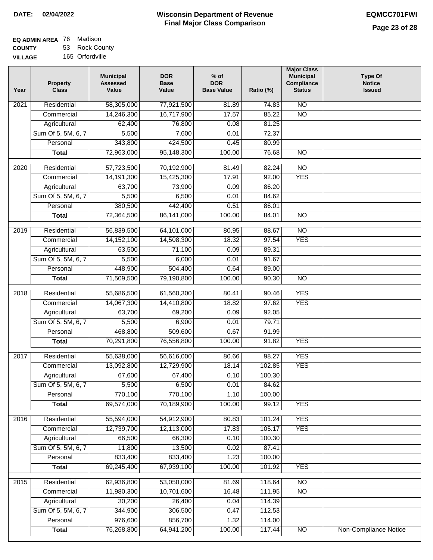| <b>EQ ADMIN AREA 76 Madison</b> |                |
|---------------------------------|----------------|
| <b>COUNTY</b>                   | 53 Rock County |
|                                 |                |

**VILLAGE** 165 Orfordville

| Year             | <b>Property</b><br><b>Class</b> | <b>Municipal</b><br><b>Assessed</b><br>Value | <b>DOR</b><br><b>Base</b><br>Value | $%$ of<br><b>DOR</b><br><b>Base Value</b> | Ratio (%) | <b>Major Class</b><br><b>Municipal</b><br>Compliance<br><b>Status</b> | <b>Type Of</b><br><b>Notice</b><br><b>Issued</b> |
|------------------|---------------------------------|----------------------------------------------|------------------------------------|-------------------------------------------|-----------|-----------------------------------------------------------------------|--------------------------------------------------|
| 2021             | Residential                     | 58,305,000                                   | 77,921,500                         | 81.89                                     | 74.83     | <b>NO</b>                                                             |                                                  |
|                  | Commercial                      | 14,246,300                                   | 16,717,900                         | 17.57                                     | 85.22     | $\overline{NO}$                                                       |                                                  |
|                  | Agricultural                    | 62,400                                       | 76,800                             | 0.08                                      | 81.25     |                                                                       |                                                  |
|                  | Sum Of 5, 5M, 6, 7              | 5,500                                        | 7,600                              | 0.01                                      | 72.37     |                                                                       |                                                  |
|                  | Personal                        | 343,800                                      | 424,500                            | 0.45                                      | 80.99     |                                                                       |                                                  |
|                  | <b>Total</b>                    | 72,963,000                                   | 95,148,300                         | 100.00                                    | 76.68     | $\overline{NO}$                                                       |                                                  |
| 2020             | Residential                     | 57,723,500                                   | 70,192,900                         | 81.49                                     | 82.24     | $\overline{10}$                                                       |                                                  |
|                  | Commercial                      | 14,191,300                                   | 15,425,300                         | 17.91                                     | 92.00     | <b>YES</b>                                                            |                                                  |
|                  | Agricultural                    | 63,700                                       | 73,900                             | 0.09                                      | 86.20     |                                                                       |                                                  |
|                  | Sum Of 5, 5M, 6, 7              | 5,500                                        | 6,500                              | 0.01                                      | 84.62     |                                                                       |                                                  |
|                  | Personal                        | 380,500                                      | 442,400                            | 0.51                                      | 86.01     |                                                                       |                                                  |
|                  | <b>Total</b>                    | 72,364,500                                   | 86,141,000                         | 100.00                                    | 84.01     | <b>NO</b>                                                             |                                                  |
| $\frac{1}{2019}$ | Residential                     | 56,839,500                                   | 64,101,000                         | 80.95                                     | 88.67     | $\overline{NO}$                                                       |                                                  |
|                  | Commercial                      | 14,152,100                                   | 14,508,300                         | 18.32                                     | 97.54     | <b>YES</b>                                                            |                                                  |
|                  | Agricultural                    | 63,500                                       | 71,100                             | 0.09                                      | 89.31     |                                                                       |                                                  |
|                  | Sum Of 5, 5M, 6, 7              | 5,500                                        | 6,000                              | 0.01                                      | 91.67     |                                                                       |                                                  |
|                  | Personal                        | 448,900                                      | 504,400                            | 0.64                                      | 89.00     |                                                                       |                                                  |
|                  | <b>Total</b>                    | 71,509,500                                   | 79,190,800                         | 100.00                                    | 90.30     | $\overline{NO}$                                                       |                                                  |
|                  |                                 |                                              |                                    |                                           |           |                                                                       |                                                  |
| 2018             | Residential                     | 55,686,500                                   | 61,560,300                         | 80.41                                     | 90.46     | <b>YES</b>                                                            |                                                  |
|                  | Commercial                      | 14,067,300                                   | 14,410,800                         | 18.82                                     | 97.62     | <b>YES</b>                                                            |                                                  |
|                  | Agricultural                    | 63,700                                       | 69,200                             | 0.09                                      | 92.05     |                                                                       |                                                  |
|                  | Sum Of 5, 5M, 6, 7              | 5,500                                        | 6,900                              | 0.01                                      | 79.71     |                                                                       |                                                  |
|                  | Personal                        | 468,800                                      | 509,600                            | 0.67                                      | 91.99     |                                                                       |                                                  |
|                  | <b>Total</b>                    | 70,291,800                                   | 76,556,800                         | 100.00                                    | 91.82     | <b>YES</b>                                                            |                                                  |
| 2017             | Residential                     | 55,638,000                                   | 56,616,000                         | 80.66                                     | 98.27     | <b>YES</b>                                                            |                                                  |
|                  | Commercial                      | 13,092,800                                   | 12,729,900                         | 18.14                                     | 102.85    | <b>YES</b>                                                            |                                                  |
|                  | Agricultural                    | 67,600                                       | 67,400                             | 0.10                                      | 100.30    |                                                                       |                                                  |
|                  | Sum Of 5, 5M, 6, 7              | 5,500                                        | 6,500                              | 0.01                                      | 84.62     |                                                                       |                                                  |
|                  | Personal                        | 770,100                                      | 770,100                            | 1.10                                      | 100.00    |                                                                       |                                                  |
|                  | <b>Total</b>                    | 69,574,000                                   | 70,189,900                         | 100.00                                    | 99.12     | <b>YES</b>                                                            |                                                  |
| 2016             | Residential                     | 55,594,000                                   | 54,912,900                         | 80.83                                     | 101.24    | <b>YES</b>                                                            |                                                  |
|                  | Commercial                      | 12,739,700                                   | 12,113,000                         | 17.83                                     | 105.17    | <b>YES</b>                                                            |                                                  |
|                  | Agricultural                    | 66,500                                       | 66,300                             | 0.10                                      | 100.30    |                                                                       |                                                  |
|                  | Sum Of 5, 5M, 6, 7              | 11,800                                       | 13,500                             | 0.02                                      | 87.41     |                                                                       |                                                  |
|                  | Personal                        | 833,400                                      | 833,400                            | 1.23                                      | 100.00    |                                                                       |                                                  |
|                  | <b>Total</b>                    | 69,245,400                                   | 67,939,100                         | 100.00                                    | 101.92    | <b>YES</b>                                                            |                                                  |
| 2015             | Residential                     | 62,936,800                                   | 53,050,000                         | 81.69                                     | 118.64    | <b>NO</b>                                                             |                                                  |
|                  | Commercial                      | 11,980,300                                   | 10,701,600                         | 16.48                                     | 111.95    | $\overline{NO}$                                                       |                                                  |
|                  | Agricultural                    | 30,200                                       | 26,400                             | 0.04                                      | 114.39    |                                                                       |                                                  |
|                  | Sum Of 5, 5M, 6, 7              | 344,900                                      | 306,500                            | 0.47                                      | 112.53    |                                                                       |                                                  |
|                  | Personal                        | 976,600                                      | 856,700                            | 1.32                                      | 114.00    |                                                                       |                                                  |
|                  | <b>Total</b>                    | 76,268,800                                   | 64,941,200                         | 100.00                                    | 117.44    | $\overline{NO}$                                                       | Non-Compliance Notice                            |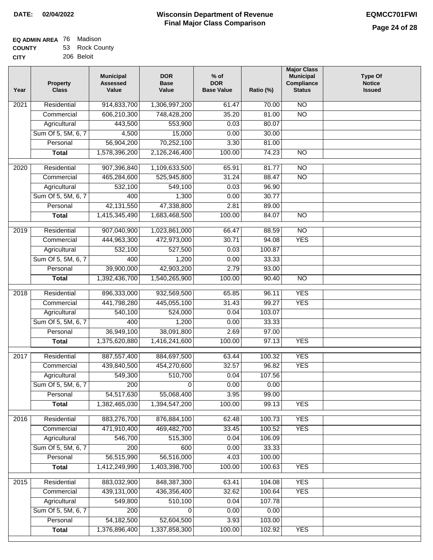| <b>EQ ADMIN AREA 76 Madison</b> |                |
|---------------------------------|----------------|
| <b>COUNTY</b>                   | 53 Rock County |

**CITY** 206 Beloit

| Year              | <b>Property</b><br><b>Class</b> | <b>Municipal</b><br><b>Assessed</b><br>Value | <b>DOR</b><br><b>Base</b><br>Value | $%$ of<br><b>DOR</b><br><b>Base Value</b> | Ratio (%) | <b>Major Class</b><br><b>Municipal</b><br>Compliance<br><b>Status</b> | <b>Type Of</b><br><b>Notice</b><br><b>Issued</b> |
|-------------------|---------------------------------|----------------------------------------------|------------------------------------|-------------------------------------------|-----------|-----------------------------------------------------------------------|--------------------------------------------------|
| $\overline{202}1$ | Residential                     | 914,833,700                                  | 1,306,997,200                      | 61.47                                     | 70.00     | N <sub>O</sub>                                                        |                                                  |
|                   | Commercial                      | 606,210,300                                  | 748,428,200                        | 35.20                                     | 81.00     | $\overline{NO}$                                                       |                                                  |
|                   | Agricultural                    | 443,500                                      | 553,900                            | 0.03                                      | 80.07     |                                                                       |                                                  |
|                   | Sum Of 5, 5M, 6, 7              | 4,500                                        | 15,000                             | 0.00                                      | 30.00     |                                                                       |                                                  |
|                   | Personal                        | 56,904,200                                   | 70,252,100                         | 3.30                                      | 81.00     |                                                                       |                                                  |
|                   | <b>Total</b>                    | 1,578,396,200                                | 2,126,246,400                      | 100.00                                    | 74.23     | $\overline{NO}$                                                       |                                                  |
| $\overline{2020}$ | Residential                     | 907,396,840                                  | 1,109,633,500                      | 65.91                                     | 81.77     | $\overline{NO}$                                                       |                                                  |
|                   | Commercial                      | 465,284,600                                  | 525,945,800                        | 31.24                                     | 88.47     | $\overline{NO}$                                                       |                                                  |
|                   | Agricultural                    | 532,100                                      | 549,100                            | 0.03                                      | 96.90     |                                                                       |                                                  |
|                   | Sum Of 5, 5M, 6, 7              | 400                                          | 1,300                              | 0.00                                      | 30.77     |                                                                       |                                                  |
|                   | Personal                        | 42, 131, 550                                 | 47,338,800                         | 2.81                                      | 89.00     |                                                                       |                                                  |
|                   | <b>Total</b>                    | 1,415,345,490                                | 1,683,468,500                      | 100.00                                    | 84.07     | $\overline{NO}$                                                       |                                                  |
| 2019              | Residential                     | 907,040,900                                  | 1,023,861,000                      | 66.47                                     | 88.59     | $\overline{10}$                                                       |                                                  |
|                   | Commercial                      | 444,963,300                                  | 472,973,000                        | 30.71                                     | 94.08     | <b>YES</b>                                                            |                                                  |
|                   | Agricultural                    | 532,100                                      | 527,500                            | 0.03                                      | 100.87    |                                                                       |                                                  |
|                   | Sum Of 5, 5M, 6, 7              | 400                                          | 1,200                              | 0.00                                      | 33.33     |                                                                       |                                                  |
|                   | Personal                        | 39,900,000                                   | 42,903,200                         | 2.79                                      | 93.00     |                                                                       |                                                  |
|                   | <b>Total</b>                    | 1,392,436,700                                | 1,540,265,900                      | 100.00                                    | 90.40     | $\overline{NO}$                                                       |                                                  |
|                   |                                 |                                              |                                    |                                           |           |                                                                       |                                                  |
| 2018              | Residential                     | 896,333,000                                  | 932,569,500                        | 65.85                                     | 96.11     | <b>YES</b>                                                            |                                                  |
|                   | Commercial                      | 441,798,280                                  | 445,055,100                        | 31.43                                     | 99.27     | <b>YES</b>                                                            |                                                  |
|                   | Agricultural                    | 540,100                                      | 524,000                            | 0.04                                      | 103.07    |                                                                       |                                                  |
|                   | Sum Of 5, 5M, 6, 7              | 400                                          | 1,200                              | 0.00                                      | 33.33     |                                                                       |                                                  |
|                   | Personal                        | 36,949,100                                   | 38,091,800                         | 2.69                                      | 97.00     |                                                                       |                                                  |
|                   | <b>Total</b>                    | 1,375,620,880                                | 1,416,241,600                      | 100.00                                    | 97.13     | <b>YES</b>                                                            |                                                  |
| 2017              | Residential                     | 887, 557, 400                                | 884,697,500                        | 63.44                                     | 100.32    | <b>YES</b>                                                            |                                                  |
|                   | Commercial                      | 439,840,500                                  | 454,270,600                        | 32.57                                     | 96.82     | <b>YES</b>                                                            |                                                  |
|                   | Agricultural                    | 549,300                                      | 510,700                            | 0.04                                      | 107.56    |                                                                       |                                                  |
|                   | Sum Of 5, 5M, 6, 7              | 200                                          | $\overline{0}$                     | 0.00                                      | 0.00      |                                                                       |                                                  |
|                   | Personal                        | 54,517,630                                   | 55,068,400                         | 3.95                                      | 99.00     |                                                                       |                                                  |
|                   | <b>Total</b>                    | 1,382,465,030                                | 1,394,547,200                      | 100.00                                    | 99.13     | <b>YES</b>                                                            |                                                  |
| 2016              | Residential                     | 883,276,700                                  | 876,884,100                        | 62.48                                     | 100.73    | <b>YES</b>                                                            |                                                  |
|                   | Commercial                      | 471,910,400                                  | 469,482,700                        | 33.45                                     | 100.52    | <b>YES</b>                                                            |                                                  |
|                   | Agricultural                    | 546,700                                      | 515,300                            | 0.04                                      | 106.09    |                                                                       |                                                  |
|                   | Sum Of 5, 5M, 6, 7              | 200                                          | 600                                | 0.00                                      | 33.33     |                                                                       |                                                  |
|                   | Personal                        | 56,515,990                                   | 56,516,000                         | 4.03                                      | 100.00    |                                                                       |                                                  |
|                   | <b>Total</b>                    | 1,412,249,990                                | 1,403,398,700                      | 100.00                                    | 100.63    | <b>YES</b>                                                            |                                                  |
|                   |                                 |                                              |                                    |                                           |           |                                                                       |                                                  |
| 2015              | Residential                     | 883,032,900                                  | 848, 387, 300                      | 63.41                                     | 104.08    | <b>YES</b>                                                            |                                                  |
|                   | Commercial                      | 439,131,000                                  | 436,356,400                        | 32.62                                     | 100.64    | <b>YES</b>                                                            |                                                  |
|                   | Agricultural                    | 549,800                                      | 510,100                            | 0.04                                      | 107.78    |                                                                       |                                                  |
|                   | Sum Of 5, 5M, 6, 7              | 200                                          | 0                                  | 0.00                                      | 0.00      |                                                                       |                                                  |
|                   | Personal                        | 54, 182, 500                                 | 52,604,500                         | 3.93                                      | 103.00    |                                                                       |                                                  |
|                   | <b>Total</b>                    | 1,376,896,400                                | 1,337,858,300                      | 100.00                                    | 102.92    | <b>YES</b>                                                            |                                                  |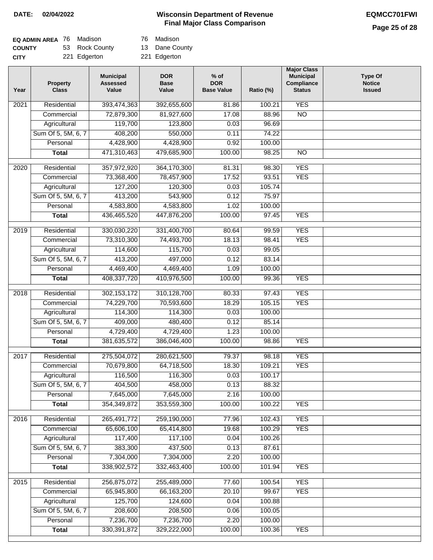# **Page 25 of 28**

| <b>EQ ADMIN AREA</b> 76 Madison |                | 76 Madison   |
|---------------------------------|----------------|--------------|
| <b>COUNTY</b>                   | 53 Rock County | 13 Dane Co   |
| <b>CITY</b>                     | 221 Edgerton   | 221 Edgerton |

| Madison |  |
|---------|--|
|         |  |

13 Dane County

| Year              | <b>Property</b><br><b>Class</b> | <b>Municipal</b><br><b>Assessed</b><br>Value | <b>DOR</b><br><b>Base</b><br>Value | $%$ of<br><b>DOR</b><br><b>Base Value</b> | Ratio (%) | <b>Major Class</b><br><b>Municipal</b><br>Compliance<br><b>Status</b> | <b>Type Of</b><br><b>Notice</b><br><b>Issued</b> |
|-------------------|---------------------------------|----------------------------------------------|------------------------------------|-------------------------------------------|-----------|-----------------------------------------------------------------------|--------------------------------------------------|
| $\overline{202}1$ | Residential                     | 393,474,363                                  | 392,655,600                        | 81.86                                     | 100.21    | <b>YES</b>                                                            |                                                  |
|                   | Commercial                      | 72,879,300                                   | 81,927,600                         | 17.08                                     | 88.96     | $\overline{NO}$                                                       |                                                  |
|                   | Agricultural                    | 119,700                                      | 123,800                            | 0.03                                      | 96.69     |                                                                       |                                                  |
|                   | Sum Of 5, 5M, 6, 7              | 408,200                                      | 550,000                            | 0.11                                      | 74.22     |                                                                       |                                                  |
|                   | Personal                        | 4,428,900                                    | 4,428,900                          | 0.92                                      | 100.00    |                                                                       |                                                  |
|                   | <b>Total</b>                    | 471,310,463                                  | 479,685,900                        | 100.00                                    | 98.25     | $\overline{NO}$                                                       |                                                  |
| $\overline{2020}$ | Residential                     | 357,972,920                                  | 364,170,300                        | 81.31                                     | 98.30     | <b>YES</b>                                                            |                                                  |
|                   | Commercial                      | 73,368,400                                   | 78,457,900                         | 17.52                                     | 93.51     | <b>YES</b>                                                            |                                                  |
|                   | Agricultural                    | 127,200                                      | 120,300                            | 0.03                                      | 105.74    |                                                                       |                                                  |
|                   | Sum Of 5, 5M, 6, 7              | 413,200                                      | 543,900                            | 0.12                                      | 75.97     |                                                                       |                                                  |
|                   | Personal                        | 4,583,800                                    | 4,583,800                          | 1.02                                      | 100.00    |                                                                       |                                                  |
|                   | <b>Total</b>                    | 436,465,520                                  | 447,876,200                        | 100.00                                    | 97.45     | <b>YES</b>                                                            |                                                  |
| 2019              | Residential                     | 330,030,220                                  | 331,400,700                        | 80.64                                     | 99.59     | <b>YES</b>                                                            |                                                  |
|                   | Commercial                      | 73,310,300                                   | 74,493,700                         | 18.13                                     | 98.41     | <b>YES</b>                                                            |                                                  |
|                   | Agricultural                    | 114,600                                      | 115,700                            | 0.03                                      | 99.05     |                                                                       |                                                  |
|                   | Sum Of 5, 5M, 6, 7              | 413,200                                      | 497,000                            | 0.12                                      | 83.14     |                                                                       |                                                  |
|                   | Personal                        | 4,469,400                                    | 4,469,400                          | 1.09                                      | 100.00    |                                                                       |                                                  |
|                   | <b>Total</b>                    | 408,337,720                                  | 410,976,500                        | 100.00                                    | 99.36     | <b>YES</b>                                                            |                                                  |
|                   |                                 |                                              |                                    |                                           |           |                                                                       |                                                  |
| 2018              | Residential                     | 302, 153, 172                                | 310,128,700                        | 80.33                                     | 97.43     | <b>YES</b>                                                            |                                                  |
|                   | Commercial                      | 74,229,700                                   | 70,593,600                         | 18.29                                     | 105.15    | <b>YES</b>                                                            |                                                  |
|                   | Agricultural                    | 114,300                                      | 114,300                            | 0.03                                      | 100.00    |                                                                       |                                                  |
|                   | Sum Of 5, 5M, 6, 7              | 409,000                                      | 480,400                            | 0.12                                      | 85.14     |                                                                       |                                                  |
|                   | Personal                        | 4,729,400                                    | 4,729,400                          | 1.23                                      | 100.00    |                                                                       |                                                  |
|                   | <b>Total</b>                    | 381,635,572                                  | 386,046,400                        | 100.00                                    | 98.86     | <b>YES</b>                                                            |                                                  |
| 2017              | Residential                     | 275,504,072                                  | 280,621,500                        | 79.37                                     | 98.18     | <b>YES</b>                                                            |                                                  |
|                   | Commercial                      | 70,679,800                                   | 64,718,500                         | 18.30                                     | 109.21    | <b>YES</b>                                                            |                                                  |
|                   | Agricultural                    | 116,500                                      | 116,300                            | 0.03                                      | 100.17    |                                                                       |                                                  |
|                   | Sum Of 5, 5M, 6, 7              | 404,500                                      | 458,000                            | 0.13                                      | 88.32     |                                                                       |                                                  |
|                   | Personal                        | 7,645,000                                    | 7,645,000                          | 2.16                                      | 100.00    |                                                                       |                                                  |
|                   | <b>Total</b>                    | 354,349,872                                  | 353,559,300                        | 100.00                                    | 100.22    | <b>YES</b>                                                            |                                                  |
| 2016              | Residential                     | 265,491,772                                  | 259,190,000                        | 77.96                                     | 102.43    | <b>YES</b>                                                            |                                                  |
|                   | Commercial                      | 65,606,100                                   | 65,414,800                         | 19.68                                     | 100.29    | <b>YES</b>                                                            |                                                  |
|                   | Agricultural                    | 117,400                                      | 117,100                            | 0.04                                      | 100.26    |                                                                       |                                                  |
|                   | Sum Of 5, 5M, 6, 7              | 383,300                                      | 437,500                            | 0.13                                      | 87.61     |                                                                       |                                                  |
|                   | Personal                        | 7,304,000                                    | 7,304,000                          | 2.20                                      | 100.00    |                                                                       |                                                  |
|                   | <b>Total</b>                    | 338,902,572                                  | 332,463,400                        | 100.00                                    | 101.94    | <b>YES</b>                                                            |                                                  |
| 2015              | Residential                     | 256,875,072                                  | 255,489,000                        | 77.60                                     | 100.54    | <b>YES</b>                                                            |                                                  |
|                   | Commercial                      | 65,945,800                                   | 66, 163, 200                       | 20.10                                     | 99.67     | <b>YES</b>                                                            |                                                  |
|                   | Agricultural                    | 125,700                                      | 124,600                            | 0.04                                      | 100.88    |                                                                       |                                                  |
|                   | Sum Of 5, 5M, 6, 7              | 208,600                                      | 208,500                            | 0.06                                      | 100.05    |                                                                       |                                                  |
|                   | Personal                        | 7,236,700                                    | 7,236,700                          | 2.20                                      | 100.00    |                                                                       |                                                  |
|                   | <b>Total</b>                    | 330, 391, 872                                | 329,222,000                        | 100.00                                    | 100.36    | <b>YES</b>                                                            |                                                  |
|                   |                                 |                                              |                                    |                                           |           |                                                                       |                                                  |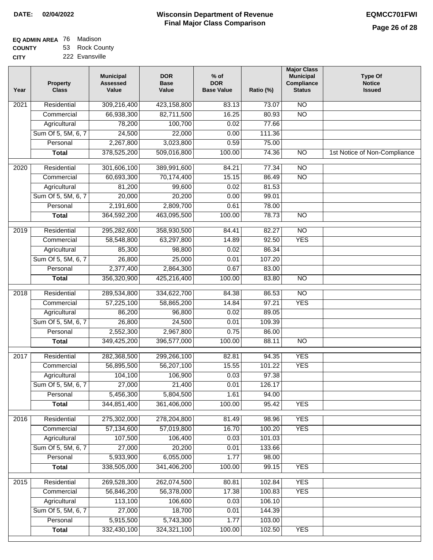| <b>EQ ADMIN AREA 76 Madison</b> |                |
|---------------------------------|----------------|
| <b>COUNTY</b>                   | 53 Rock County |

**CITY** 222 Evansville

| 309,216,400<br>423,158,800<br>N <sub>O</sub><br>Residential<br>2021<br>83.13<br>73.07<br>66,938,300<br>82,711,500<br>16.25<br>$\overline{NO}$<br>Commercial<br>80.93<br>100,700<br>Agricultural<br>78,200<br>0.02<br>77.66<br>24,500<br>Sum Of 5, 5M, 6, 7<br>22,000<br>0.00<br>111.36<br>2,267,800<br>3,023,800<br>Personal<br>0.59<br>75.00<br>378,525,200<br>509,016,800<br>100.00<br>$\overline{NO}$<br>74.36<br>1st Notice of Non-Compliance<br><b>Total</b><br>$\overline{NO}$<br>Residential<br>301,606,100<br>389,991,600<br>84.21<br>77.34<br>2020<br>60,693,300<br>70,174,400<br>$\overline{NO}$<br>Commercial<br>15.15<br>86.49<br>0.02<br>81.53<br>Agricultural<br>81,200<br>99,600<br>20,000<br>Sum Of 5, 5M, 6, 7<br>20,200<br>0.00<br>99.01<br>2,809,700<br>Personal<br>2,191,600<br>0.61<br>78.00<br>364,592,200<br>463,095,500<br>100.00<br>78.73<br>$\overline{NO}$<br><b>Total</b><br>$\overline{NO}$<br>Residential<br>295,282,600<br>358,930,500<br>82.27<br>2019<br>84.41<br><b>YES</b><br>Commercial<br>58,548,800<br>63,297,800<br>14.89<br>92.50<br>Agricultural<br>85,300<br>98,800<br>0.02<br>86.34<br>Sum Of 5, 5M, 6, 7<br>26,800<br>25,000<br>107.20<br>0.01<br>2,377,400<br>Personal<br>2,864,300<br>0.67<br>83.00<br>356,320,900<br>425,216,400<br>100.00<br>83.80<br>$\overline{N}$<br><b>Total</b><br>$\overline{NO}$<br>2018<br>Residential<br>289,534,800<br>334,622,700<br>84.38<br>86.53<br>97.21<br>57,225,100<br>14.84<br><b>YES</b><br>Commercial<br>58,865,200<br>Agricultural<br>86,200<br>96,800<br>0.02<br>89.05<br>Sum Of 5, 5M, 6, 7<br>26,800<br>24,500<br>0.01<br>109.39<br>2,552,300<br>2,967,800<br>0.75<br>86.00<br>Personal<br>349,425,200<br>396,577,000<br>100.00<br>88.11<br>$\overline{10}$<br><b>Total</b><br><b>YES</b><br>2017<br>Residential<br>282,368,500<br>299,266,100<br>82.81<br>94.35<br>56,895,500<br>15.55<br><b>YES</b><br>56,207,100<br>101.22<br>Commercial<br>104,100<br>0.03<br>106,900<br>97.38<br>Agricultural<br>Sum Of 5, 5M, 6, 7<br>27,000<br>21,400<br>0.01<br>126.17<br>5,456,300<br>5,804,500<br>Personal<br>1.61<br>94.00<br>344,851,400<br>361,406,000<br>100.00<br>95.42<br><b>YES</b><br><b>Total</b><br>Residential<br>275,302,000<br>278,204,800<br>98.96<br><b>YES</b><br>2016<br>81.49<br><b>YES</b><br>57,134,600<br>57,019,800<br>16.70<br>100.20<br>Commercial<br>107,500<br>106,400<br>0.03<br>101.03<br>Agricultural<br>27,000<br>Sum Of 5, 5M, 6, 7<br>20,200<br>0.01<br>133.66<br>Personal<br>5,933,900<br>6,055,000<br>1.77<br>98.00<br>338,505,000<br>100.00<br>99.15<br><b>YES</b><br>341,406,200<br><b>Total</b><br>269,528,300<br><b>YES</b><br>$\overline{2015}$<br>Residential<br>262,074,500<br>80.81<br>102.84<br>Commercial<br>56,846,200<br>56,378,000<br>17.38<br>100.83<br><b>YES</b><br>106.10<br>Agricultural<br>113,100<br>106,600<br>0.03<br>Sum Of 5, 5M, 6, 7<br>27,000<br>18,700<br>144.39<br>0.01<br>Personal<br>5,915,500<br>5,743,300<br>1.77<br>103.00<br>332,430,100<br>324,321,100<br><b>YES</b><br><b>Total</b><br>100.00<br>102.50 | Year | <b>Property</b><br><b>Class</b> | <b>Municipal</b><br><b>Assessed</b><br>Value | <b>DOR</b><br><b>Base</b><br>Value | % of<br><b>DOR</b><br><b>Base Value</b> | Ratio (%) | <b>Major Class</b><br><b>Municipal</b><br>Compliance<br><b>Status</b> | <b>Type Of</b><br><b>Notice</b><br><b>Issued</b> |
|-------------------------------------------------------------------------------------------------------------------------------------------------------------------------------------------------------------------------------------------------------------------------------------------------------------------------------------------------------------------------------------------------------------------------------------------------------------------------------------------------------------------------------------------------------------------------------------------------------------------------------------------------------------------------------------------------------------------------------------------------------------------------------------------------------------------------------------------------------------------------------------------------------------------------------------------------------------------------------------------------------------------------------------------------------------------------------------------------------------------------------------------------------------------------------------------------------------------------------------------------------------------------------------------------------------------------------------------------------------------------------------------------------------------------------------------------------------------------------------------------------------------------------------------------------------------------------------------------------------------------------------------------------------------------------------------------------------------------------------------------------------------------------------------------------------------------------------------------------------------------------------------------------------------------------------------------------------------------------------------------------------------------------------------------------------------------------------------------------------------------------------------------------------------------------------------------------------------------------------------------------------------------------------------------------------------------------------------------------------------------------------------------------------------------------------------------------------------------------------------------------------------------------------------------------------------------------------------------------------------------------------------------------------------------------------------------------------------------------------------------------------------------------------------------------------------------------------------------------------------------------------------------------------------------------------------------------------------------------------------------------------------------------------------------------------------|------|---------------------------------|----------------------------------------------|------------------------------------|-----------------------------------------|-----------|-----------------------------------------------------------------------|--------------------------------------------------|
|                                                                                                                                                                                                                                                                                                                                                                                                                                                                                                                                                                                                                                                                                                                                                                                                                                                                                                                                                                                                                                                                                                                                                                                                                                                                                                                                                                                                                                                                                                                                                                                                                                                                                                                                                                                                                                                                                                                                                                                                                                                                                                                                                                                                                                                                                                                                                                                                                                                                                                                                                                                                                                                                                                                                                                                                                                                                                                                                                                                                                                                                   |      |                                 |                                              |                                    |                                         |           |                                                                       |                                                  |
|                                                                                                                                                                                                                                                                                                                                                                                                                                                                                                                                                                                                                                                                                                                                                                                                                                                                                                                                                                                                                                                                                                                                                                                                                                                                                                                                                                                                                                                                                                                                                                                                                                                                                                                                                                                                                                                                                                                                                                                                                                                                                                                                                                                                                                                                                                                                                                                                                                                                                                                                                                                                                                                                                                                                                                                                                                                                                                                                                                                                                                                                   |      |                                 |                                              |                                    |                                         |           |                                                                       |                                                  |
|                                                                                                                                                                                                                                                                                                                                                                                                                                                                                                                                                                                                                                                                                                                                                                                                                                                                                                                                                                                                                                                                                                                                                                                                                                                                                                                                                                                                                                                                                                                                                                                                                                                                                                                                                                                                                                                                                                                                                                                                                                                                                                                                                                                                                                                                                                                                                                                                                                                                                                                                                                                                                                                                                                                                                                                                                                                                                                                                                                                                                                                                   |      |                                 |                                              |                                    |                                         |           |                                                                       |                                                  |
|                                                                                                                                                                                                                                                                                                                                                                                                                                                                                                                                                                                                                                                                                                                                                                                                                                                                                                                                                                                                                                                                                                                                                                                                                                                                                                                                                                                                                                                                                                                                                                                                                                                                                                                                                                                                                                                                                                                                                                                                                                                                                                                                                                                                                                                                                                                                                                                                                                                                                                                                                                                                                                                                                                                                                                                                                                                                                                                                                                                                                                                                   |      |                                 |                                              |                                    |                                         |           |                                                                       |                                                  |
|                                                                                                                                                                                                                                                                                                                                                                                                                                                                                                                                                                                                                                                                                                                                                                                                                                                                                                                                                                                                                                                                                                                                                                                                                                                                                                                                                                                                                                                                                                                                                                                                                                                                                                                                                                                                                                                                                                                                                                                                                                                                                                                                                                                                                                                                                                                                                                                                                                                                                                                                                                                                                                                                                                                                                                                                                                                                                                                                                                                                                                                                   |      |                                 |                                              |                                    |                                         |           |                                                                       |                                                  |
|                                                                                                                                                                                                                                                                                                                                                                                                                                                                                                                                                                                                                                                                                                                                                                                                                                                                                                                                                                                                                                                                                                                                                                                                                                                                                                                                                                                                                                                                                                                                                                                                                                                                                                                                                                                                                                                                                                                                                                                                                                                                                                                                                                                                                                                                                                                                                                                                                                                                                                                                                                                                                                                                                                                                                                                                                                                                                                                                                                                                                                                                   |      |                                 |                                              |                                    |                                         |           |                                                                       |                                                  |
|                                                                                                                                                                                                                                                                                                                                                                                                                                                                                                                                                                                                                                                                                                                                                                                                                                                                                                                                                                                                                                                                                                                                                                                                                                                                                                                                                                                                                                                                                                                                                                                                                                                                                                                                                                                                                                                                                                                                                                                                                                                                                                                                                                                                                                                                                                                                                                                                                                                                                                                                                                                                                                                                                                                                                                                                                                                                                                                                                                                                                                                                   |      |                                 |                                              |                                    |                                         |           |                                                                       |                                                  |
|                                                                                                                                                                                                                                                                                                                                                                                                                                                                                                                                                                                                                                                                                                                                                                                                                                                                                                                                                                                                                                                                                                                                                                                                                                                                                                                                                                                                                                                                                                                                                                                                                                                                                                                                                                                                                                                                                                                                                                                                                                                                                                                                                                                                                                                                                                                                                                                                                                                                                                                                                                                                                                                                                                                                                                                                                                                                                                                                                                                                                                                                   |      |                                 |                                              |                                    |                                         |           |                                                                       |                                                  |
|                                                                                                                                                                                                                                                                                                                                                                                                                                                                                                                                                                                                                                                                                                                                                                                                                                                                                                                                                                                                                                                                                                                                                                                                                                                                                                                                                                                                                                                                                                                                                                                                                                                                                                                                                                                                                                                                                                                                                                                                                                                                                                                                                                                                                                                                                                                                                                                                                                                                                                                                                                                                                                                                                                                                                                                                                                                                                                                                                                                                                                                                   |      |                                 |                                              |                                    |                                         |           |                                                                       |                                                  |
|                                                                                                                                                                                                                                                                                                                                                                                                                                                                                                                                                                                                                                                                                                                                                                                                                                                                                                                                                                                                                                                                                                                                                                                                                                                                                                                                                                                                                                                                                                                                                                                                                                                                                                                                                                                                                                                                                                                                                                                                                                                                                                                                                                                                                                                                                                                                                                                                                                                                                                                                                                                                                                                                                                                                                                                                                                                                                                                                                                                                                                                                   |      |                                 |                                              |                                    |                                         |           |                                                                       |                                                  |
|                                                                                                                                                                                                                                                                                                                                                                                                                                                                                                                                                                                                                                                                                                                                                                                                                                                                                                                                                                                                                                                                                                                                                                                                                                                                                                                                                                                                                                                                                                                                                                                                                                                                                                                                                                                                                                                                                                                                                                                                                                                                                                                                                                                                                                                                                                                                                                                                                                                                                                                                                                                                                                                                                                                                                                                                                                                                                                                                                                                                                                                                   |      |                                 |                                              |                                    |                                         |           |                                                                       |                                                  |
|                                                                                                                                                                                                                                                                                                                                                                                                                                                                                                                                                                                                                                                                                                                                                                                                                                                                                                                                                                                                                                                                                                                                                                                                                                                                                                                                                                                                                                                                                                                                                                                                                                                                                                                                                                                                                                                                                                                                                                                                                                                                                                                                                                                                                                                                                                                                                                                                                                                                                                                                                                                                                                                                                                                                                                                                                                                                                                                                                                                                                                                                   |      |                                 |                                              |                                    |                                         |           |                                                                       |                                                  |
|                                                                                                                                                                                                                                                                                                                                                                                                                                                                                                                                                                                                                                                                                                                                                                                                                                                                                                                                                                                                                                                                                                                                                                                                                                                                                                                                                                                                                                                                                                                                                                                                                                                                                                                                                                                                                                                                                                                                                                                                                                                                                                                                                                                                                                                                                                                                                                                                                                                                                                                                                                                                                                                                                                                                                                                                                                                                                                                                                                                                                                                                   |      |                                 |                                              |                                    |                                         |           |                                                                       |                                                  |
|                                                                                                                                                                                                                                                                                                                                                                                                                                                                                                                                                                                                                                                                                                                                                                                                                                                                                                                                                                                                                                                                                                                                                                                                                                                                                                                                                                                                                                                                                                                                                                                                                                                                                                                                                                                                                                                                                                                                                                                                                                                                                                                                                                                                                                                                                                                                                                                                                                                                                                                                                                                                                                                                                                                                                                                                                                                                                                                                                                                                                                                                   |      |                                 |                                              |                                    |                                         |           |                                                                       |                                                  |
|                                                                                                                                                                                                                                                                                                                                                                                                                                                                                                                                                                                                                                                                                                                                                                                                                                                                                                                                                                                                                                                                                                                                                                                                                                                                                                                                                                                                                                                                                                                                                                                                                                                                                                                                                                                                                                                                                                                                                                                                                                                                                                                                                                                                                                                                                                                                                                                                                                                                                                                                                                                                                                                                                                                                                                                                                                                                                                                                                                                                                                                                   |      |                                 |                                              |                                    |                                         |           |                                                                       |                                                  |
|                                                                                                                                                                                                                                                                                                                                                                                                                                                                                                                                                                                                                                                                                                                                                                                                                                                                                                                                                                                                                                                                                                                                                                                                                                                                                                                                                                                                                                                                                                                                                                                                                                                                                                                                                                                                                                                                                                                                                                                                                                                                                                                                                                                                                                                                                                                                                                                                                                                                                                                                                                                                                                                                                                                                                                                                                                                                                                                                                                                                                                                                   |      |                                 |                                              |                                    |                                         |           |                                                                       |                                                  |
|                                                                                                                                                                                                                                                                                                                                                                                                                                                                                                                                                                                                                                                                                                                                                                                                                                                                                                                                                                                                                                                                                                                                                                                                                                                                                                                                                                                                                                                                                                                                                                                                                                                                                                                                                                                                                                                                                                                                                                                                                                                                                                                                                                                                                                                                                                                                                                                                                                                                                                                                                                                                                                                                                                                                                                                                                                                                                                                                                                                                                                                                   |      |                                 |                                              |                                    |                                         |           |                                                                       |                                                  |
|                                                                                                                                                                                                                                                                                                                                                                                                                                                                                                                                                                                                                                                                                                                                                                                                                                                                                                                                                                                                                                                                                                                                                                                                                                                                                                                                                                                                                                                                                                                                                                                                                                                                                                                                                                                                                                                                                                                                                                                                                                                                                                                                                                                                                                                                                                                                                                                                                                                                                                                                                                                                                                                                                                                                                                                                                                                                                                                                                                                                                                                                   |      |                                 |                                              |                                    |                                         |           |                                                                       |                                                  |
|                                                                                                                                                                                                                                                                                                                                                                                                                                                                                                                                                                                                                                                                                                                                                                                                                                                                                                                                                                                                                                                                                                                                                                                                                                                                                                                                                                                                                                                                                                                                                                                                                                                                                                                                                                                                                                                                                                                                                                                                                                                                                                                                                                                                                                                                                                                                                                                                                                                                                                                                                                                                                                                                                                                                                                                                                                                                                                                                                                                                                                                                   |      |                                 |                                              |                                    |                                         |           |                                                                       |                                                  |
|                                                                                                                                                                                                                                                                                                                                                                                                                                                                                                                                                                                                                                                                                                                                                                                                                                                                                                                                                                                                                                                                                                                                                                                                                                                                                                                                                                                                                                                                                                                                                                                                                                                                                                                                                                                                                                                                                                                                                                                                                                                                                                                                                                                                                                                                                                                                                                                                                                                                                                                                                                                                                                                                                                                                                                                                                                                                                                                                                                                                                                                                   |      |                                 |                                              |                                    |                                         |           |                                                                       |                                                  |
|                                                                                                                                                                                                                                                                                                                                                                                                                                                                                                                                                                                                                                                                                                                                                                                                                                                                                                                                                                                                                                                                                                                                                                                                                                                                                                                                                                                                                                                                                                                                                                                                                                                                                                                                                                                                                                                                                                                                                                                                                                                                                                                                                                                                                                                                                                                                                                                                                                                                                                                                                                                                                                                                                                                                                                                                                                                                                                                                                                                                                                                                   |      |                                 |                                              |                                    |                                         |           |                                                                       |                                                  |
|                                                                                                                                                                                                                                                                                                                                                                                                                                                                                                                                                                                                                                                                                                                                                                                                                                                                                                                                                                                                                                                                                                                                                                                                                                                                                                                                                                                                                                                                                                                                                                                                                                                                                                                                                                                                                                                                                                                                                                                                                                                                                                                                                                                                                                                                                                                                                                                                                                                                                                                                                                                                                                                                                                                                                                                                                                                                                                                                                                                                                                                                   |      |                                 |                                              |                                    |                                         |           |                                                                       |                                                  |
|                                                                                                                                                                                                                                                                                                                                                                                                                                                                                                                                                                                                                                                                                                                                                                                                                                                                                                                                                                                                                                                                                                                                                                                                                                                                                                                                                                                                                                                                                                                                                                                                                                                                                                                                                                                                                                                                                                                                                                                                                                                                                                                                                                                                                                                                                                                                                                                                                                                                                                                                                                                                                                                                                                                                                                                                                                                                                                                                                                                                                                                                   |      |                                 |                                              |                                    |                                         |           |                                                                       |                                                  |
|                                                                                                                                                                                                                                                                                                                                                                                                                                                                                                                                                                                                                                                                                                                                                                                                                                                                                                                                                                                                                                                                                                                                                                                                                                                                                                                                                                                                                                                                                                                                                                                                                                                                                                                                                                                                                                                                                                                                                                                                                                                                                                                                                                                                                                                                                                                                                                                                                                                                                                                                                                                                                                                                                                                                                                                                                                                                                                                                                                                                                                                                   |      |                                 |                                              |                                    |                                         |           |                                                                       |                                                  |
|                                                                                                                                                                                                                                                                                                                                                                                                                                                                                                                                                                                                                                                                                                                                                                                                                                                                                                                                                                                                                                                                                                                                                                                                                                                                                                                                                                                                                                                                                                                                                                                                                                                                                                                                                                                                                                                                                                                                                                                                                                                                                                                                                                                                                                                                                                                                                                                                                                                                                                                                                                                                                                                                                                                                                                                                                                                                                                                                                                                                                                                                   |      |                                 |                                              |                                    |                                         |           |                                                                       |                                                  |
|                                                                                                                                                                                                                                                                                                                                                                                                                                                                                                                                                                                                                                                                                                                                                                                                                                                                                                                                                                                                                                                                                                                                                                                                                                                                                                                                                                                                                                                                                                                                                                                                                                                                                                                                                                                                                                                                                                                                                                                                                                                                                                                                                                                                                                                                                                                                                                                                                                                                                                                                                                                                                                                                                                                                                                                                                                                                                                                                                                                                                                                                   |      |                                 |                                              |                                    |                                         |           |                                                                       |                                                  |
|                                                                                                                                                                                                                                                                                                                                                                                                                                                                                                                                                                                                                                                                                                                                                                                                                                                                                                                                                                                                                                                                                                                                                                                                                                                                                                                                                                                                                                                                                                                                                                                                                                                                                                                                                                                                                                                                                                                                                                                                                                                                                                                                                                                                                                                                                                                                                                                                                                                                                                                                                                                                                                                                                                                                                                                                                                                                                                                                                                                                                                                                   |      |                                 |                                              |                                    |                                         |           |                                                                       |                                                  |
|                                                                                                                                                                                                                                                                                                                                                                                                                                                                                                                                                                                                                                                                                                                                                                                                                                                                                                                                                                                                                                                                                                                                                                                                                                                                                                                                                                                                                                                                                                                                                                                                                                                                                                                                                                                                                                                                                                                                                                                                                                                                                                                                                                                                                                                                                                                                                                                                                                                                                                                                                                                                                                                                                                                                                                                                                                                                                                                                                                                                                                                                   |      |                                 |                                              |                                    |                                         |           |                                                                       |                                                  |
|                                                                                                                                                                                                                                                                                                                                                                                                                                                                                                                                                                                                                                                                                                                                                                                                                                                                                                                                                                                                                                                                                                                                                                                                                                                                                                                                                                                                                                                                                                                                                                                                                                                                                                                                                                                                                                                                                                                                                                                                                                                                                                                                                                                                                                                                                                                                                                                                                                                                                                                                                                                                                                                                                                                                                                                                                                                                                                                                                                                                                                                                   |      |                                 |                                              |                                    |                                         |           |                                                                       |                                                  |
|                                                                                                                                                                                                                                                                                                                                                                                                                                                                                                                                                                                                                                                                                                                                                                                                                                                                                                                                                                                                                                                                                                                                                                                                                                                                                                                                                                                                                                                                                                                                                                                                                                                                                                                                                                                                                                                                                                                                                                                                                                                                                                                                                                                                                                                                                                                                                                                                                                                                                                                                                                                                                                                                                                                                                                                                                                                                                                                                                                                                                                                                   |      |                                 |                                              |                                    |                                         |           |                                                                       |                                                  |
|                                                                                                                                                                                                                                                                                                                                                                                                                                                                                                                                                                                                                                                                                                                                                                                                                                                                                                                                                                                                                                                                                                                                                                                                                                                                                                                                                                                                                                                                                                                                                                                                                                                                                                                                                                                                                                                                                                                                                                                                                                                                                                                                                                                                                                                                                                                                                                                                                                                                                                                                                                                                                                                                                                                                                                                                                                                                                                                                                                                                                                                                   |      |                                 |                                              |                                    |                                         |           |                                                                       |                                                  |
|                                                                                                                                                                                                                                                                                                                                                                                                                                                                                                                                                                                                                                                                                                                                                                                                                                                                                                                                                                                                                                                                                                                                                                                                                                                                                                                                                                                                                                                                                                                                                                                                                                                                                                                                                                                                                                                                                                                                                                                                                                                                                                                                                                                                                                                                                                                                                                                                                                                                                                                                                                                                                                                                                                                                                                                                                                                                                                                                                                                                                                                                   |      |                                 |                                              |                                    |                                         |           |                                                                       |                                                  |
|                                                                                                                                                                                                                                                                                                                                                                                                                                                                                                                                                                                                                                                                                                                                                                                                                                                                                                                                                                                                                                                                                                                                                                                                                                                                                                                                                                                                                                                                                                                                                                                                                                                                                                                                                                                                                                                                                                                                                                                                                                                                                                                                                                                                                                                                                                                                                                                                                                                                                                                                                                                                                                                                                                                                                                                                                                                                                                                                                                                                                                                                   |      |                                 |                                              |                                    |                                         |           |                                                                       |                                                  |
|                                                                                                                                                                                                                                                                                                                                                                                                                                                                                                                                                                                                                                                                                                                                                                                                                                                                                                                                                                                                                                                                                                                                                                                                                                                                                                                                                                                                                                                                                                                                                                                                                                                                                                                                                                                                                                                                                                                                                                                                                                                                                                                                                                                                                                                                                                                                                                                                                                                                                                                                                                                                                                                                                                                                                                                                                                                                                                                                                                                                                                                                   |      |                                 |                                              |                                    |                                         |           |                                                                       |                                                  |
|                                                                                                                                                                                                                                                                                                                                                                                                                                                                                                                                                                                                                                                                                                                                                                                                                                                                                                                                                                                                                                                                                                                                                                                                                                                                                                                                                                                                                                                                                                                                                                                                                                                                                                                                                                                                                                                                                                                                                                                                                                                                                                                                                                                                                                                                                                                                                                                                                                                                                                                                                                                                                                                                                                                                                                                                                                                                                                                                                                                                                                                                   |      |                                 |                                              |                                    |                                         |           |                                                                       |                                                  |
|                                                                                                                                                                                                                                                                                                                                                                                                                                                                                                                                                                                                                                                                                                                                                                                                                                                                                                                                                                                                                                                                                                                                                                                                                                                                                                                                                                                                                                                                                                                                                                                                                                                                                                                                                                                                                                                                                                                                                                                                                                                                                                                                                                                                                                                                                                                                                                                                                                                                                                                                                                                                                                                                                                                                                                                                                                                                                                                                                                                                                                                                   |      |                                 |                                              |                                    |                                         |           |                                                                       |                                                  |
|                                                                                                                                                                                                                                                                                                                                                                                                                                                                                                                                                                                                                                                                                                                                                                                                                                                                                                                                                                                                                                                                                                                                                                                                                                                                                                                                                                                                                                                                                                                                                                                                                                                                                                                                                                                                                                                                                                                                                                                                                                                                                                                                                                                                                                                                                                                                                                                                                                                                                                                                                                                                                                                                                                                                                                                                                                                                                                                                                                                                                                                                   |      |                                 |                                              |                                    |                                         |           |                                                                       |                                                  |
|                                                                                                                                                                                                                                                                                                                                                                                                                                                                                                                                                                                                                                                                                                                                                                                                                                                                                                                                                                                                                                                                                                                                                                                                                                                                                                                                                                                                                                                                                                                                                                                                                                                                                                                                                                                                                                                                                                                                                                                                                                                                                                                                                                                                                                                                                                                                                                                                                                                                                                                                                                                                                                                                                                                                                                                                                                                                                                                                                                                                                                                                   |      |                                 |                                              |                                    |                                         |           |                                                                       |                                                  |
|                                                                                                                                                                                                                                                                                                                                                                                                                                                                                                                                                                                                                                                                                                                                                                                                                                                                                                                                                                                                                                                                                                                                                                                                                                                                                                                                                                                                                                                                                                                                                                                                                                                                                                                                                                                                                                                                                                                                                                                                                                                                                                                                                                                                                                                                                                                                                                                                                                                                                                                                                                                                                                                                                                                                                                                                                                                                                                                                                                                                                                                                   |      |                                 |                                              |                                    |                                         |           |                                                                       |                                                  |
|                                                                                                                                                                                                                                                                                                                                                                                                                                                                                                                                                                                                                                                                                                                                                                                                                                                                                                                                                                                                                                                                                                                                                                                                                                                                                                                                                                                                                                                                                                                                                                                                                                                                                                                                                                                                                                                                                                                                                                                                                                                                                                                                                                                                                                                                                                                                                                                                                                                                                                                                                                                                                                                                                                                                                                                                                                                                                                                                                                                                                                                                   |      |                                 |                                              |                                    |                                         |           |                                                                       |                                                  |
|                                                                                                                                                                                                                                                                                                                                                                                                                                                                                                                                                                                                                                                                                                                                                                                                                                                                                                                                                                                                                                                                                                                                                                                                                                                                                                                                                                                                                                                                                                                                                                                                                                                                                                                                                                                                                                                                                                                                                                                                                                                                                                                                                                                                                                                                                                                                                                                                                                                                                                                                                                                                                                                                                                                                                                                                                                                                                                                                                                                                                                                                   |      |                                 |                                              |                                    |                                         |           |                                                                       |                                                  |
|                                                                                                                                                                                                                                                                                                                                                                                                                                                                                                                                                                                                                                                                                                                                                                                                                                                                                                                                                                                                                                                                                                                                                                                                                                                                                                                                                                                                                                                                                                                                                                                                                                                                                                                                                                                                                                                                                                                                                                                                                                                                                                                                                                                                                                                                                                                                                                                                                                                                                                                                                                                                                                                                                                                                                                                                                                                                                                                                                                                                                                                                   |      |                                 |                                              |                                    |                                         |           |                                                                       |                                                  |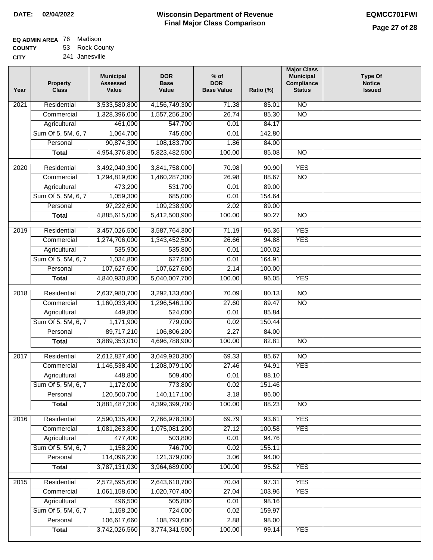| <b>EQ ADMIN AREA</b> 76 Madison |                |
|---------------------------------|----------------|
| <b>COUNTY</b>                   | 53 Rock County |

**COUNTY CITY** 241 Janesville

| Year              | <b>Property</b><br><b>Class</b> | <b>Municipal</b><br><b>Assessed</b><br>Value | <b>DOR</b><br><b>Base</b><br>Value | $%$ of<br><b>DOR</b><br><b>Base Value</b> | Ratio (%)      | <b>Major Class</b><br><b>Municipal</b><br>Compliance<br><b>Status</b> | <b>Type Of</b><br><b>Notice</b><br><b>Issued</b> |
|-------------------|---------------------------------|----------------------------------------------|------------------------------------|-------------------------------------------|----------------|-----------------------------------------------------------------------|--------------------------------------------------|
| 2021              | Residential                     | 3,533,580,800                                | 4,156,749,300                      | 71.38                                     | 85.01          | N <sub>O</sub>                                                        |                                                  |
|                   | Commercial                      | 1,328,396,000                                | 1,557,256,200                      | 26.74                                     | 85.30          | $\overline{NO}$                                                       |                                                  |
|                   | Agricultural                    | 461,000                                      | 547,700                            | 0.01                                      | 84.17          |                                                                       |                                                  |
|                   | Sum Of 5, 5M, 6, 7              | 1,064,700                                    | 745,600                            | 0.01                                      | 142.80         |                                                                       |                                                  |
|                   | Personal                        | 90,874,300                                   | 108,183,700                        | 1.86                                      | 84.00          |                                                                       |                                                  |
|                   | <b>Total</b>                    | 4,954,376,800                                | 5,823,482,500                      | 100.00                                    | 85.08          | $\overline{NO}$                                                       |                                                  |
| $\overline{2020}$ | Residential                     | 3,492,040,300                                | 3,841,758,000                      | 70.98                                     | 90.90          | <b>YES</b>                                                            |                                                  |
|                   | Commercial                      | 1,294,819,600                                | 1,460,287,300                      | 26.98                                     | 88.67          | $\overline{NO}$                                                       |                                                  |
|                   | Agricultural                    | 473,200                                      | 531,700                            | 0.01                                      | 89.00          |                                                                       |                                                  |
|                   | Sum Of 5, 5M, 6, 7              | 1,059,300                                    | 685,000                            | 0.01                                      | 154.64         |                                                                       |                                                  |
|                   | Personal                        | 97,222,600                                   | 109,238,900                        | 2.02                                      | 89.00          |                                                                       |                                                  |
|                   | <b>Total</b>                    | 4,885,615,000                                | 5,412,500,900                      | 100.00                                    | 90.27          | $\overline{NO}$                                                       |                                                  |
| 2019              | Residential                     | 3,457,026,500                                | 3,587,764,300                      | 71.19                                     | 96.36          | <b>YES</b>                                                            |                                                  |
|                   | Commercial                      | 1,274,706,000                                | 1,343,452,500                      | 26.66                                     | 94.88          | <b>YES</b>                                                            |                                                  |
|                   | Agricultural                    | 535,900                                      | 535,800                            | 0.01                                      | 100.02         |                                                                       |                                                  |
|                   | Sum Of 5, 5M, 6, 7              | 1,034,800                                    | 627,500                            | 0.01                                      | 164.91         |                                                                       |                                                  |
|                   | Personal                        | 107,627,600                                  | 107,627,600                        | 2.14                                      | 100.00         |                                                                       |                                                  |
|                   | <b>Total</b>                    | 4,840,930,800                                | 5,040,007,700                      | 100.00                                    | 96.05          | <b>YES</b>                                                            |                                                  |
|                   | Residential                     | 2,637,980,700                                |                                    | 70.09                                     |                | $\overline{NO}$                                                       |                                                  |
| 2018              | Commercial                      | 1,160,033,400                                | 3,292,133,600<br>1,296,546,100     | 27.60                                     | 80.13<br>89.47 | <b>NO</b>                                                             |                                                  |
|                   | Agricultural                    | 449,800                                      | 524,000                            | 0.01                                      | 85.84          |                                                                       |                                                  |
|                   | Sum Of 5, 5M, 6, 7              | 1,171,900                                    | 779,000                            | 0.02                                      | 150.44         |                                                                       |                                                  |
|                   | Personal                        | 89,717,210                                   | 106,806,200                        | 2.27                                      | 84.00          |                                                                       |                                                  |
|                   | <b>Total</b>                    | 3,889,353,010                                | 4,696,788,900                      | 100.00                                    | 82.81          | $\overline{NO}$                                                       |                                                  |
|                   |                                 |                                              |                                    |                                           |                |                                                                       |                                                  |
| 2017              | Residential                     | 2,612,827,400                                | 3,049,920,300                      | 69.33                                     | 85.67          | $\overline{NO}$                                                       |                                                  |
|                   | Commercial                      | 1,146,538,400                                | 1,208,079,100                      | 27.46                                     | 94.91          | <b>YES</b>                                                            |                                                  |
|                   | Agricultural                    | 448,800                                      | 509,400                            | 0.01                                      | 88.10          |                                                                       |                                                  |
|                   | Sum Of 5, 5M, 6, 7              | 1,172,000                                    | 773,800                            | 0.02                                      | 151.46         |                                                                       |                                                  |
|                   | Personal                        | 120,500,700                                  | 140,117,100                        | 3.18                                      | 86.00          |                                                                       |                                                  |
|                   | <b>Total</b>                    | 3,881,487,300                                | 4,399,399,700                      | 100.00                                    | 88.23          | <b>NO</b>                                                             |                                                  |
| 2016              | Residential                     | 2,590,135,400                                | 2,766,978,300                      | 69.79                                     | 93.61          | <b>YES</b>                                                            |                                                  |
|                   | Commercial                      | 1,081,263,800                                | 1,075,081,200                      | 27.12                                     | 100.58         | <b>YES</b>                                                            |                                                  |
|                   | Agricultural                    | 477,400                                      | 503,800                            | 0.01                                      | 94.76          |                                                                       |                                                  |
|                   | Sum Of 5, 5M, 6, 7              | 1,158,200                                    | 746,700                            | 0.02                                      | 155.11         |                                                                       |                                                  |
|                   | Personal                        | 114,096,230                                  | 121,379,000                        | 3.06                                      | 94.00          |                                                                       |                                                  |
|                   | <b>Total</b>                    | 3,787,131,030                                | 3,964,689,000                      | 100.00                                    | 95.52          | <b>YES</b>                                                            |                                                  |
| 2015              | Residential                     | 2,572,595,600                                | 2,643,610,700                      | 70.04                                     | 97.31          | <b>YES</b>                                                            |                                                  |
|                   | Commercial                      | 1,061,158,600                                | 1,020,707,400                      | 27.04                                     | 103.96         | <b>YES</b>                                                            |                                                  |
|                   | Agricultural                    | 496,500                                      | 505,800                            | 0.01                                      | 98.16          |                                                                       |                                                  |
|                   | Sum Of 5, 5M, 6, 7              | 1,158,200                                    | 724,000                            | 0.02                                      | 159.97         |                                                                       |                                                  |
|                   | Personal                        | 106,617,660                                  | 108,793,600                        | 2.88                                      | 98.00          |                                                                       |                                                  |
|                   | <b>Total</b>                    | 3,742,026,560                                | 3,774,341,500                      | 100.00                                    | 99.14          | <b>YES</b>                                                            |                                                  |